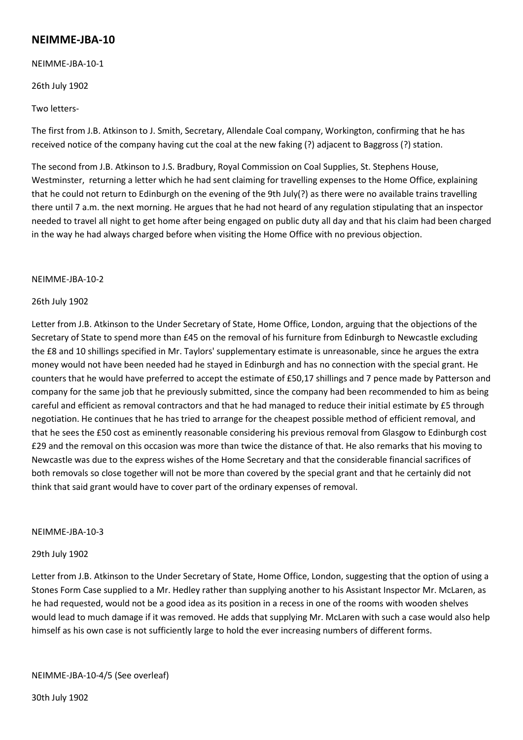# **NEIMME-JBA-10**

NEIMME-JBA-10-1

26th July 1902

Two letters-

The first from J.B. Atkinson to J. Smith, Secretary, Allendale Coal company, Workington, confirming that he has received notice of the company having cut the coal at the new faking (?) adjacent to Baggross (?) station.

The second from J.B. Atkinson to J.S. Bradbury, Royal Commission on Coal Supplies, St. Stephens House, Westminster, returning a letter which he had sent claiming for travelling expenses to the Home Office, explaining that he could not return to Edinburgh on the evening of the 9th July(?) as there were no available trains travelling there until 7 a.m. the next morning. He argues that he had not heard of any regulation stipulating that an inspector needed to travel all night to get home after being engaged on public duty all day and that his claim had been charged in the way he had always charged before when visiting the Home Office with no previous objection.

### NEIMME-JBA-10-2

### 26th July 1902

Letter from J.B. Atkinson to the Under Secretary of State, Home Office, London, arguing that the objections of the Secretary of State to spend more than £45 on the removal of his furniture from Edinburgh to Newcastle excluding the £8 and 10 shillings specified in Mr. Taylors' supplementary estimate is unreasonable, since he argues the extra money would not have been needed had he stayed in Edinburgh and has no connection with the special grant. He counters that he would have preferred to accept the estimate of £50,17 shillings and 7 pence made by Patterson and company for the same job that he previously submitted, since the company had been recommended to him as being careful and efficient as removal contractors and that he had managed to reduce their initial estimate by £5 through negotiation. He continues that he has tried to arrange for the cheapest possible method of efficient removal, and that he sees the £50 cost as eminently reasonable considering his previous removal from Glasgow to Edinburgh cost £29 and the removal on this occasion was more than twice the distance of that. He also remarks that his moving to Newcastle was due to the express wishes of the Home Secretary and that the considerable financial sacrifices of both removals so close together will not be more than covered by the special grant and that he certainly did not think that said grant would have to cover part of the ordinary expenses of removal.

### NEIMME-JBA-10-3

### 29th July 1902

Letter from J.B. Atkinson to the Under Secretary of State, Home Office, London, suggesting that the option of using a Stones Form Case supplied to a Mr. Hedley rather than supplying another to his Assistant Inspector Mr. McLaren, as he had requested, would not be a good idea as its position in a recess in one of the rooms with wooden shelves would lead to much damage if it was removed. He adds that supplying Mr. McLaren with such a case would also help himself as his own case is not sufficiently large to hold the ever increasing numbers of different forms.

NEIMME-JBA-10-4/5 (See overleaf)

30th July 1902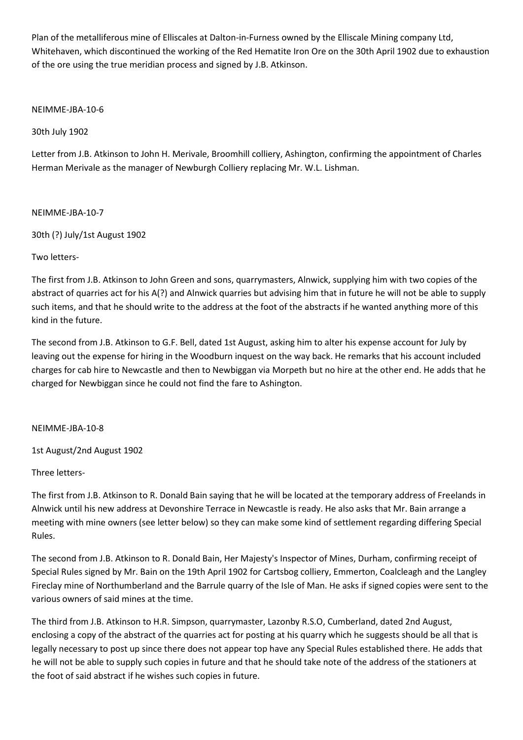Plan of the metalliferous mine of Elliscales at Dalton-in-Furness owned by the Elliscale Mining company Ltd, Whitehaven, which discontinued the working of the Red Hematite Iron Ore on the 30th April 1902 due to exhaustion of the ore using the true meridian process and signed by J.B. Atkinson.

## NEIMME-JBA-10-6

30th July 1902

Letter from J.B. Atkinson to John H. Merivale, Broomhill colliery, Ashington, confirming the appointment of Charles Herman Merivale as the manager of Newburgh Colliery replacing Mr. W.L. Lishman.

### NEIMME-JBA-10-7

30th (?) July/1st August 1902

# Two letters-

The first from J.B. Atkinson to John Green and sons, quarrymasters, Alnwick, supplying him with two copies of the abstract of quarries act for his A(?) and Alnwick quarries but advising him that in future he will not be able to supply such items, and that he should write to the address at the foot of the abstracts if he wanted anything more of this kind in the future.

The second from J.B. Atkinson to G.F. Bell, dated 1st August, asking him to alter his expense account for July by leaving out the expense for hiring in the Woodburn inquest on the way back. He remarks that his account included charges for cab hire to Newcastle and then to Newbiggan via Morpeth but no hire at the other end. He adds that he charged for Newbiggan since he could not find the fare to Ashington.

### NEIMME-JBA-10-8

1st August/2nd August 1902

Three letters-

The first from J.B. Atkinson to R. Donald Bain saying that he will be located at the temporary address of Freelands in Alnwick until his new address at Devonshire Terrace in Newcastle is ready. He also asks that Mr. Bain arrange a meeting with mine owners (see letter below) so they can make some kind of settlement regarding differing Special Rules.

The second from J.B. Atkinson to R. Donald Bain, Her Majesty's Inspector of Mines, Durham, confirming receipt of Special Rules signed by Mr. Bain on the 19th April 1902 for Cartsbog colliery, Emmerton, Coalcleagh and the Langley Fireclay mine of Northumberland and the Barrule quarry of the Isle of Man. He asks if signed copies were sent to the various owners of said mines at the time.

The third from J.B. Atkinson to H.R. Simpson, quarrymaster, Lazonby R.S.O, Cumberland, dated 2nd August, enclosing a copy of the abstract of the quarries act for posting at his quarry which he suggests should be all that is legally necessary to post up since there does not appear top have any Special Rules established there. He adds that he will not be able to supply such copies in future and that he should take note of the address of the stationers at the foot of said abstract if he wishes such copies in future.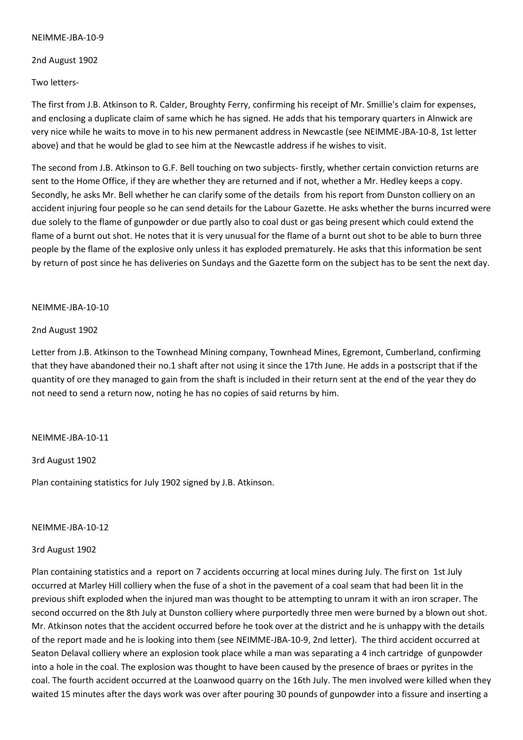2nd August 1902

Two letters-

The first from J.B. Atkinson to R. Calder, Broughty Ferry, confirming his receipt of Mr. Smillie's claim for expenses, and enclosing a duplicate claim of same which he has signed. He adds that his temporary quarters in Alnwick are very nice while he waits to move in to his new permanent address in Newcastle (see NEIMME-JBA-10-8, 1st letter above) and that he would be glad to see him at the Newcastle address if he wishes to visit.

The second from J.B. Atkinson to G.F. Bell touching on two subjects- firstly, whether certain conviction returns are sent to the Home Office, if they are whether they are returned and if not, whether a Mr. Hedley keeps a copy. Secondly, he asks Mr. Bell whether he can clarify some of the details from his report from Dunston colliery on an accident injuring four people so he can send details for the Labour Gazette. He asks whether the burns incurred were due solely to the flame of gunpowder or due partly also to coal dust or gas being present which could extend the flame of a burnt out shot. He notes that it is very unusual for the flame of a burnt out shot to be able to burn three people by the flame of the explosive only unless it has exploded prematurely. He asks that this information be sent by return of post since he has deliveries on Sundays and the Gazette form on the subject has to be sent the next day.

### NEIMME-JBA-10-10

### 2nd August 1902

Letter from J.B. Atkinson to the Townhead Mining company, Townhead Mines, Egremont, Cumberland, confirming that they have abandoned their no.1 shaft after not using it since the 17th June. He adds in a postscript that if the quantity of ore they managed to gain from the shaft is included in their return sent at the end of the year they do not need to send a return now, noting he has no copies of said returns by him.

### NEIMME-JBA-10-11

3rd August 1902

Plan containing statistics for July 1902 signed by J.B. Atkinson.

### NEIMME-JBA-10-12

### 3rd August 1902

Plan containing statistics and a report on 7 accidents occurring at local mines during July. The first on 1st July occurred at Marley Hill colliery when the fuse of a shot in the pavement of a coal seam that had been lit in the previous shift exploded when the injured man was thought to be attempting to unram it with an iron scraper. The second occurred on the 8th July at Dunston colliery where purportedly three men were burned by a blown out shot. Mr. Atkinson notes that the accident occurred before he took over at the district and he is unhappy with the details of the report made and he is looking into them (see NEIMME-JBA-10-9, 2nd letter). The third accident occurred at Seaton Delaval colliery where an explosion took place while a man was separating a 4 inch cartridge of gunpowder into a hole in the coal. The explosion was thought to have been caused by the presence of braes or pyrites in the coal. The fourth accident occurred at the Loanwood quarry on the 16th July. The men involved were killed when they waited 15 minutes after the days work was over after pouring 30 pounds of gunpowder into a fissure and inserting a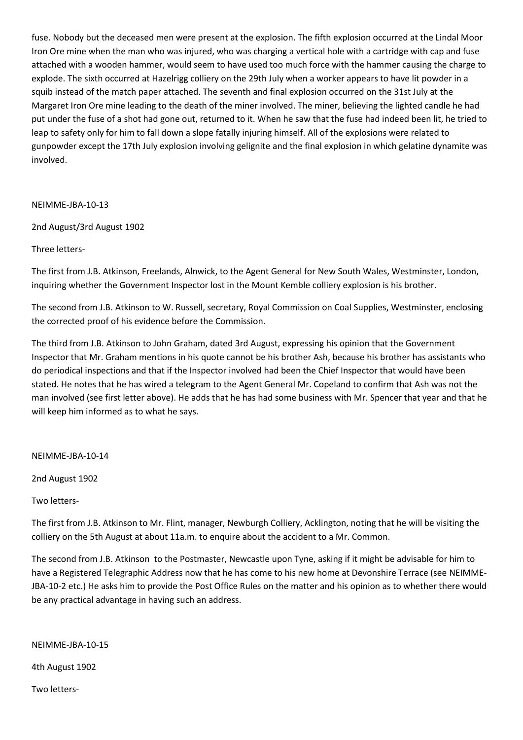fuse. Nobody but the deceased men were present at the explosion. The fifth explosion occurred at the Lindal Moor Iron Ore mine when the man who was injured, who was charging a vertical hole with a cartridge with cap and fuse attached with a wooden hammer, would seem to have used too much force with the hammer causing the charge to explode. The sixth occurred at Hazelrigg colliery on the 29th July when a worker appears to have lit powder in a squib instead of the match paper attached. The seventh and final explosion occurred on the 31st July at the Margaret Iron Ore mine leading to the death of the miner involved. The miner, believing the lighted candle he had put under the fuse of a shot had gone out, returned to it. When he saw that the fuse had indeed been lit, he tried to leap to safety only for him to fall down a slope fatally injuring himself. All of the explosions were related to gunpowder except the 17th July explosion involving gelignite and the final explosion in which gelatine dynamite was involved.

### NEIMME-JBA-10-13

# 2nd August/3rd August 1902

# Three letters-

The first from J.B. Atkinson, Freelands, Alnwick, to the Agent General for New South Wales, Westminster, London, inquiring whether the Government Inspector lost in the Mount Kemble colliery explosion is his brother.

The second from J.B. Atkinson to W. Russell, secretary, Royal Commission on Coal Supplies, Westminster, enclosing the corrected proof of his evidence before the Commission.

The third from J.B. Atkinson to John Graham, dated 3rd August, expressing his opinion that the Government Inspector that Mr. Graham mentions in his quote cannot be his brother Ash, because his brother has assistants who do periodical inspections and that if the Inspector involved had been the Chief Inspector that would have been stated. He notes that he has wired a telegram to the Agent General Mr. Copeland to confirm that Ash was not the man involved (see first letter above). He adds that he has had some business with Mr. Spencer that year and that he will keep him informed as to what he says.

### NEIMME-JBA-10-14

2nd August 1902

Two letters-

The first from J.B. Atkinson to Mr. Flint, manager, Newburgh Colliery, Acklington, noting that he will be visiting the colliery on the 5th August at about 11a.m. to enquire about the accident to a Mr. Common.

The second from J.B. Atkinson to the Postmaster, Newcastle upon Tyne, asking if it might be advisable for him to have a Registered Telegraphic Address now that he has come to his new home at Devonshire Terrace (see NEIMME-JBA-10-2 etc.) He asks him to provide the Post Office Rules on the matter and his opinion as to whether there would be any practical advantage in having such an address.

NEIMME-JBA-10-15

4th August 1902

Two letters-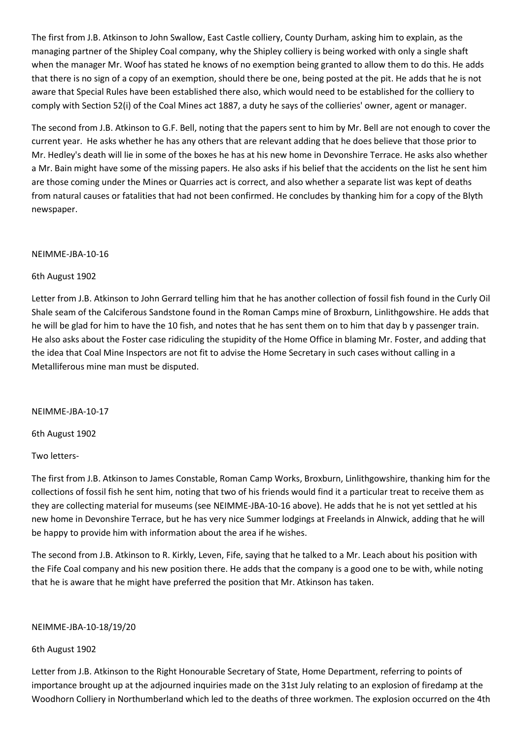The first from J.B. Atkinson to John Swallow, East Castle colliery, County Durham, asking him to explain, as the managing partner of the Shipley Coal company, why the Shipley colliery is being worked with only a single shaft when the manager Mr. Woof has stated he knows of no exemption being granted to allow them to do this. He adds that there is no sign of a copy of an exemption, should there be one, being posted at the pit. He adds that he is not aware that Special Rules have been established there also, which would need to be established for the colliery to comply with Section 52(i) of the Coal Mines act 1887, a duty he says of the collieries' owner, agent or manager.

The second from J.B. Atkinson to G.F. Bell, noting that the papers sent to him by Mr. Bell are not enough to cover the current year. He asks whether he has any others that are relevant adding that he does believe that those prior to Mr. Hedley's death will lie in some of the boxes he has at his new home in Devonshire Terrace. He asks also whether a Mr. Bain might have some of the missing papers. He also asks if his belief that the accidents on the list he sent him are those coming under the Mines or Quarries act is correct, and also whether a separate list was kept of deaths from natural causes or fatalities that had not been confirmed. He concludes by thanking him for a copy of the Blyth newspaper.

### NEIMME-JBA-10-16

### 6th August 1902

Letter from J.B. Atkinson to John Gerrard telling him that he has another collection of fossil fish found in the Curly Oil Shale seam of the Calciferous Sandstone found in the Roman Camps mine of Broxburn, Linlithgowshire. He adds that he will be glad for him to have the 10 fish, and notes that he has sent them on to him that day b y passenger train. He also asks about the Foster case ridiculing the stupidity of the Home Office in blaming Mr. Foster, and adding that the idea that Coal Mine Inspectors are not fit to advise the Home Secretary in such cases without calling in a Metalliferous mine man must be disputed.

NEIMME-JBA-10-17

6th August 1902

Two letters-

The first from J.B. Atkinson to James Constable, Roman Camp Works, Broxburn, Linlithgowshire, thanking him for the collections of fossil fish he sent him, noting that two of his friends would find it a particular treat to receive them as they are collecting material for museums (see NEIMME-JBA-10-16 above). He adds that he is not yet settled at his new home in Devonshire Terrace, but he has very nice Summer lodgings at Freelands in Alnwick, adding that he will be happy to provide him with information about the area if he wishes.

The second from J.B. Atkinson to R. Kirkly, Leven, Fife, saying that he talked to a Mr. Leach about his position with the Fife Coal company and his new position there. He adds that the company is a good one to be with, while noting that he is aware that he might have preferred the position that Mr. Atkinson has taken.

NEIMME-JBA-10-18/19/20

# 6th August 1902

Letter from J.B. Atkinson to the Right Honourable Secretary of State, Home Department, referring to points of importance brought up at the adjourned inquiries made on the 31st July relating to an explosion of firedamp at the Woodhorn Colliery in Northumberland which led to the deaths of three workmen. The explosion occurred on the 4th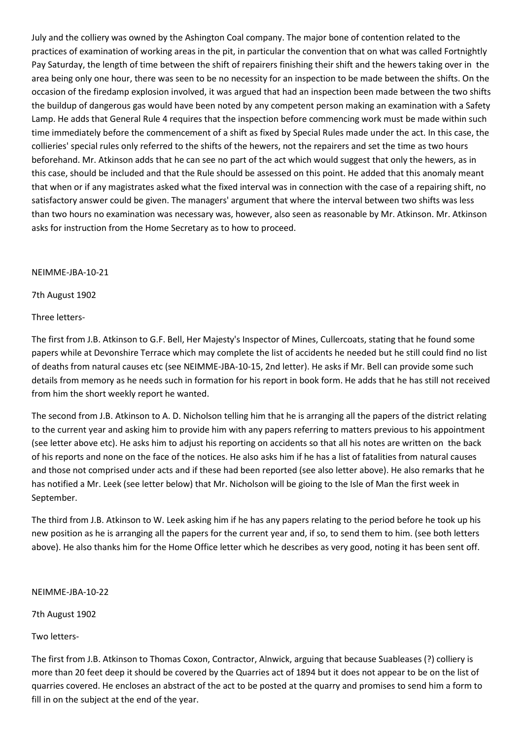July and the colliery was owned by the Ashington Coal company. The major bone of contention related to the practices of examination of working areas in the pit, in particular the convention that on what was called Fortnightly Pay Saturday, the length of time between the shift of repairers finishing their shift and the hewers taking over in the area being only one hour, there was seen to be no necessity for an inspection to be made between the shifts. On the occasion of the firedamp explosion involved, it was argued that had an inspection been made between the two shifts the buildup of dangerous gas would have been noted by any competent person making an examination with a Safety Lamp. He adds that General Rule 4 requires that the inspection before commencing work must be made within such time immediately before the commencement of a shift as fixed by Special Rules made under the act. In this case, the collieries' special rules only referred to the shifts of the hewers, not the repairers and set the time as two hours beforehand. Mr. Atkinson adds that he can see no part of the act which would suggest that only the hewers, as in this case, should be included and that the Rule should be assessed on this point. He added that this anomaly meant that when or if any magistrates asked what the fixed interval was in connection with the case of a repairing shift, no satisfactory answer could be given. The managers' argument that where the interval between two shifts was less than two hours no examination was necessary was, however, also seen as reasonable by Mr. Atkinson. Mr. Atkinson asks for instruction from the Home Secretary as to how to proceed.

### NEIMME-JBA-10-21

7th August 1902

Three letters-

The first from J.B. Atkinson to G.F. Bell, Her Majesty's Inspector of Mines, Cullercoats, stating that he found some papers while at Devonshire Terrace which may complete the list of accidents he needed but he still could find no list of deaths from natural causes etc (see NEIMME-JBA-10-15, 2nd letter). He asks if Mr. Bell can provide some such details from memory as he needs such in formation for his report in book form. He adds that he has still not received from him the short weekly report he wanted.

The second from J.B. Atkinson to A. D. Nicholson telling him that he is arranging all the papers of the district relating to the current year and asking him to provide him with any papers referring to matters previous to his appointment (see letter above etc). He asks him to adjust his reporting on accidents so that all his notes are written on the back of his reports and none on the face of the notices. He also asks him if he has a list of fatalities from natural causes and those not comprised under acts and if these had been reported (see also letter above). He also remarks that he has notified a Mr. Leek (see letter below) that Mr. Nicholson will be gioing to the Isle of Man the first week in September.

The third from J.B. Atkinson to W. Leek asking him if he has any papers relating to the period before he took up his new position as he is arranging all the papers for the current year and, if so, to send them to him. (see both letters above). He also thanks him for the Home Office letter which he describes as very good, noting it has been sent off.

NEIMME-JBA-10-22

7th August 1902

Two letters-

The first from J.B. Atkinson to Thomas Coxon, Contractor, Alnwick, arguing that because Suableases (?) colliery is more than 20 feet deep it should be covered by the Quarries act of 1894 but it does not appear to be on the list of quarries covered. He encloses an abstract of the act to be posted at the quarry and promises to send him a form to fill in on the subject at the end of the year.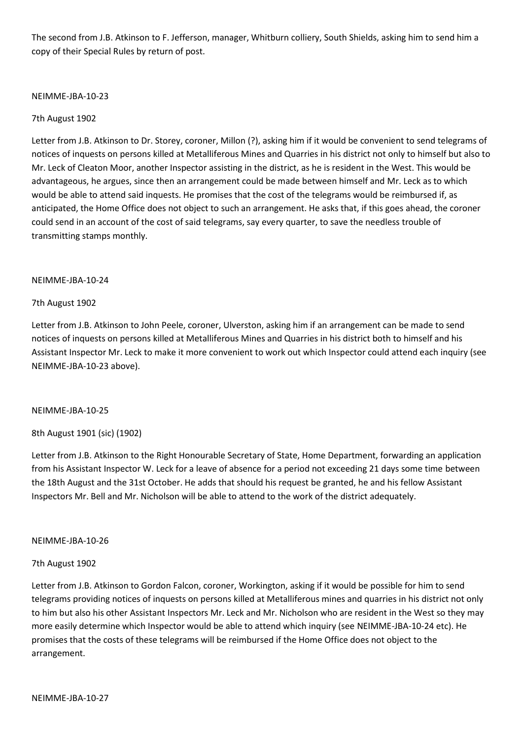The second from J.B. Atkinson to F. Jefferson, manager, Whitburn colliery, South Shields, asking him to send him a copy of their Special Rules by return of post.

### NEIMME-JBA-10-23

### 7th August 1902

Letter from J.B. Atkinson to Dr. Storey, coroner, Millon (?), asking him if it would be convenient to send telegrams of notices of inquests on persons killed at Metalliferous Mines and Quarries in his district not only to himself but also to Mr. Leck of Cleaton Moor, another Inspector assisting in the district, as he is resident in the West. This would be advantageous, he argues, since then an arrangement could be made between himself and Mr. Leck as to which would be able to attend said inquests. He promises that the cost of the telegrams would be reimbursed if, as anticipated, the Home Office does not object to such an arrangement. He asks that, if this goes ahead, the coroner could send in an account of the cost of said telegrams, say every quarter, to save the needless trouble of transmitting stamps monthly.

### NEIMME-JBA-10-24

### 7th August 1902

Letter from J.B. Atkinson to John Peele, coroner, Ulverston, asking him if an arrangement can be made to send notices of inquests on persons killed at Metalliferous Mines and Quarries in his district both to himself and his Assistant Inspector Mr. Leck to make it more convenient to work out which Inspector could attend each inquiry (see NEIMME-JBA-10-23 above).

### NEIMME-JBA-10-25

# 8th August 1901 (sic) (1902)

Letter from J.B. Atkinson to the Right Honourable Secretary of State, Home Department, forwarding an application from his Assistant Inspector W. Leck for a leave of absence for a period not exceeding 21 days some time between the 18th August and the 31st October. He adds that should his request be granted, he and his fellow Assistant Inspectors Mr. Bell and Mr. Nicholson will be able to attend to the work of the district adequately.

### NEIMME-JBA-10-26

### 7th August 1902

Letter from J.B. Atkinson to Gordon Falcon, coroner, Workington, asking if it would be possible for him to send telegrams providing notices of inquests on persons killed at Metalliferous mines and quarries in his district not only to him but also his other Assistant Inspectors Mr. Leck and Mr. Nicholson who are resident in the West so they may more easily determine which Inspector would be able to attend which inquiry (see NEIMME-JBA-10-24 etc). He promises that the costs of these telegrams will be reimbursed if the Home Office does not object to the arrangement.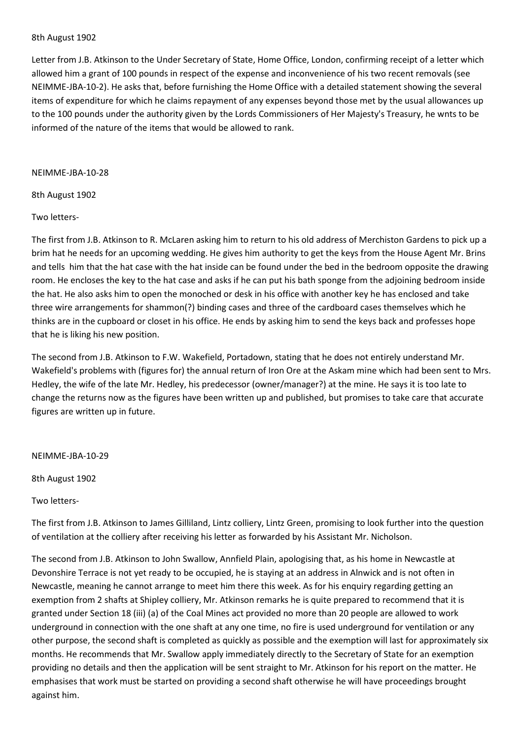#### 8th August 1902

Letter from J.B. Atkinson to the Under Secretary of State, Home Office, London, confirming receipt of a letter which allowed him a grant of 100 pounds in respect of the expense and inconvenience of his two recent removals (see NEIMME-JBA-10-2). He asks that, before furnishing the Home Office with a detailed statement showing the several items of expenditure for which he claims repayment of any expenses beyond those met by the usual allowances up to the 100 pounds under the authority given by the Lords Commissioners of Her Majesty's Treasury, he wnts to be informed of the nature of the items that would be allowed to rank.

#### NEIMME-JBA-10-28

### 8th August 1902

### Two letters-

The first from J.B. Atkinson to R. McLaren asking him to return to his old address of Merchiston Gardens to pick up a brim hat he needs for an upcoming wedding. He gives him authority to get the keys from the House Agent Mr. Brins and tells him that the hat case with the hat inside can be found under the bed in the bedroom opposite the drawing room. He encloses the key to the hat case and asks if he can put his bath sponge from the adjoining bedroom inside the hat. He also asks him to open the monoched or desk in his office with another key he has enclosed and take three wire arrangements for shammon(?) binding cases and three of the cardboard cases themselves which he thinks are in the cupboard or closet in his office. He ends by asking him to send the keys back and professes hope that he is liking his new position.

The second from J.B. Atkinson to F.W. Wakefield, Portadown, stating that he does not entirely understand Mr. Wakefield's problems with (figures for) the annual return of Iron Ore at the Askam mine which had been sent to Mrs. Hedley, the wife of the late Mr. Hedley, his predecessor (owner/manager?) at the mine. He says it is too late to change the returns now as the figures have been written up and published, but promises to take care that accurate figures are written up in future.

### NEIMME-JBA-10-29

8th August 1902

Two letters-

The first from J.B. Atkinson to James Gilliland, Lintz colliery, Lintz Green, promising to look further into the question of ventilation at the colliery after receiving his letter as forwarded by his Assistant Mr. Nicholson.

The second from J.B. Atkinson to John Swallow, Annfield Plain, apologising that, as his home in Newcastle at Devonshire Terrace is not yet ready to be occupied, he is staying at an address in Alnwick and is not often in Newcastle, meaning he cannot arrange to meet him there this week. As for his enquiry regarding getting an exemption from 2 shafts at Shipley colliery, Mr. Atkinson remarks he is quite prepared to recommend that it is granted under Section 18 (iii) (a) of the Coal Mines act provided no more than 20 people are allowed to work underground in connection with the one shaft at any one time, no fire is used underground for ventilation or any other purpose, the second shaft is completed as quickly as possible and the exemption will last for approximately six months. He recommends that Mr. Swallow apply immediately directly to the Secretary of State for an exemption providing no details and then the application will be sent straight to Mr. Atkinson for his report on the matter. He emphasises that work must be started on providing a second shaft otherwise he will have proceedings brought against him.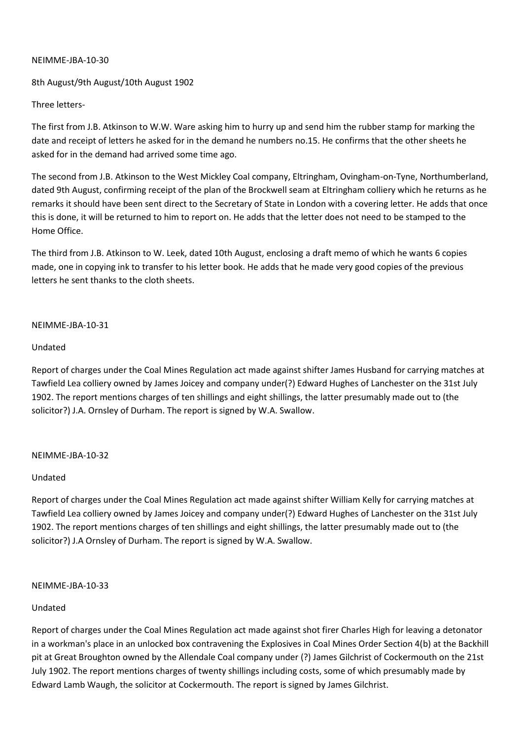## 8th August/9th August/10th August 1902

### Three letters-

The first from J.B. Atkinson to W.W. Ware asking him to hurry up and send him the rubber stamp for marking the date and receipt of letters he asked for in the demand he numbers no.15. He confirms that the other sheets he asked for in the demand had arrived some time ago.

The second from J.B. Atkinson to the West Mickley Coal company, Eltringham, Ovingham-on-Tyne, Northumberland, dated 9th August, confirming receipt of the plan of the Brockwell seam at Eltringham colliery which he returns as he remarks it should have been sent direct to the Secretary of State in London with a covering letter. He adds that once this is done, it will be returned to him to report on. He adds that the letter does not need to be stamped to the Home Office.

The third from J.B. Atkinson to W. Leek, dated 10th August, enclosing a draft memo of which he wants 6 copies made, one in copying ink to transfer to his letter book. He adds that he made very good copies of the previous letters he sent thanks to the cloth sheets.

### NEIMME-JBA-10-31

### Undated

Report of charges under the Coal Mines Regulation act made against shifter James Husband for carrying matches at Tawfield Lea colliery owned by James Joicey and company under(?) Edward Hughes of Lanchester on the 31st July 1902. The report mentions charges of ten shillings and eight shillings, the latter presumably made out to (the solicitor?) J.A. Ornsley of Durham. The report is signed by W.A. Swallow.

### NEIMME-JBA-10-32

### Undated

Report of charges under the Coal Mines Regulation act made against shifter William Kelly for carrying matches at Tawfield Lea colliery owned by James Joicey and company under(?) Edward Hughes of Lanchester on the 31st July 1902. The report mentions charges of ten shillings and eight shillings, the latter presumably made out to (the solicitor?) J.A Ornsley of Durham. The report is signed by W.A. Swallow.

### NEIMME-JBA-10-33

# Undated

Report of charges under the Coal Mines Regulation act made against shot firer Charles High for leaving a detonator in a workman's place in an unlocked box contravening the Explosives in Coal Mines Order Section 4(b) at the Backhill pit at Great Broughton owned by the Allendale Coal company under (?) James Gilchrist of Cockermouth on the 21st July 1902. The report mentions charges of twenty shillings including costs, some of which presumably made by Edward Lamb Waugh, the solicitor at Cockermouth. The report is signed by James Gilchrist.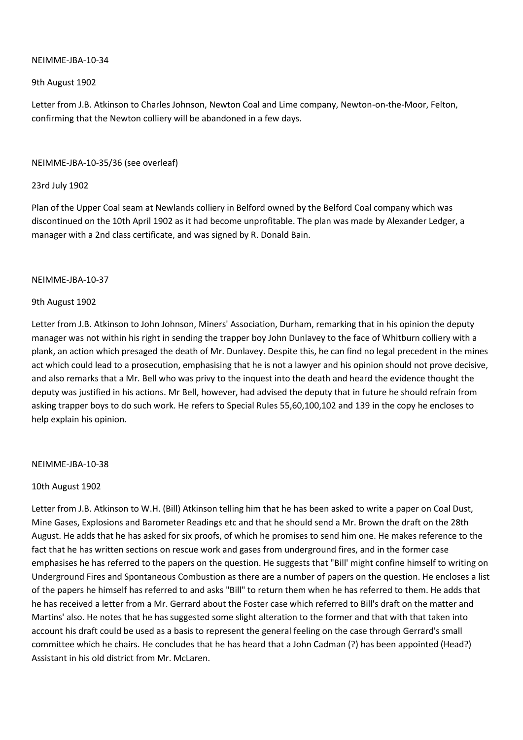9th August 1902

Letter from J.B. Atkinson to Charles Johnson, Newton Coal and Lime company, Newton-on-the-Moor, Felton, confirming that the Newton colliery will be abandoned in a few days.

### NEIMME-JBA-10-35/36 (see overleaf)

### 23rd July 1902

Plan of the Upper Coal seam at Newlands colliery in Belford owned by the Belford Coal company which was discontinued on the 10th April 1902 as it had become unprofitable. The plan was made by Alexander Ledger, a manager with a 2nd class certificate, and was signed by R. Donald Bain.

### NEIMME-JBA-10-37

### 9th August 1902

Letter from J.B. Atkinson to John Johnson, Miners' Association, Durham, remarking that in his opinion the deputy manager was not within his right in sending the trapper boy John Dunlavey to the face of Whitburn colliery with a plank, an action which presaged the death of Mr. Dunlavey. Despite this, he can find no legal precedent in the mines act which could lead to a prosecution, emphasising that he is not a lawyer and his opinion should not prove decisive, and also remarks that a Mr. Bell who was privy to the inquest into the death and heard the evidence thought the deputy was justified in his actions. Mr Bell, however, had advised the deputy that in future he should refrain from asking trapper boys to do such work. He refers to Special Rules 55,60,100,102 and 139 in the copy he encloses to help explain his opinion.

### NEIMME-JBA-10-38

### 10th August 1902

Letter from J.B. Atkinson to W.H. (Bill) Atkinson telling him that he has been asked to write a paper on Coal Dust, Mine Gases, Explosions and Barometer Readings etc and that he should send a Mr. Brown the draft on the 28th August. He adds that he has asked for six proofs, of which he promises to send him one. He makes reference to the fact that he has written sections on rescue work and gases from underground fires, and in the former case emphasises he has referred to the papers on the question. He suggests that "Bill' might confine himself to writing on Underground Fires and Spontaneous Combustion as there are a number of papers on the question. He encloses a list of the papers he himself has referred to and asks "Bill" to return them when he has referred to them. He adds that he has received a letter from a Mr. Gerrard about the Foster case which referred to Bill's draft on the matter and Martins' also. He notes that he has suggested some slight alteration to the former and that with that taken into account his draft could be used as a basis to represent the general feeling on the case through Gerrard's small committee which he chairs. He concludes that he has heard that a John Cadman (?) has been appointed (Head?) Assistant in his old district from Mr. McLaren.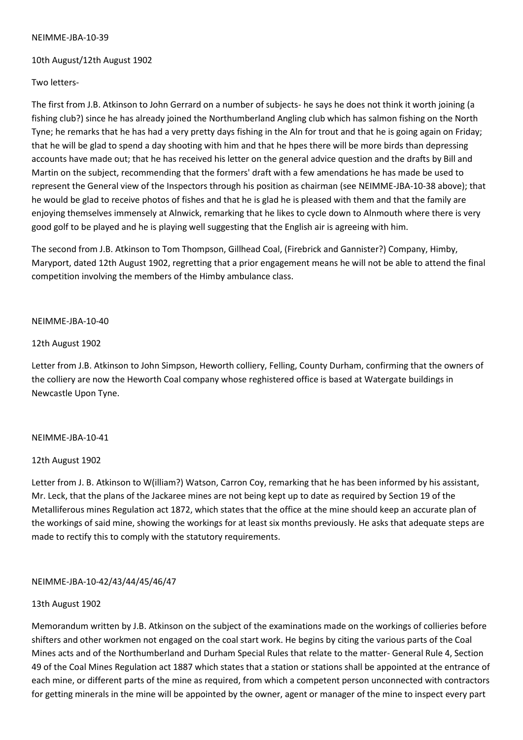### 10th August/12th August 1902

### Two letters-

The first from J.B. Atkinson to John Gerrard on a number of subjects- he says he does not think it worth joining (a fishing club?) since he has already joined the Northumberland Angling club which has salmon fishing on the North Tyne; he remarks that he has had a very pretty days fishing in the Aln for trout and that he is going again on Friday; that he will be glad to spend a day shooting with him and that he hpes there will be more birds than depressing accounts have made out; that he has received his letter on the general advice question and the drafts by Bill and Martin on the subject, recommending that the formers' draft with a few amendations he has made be used to represent the General view of the Inspectors through his position as chairman (see NEIMME-JBA-10-38 above); that he would be glad to receive photos of fishes and that he is glad he is pleased with them and that the family are enjoying themselves immensely at Alnwick, remarking that he likes to cycle down to Alnmouth where there is very good golf to be played and he is playing well suggesting that the English air is agreeing with him.

The second from J.B. Atkinson to Tom Thompson, Gillhead Coal, (Firebrick and Gannister?) Company, Himby, Maryport, dated 12th August 1902, regretting that a prior engagement means he will not be able to attend the final competition involving the members of the Himby ambulance class.

### NEIMME-JBA-10-40

### 12th August 1902

Letter from J.B. Atkinson to John Simpson, Heworth colliery, Felling, County Durham, confirming that the owners of the colliery are now the Heworth Coal company whose reghistered office is based at Watergate buildings in Newcastle Upon Tyne.

# NEIMME-JBA-10-41

# 12th August 1902

Letter from J. B. Atkinson to W(illiam?) Watson, Carron Coy, remarking that he has been informed by his assistant, Mr. Leck, that the plans of the Jackaree mines are not being kept up to date as required by Section 19 of the Metalliferous mines Regulation act 1872, which states that the office at the mine should keep an accurate plan of the workings of said mine, showing the workings for at least six months previously. He asks that adequate steps are made to rectify this to comply with the statutory requirements.

# NEIMME-JBA-10-42/43/44/45/46/47

### 13th August 1902

Memorandum written by J.B. Atkinson on the subject of the examinations made on the workings of collieries before shifters and other workmen not engaged on the coal start work. He begins by citing the various parts of the Coal Mines acts and of the Northumberland and Durham Special Rules that relate to the matter- General Rule 4, Section 49 of the Coal Mines Regulation act 1887 which states that a station or stations shall be appointed at the entrance of each mine, or different parts of the mine as required, from which a competent person unconnected with contractors for getting minerals in the mine will be appointed by the owner, agent or manager of the mine to inspect every part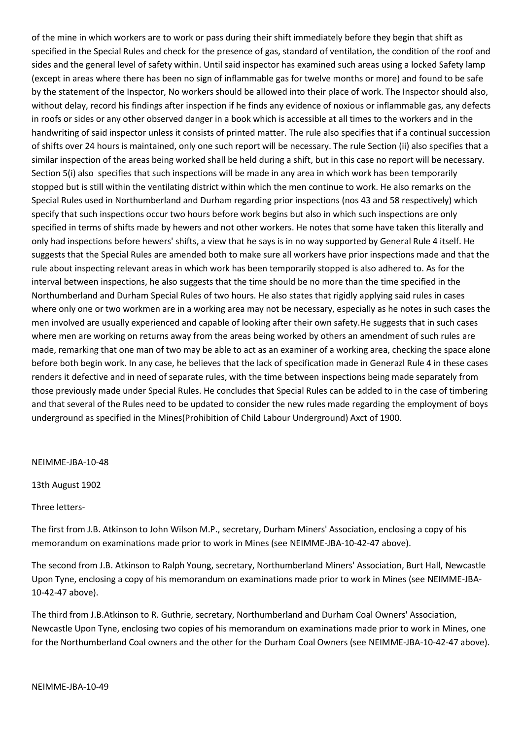of the mine in which workers are to work or pass during their shift immediately before they begin that shift as specified in the Special Rules and check for the presence of gas, standard of ventilation, the condition of the roof and sides and the general level of safety within. Until said inspector has examined such areas using a locked Safety lamp (except in areas where there has been no sign of inflammable gas for twelve months or more) and found to be safe by the statement of the Inspector, No workers should be allowed into their place of work. The Inspector should also, without delay, record his findings after inspection if he finds any evidence of noxious or inflammable gas, any defects in roofs or sides or any other observed danger in a book which is accessible at all times to the workers and in the handwriting of said inspector unless it consists of printed matter. The rule also specifies that if a continual succession of shifts over 24 hours is maintained, only one such report will be necessary. The rule Section (ii) also specifies that a similar inspection of the areas being worked shall be held during a shift, but in this case no report will be necessary. Section 5(i) also specifies that such inspections will be made in any area in which work has been temporarily stopped but is still within the ventilating district within which the men continue to work. He also remarks on the Special Rules used in Northumberland and Durham regarding prior inspections (nos 43 and 58 respectively) which specify that such inspections occur two hours before work begins but also in which such inspections are only specified in terms of shifts made by hewers and not other workers. He notes that some have taken this literally and only had inspections before hewers' shifts, a view that he says is in no way supported by General Rule 4 itself. He suggests that the Special Rules are amended both to make sure all workers have prior inspections made and that the rule about inspecting relevant areas in which work has been temporarily stopped is also adhered to. As for the interval between inspections, he also suggests that the time should be no more than the time specified in the Northumberland and Durham Special Rules of two hours. He also states that rigidly applying said rules in cases where only one or two workmen are in a working area may not be necessary, especially as he notes in such cases the men involved are usually experienced and capable of looking after their own safety.He suggests that in such cases where men are working on returns away from the areas being worked by others an amendment of such rules are made, remarking that one man of two may be able to act as an examiner of a working area, checking the space alone before both begin work. In any case, he believes that the lack of specification made in Generazl Rule 4 in these cases renders it defective and in need of separate rules, with the time between inspections being made separately from those previously made under Special Rules. He concludes that Special Rules can be added to in the case of timbering and that several of the Rules need to be updated to consider the new rules made regarding the employment of boys underground as specified in the Mines(Prohibition of Child Labour Underground) Axct of 1900.

#### NEIMME-JBA-10-48

13th August 1902

#### Three letters-

The first from J.B. Atkinson to John Wilson M.P., secretary, Durham Miners' Association, enclosing a copy of his memorandum on examinations made prior to work in Mines (see NEIMME-JBA-10-42-47 above).

The second from J.B. Atkinson to Ralph Young, secretary, Northumberland Miners' Association, Burt Hall, Newcastle Upon Tyne, enclosing a copy of his memorandum on examinations made prior to work in Mines (see NEIMME-JBA-10-42-47 above).

The third from J.B.Atkinson to R. Guthrie, secretary, Northumberland and Durham Coal Owners' Association, Newcastle Upon Tyne, enclosing two copies of his memorandum on examinations made prior to work in Mines, one for the Northumberland Coal owners and the other for the Durham Coal Owners (see NEIMME-JBA-10-42-47 above).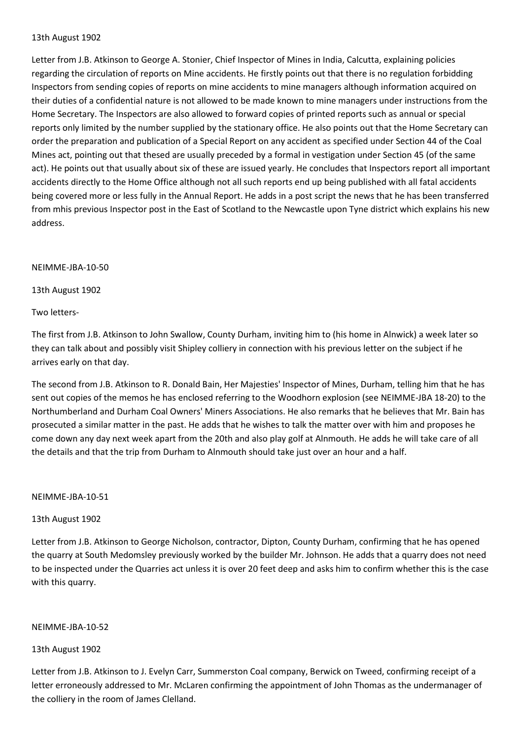#### 13th August 1902

Letter from J.B. Atkinson to George A. Stonier, Chief Inspector of Mines in India, Calcutta, explaining policies regarding the circulation of reports on Mine accidents. He firstly points out that there is no regulation forbidding Inspectors from sending copies of reports on mine accidents to mine managers although information acquired on their duties of a confidential nature is not allowed to be made known to mine managers under instructions from the Home Secretary. The Inspectors are also allowed to forward copies of printed reports such as annual or special reports only limited by the number supplied by the stationary office. He also points out that the Home Secretary can order the preparation and publication of a Special Report on any accident as specified under Section 44 of the Coal Mines act, pointing out that thesed are usually preceded by a formal in vestigation under Section 45 (of the same act). He points out that usually about six of these are issued yearly. He concludes that Inspectors report all important accidents directly to the Home Office although not all such reports end up being published with all fatal accidents being covered more or less fully in the Annual Report. He adds in a post script the news that he has been transferred from mhis previous Inspector post in the East of Scotland to the Newcastle upon Tyne district which explains his new address.

#### NEIMME-JBA-10-50

13th August 1902

Two letters-

The first from J.B. Atkinson to John Swallow, County Durham, inviting him to (his home in Alnwick) a week later so they can talk about and possibly visit Shipley colliery in connection with his previous letter on the subject if he arrives early on that day.

The second from J.B. Atkinson to R. Donald Bain, Her Majesties' Inspector of Mines, Durham, telling him that he has sent out copies of the memos he has enclosed referring to the Woodhorn explosion (see NEIMME-JBA 18-20) to the Northumberland and Durham Coal Owners' Miners Associations. He also remarks that he believes that Mr. Bain has prosecuted a similar matter in the past. He adds that he wishes to talk the matter over with him and proposes he come down any day next week apart from the 20th and also play golf at Alnmouth. He adds he will take care of all the details and that the trip from Durham to Alnmouth should take just over an hour and a half.

#### NEIMME-JBA-10-51

### 13th August 1902

Letter from J.B. Atkinson to George Nicholson, contractor, Dipton, County Durham, confirming that he has opened the quarry at South Medomsley previously worked by the builder Mr. Johnson. He adds that a quarry does not need to be inspected under the Quarries act unless it is over 20 feet deep and asks him to confirm whether this is the case with this quarry.

### NEIMME-JBA-10-52

### 13th August 1902

Letter from J.B. Atkinson to J. Evelyn Carr, Summerston Coal company, Berwick on Tweed, confirming receipt of a letter erroneously addressed to Mr. McLaren confirming the appointment of John Thomas as the undermanager of the colliery in the room of James Clelland.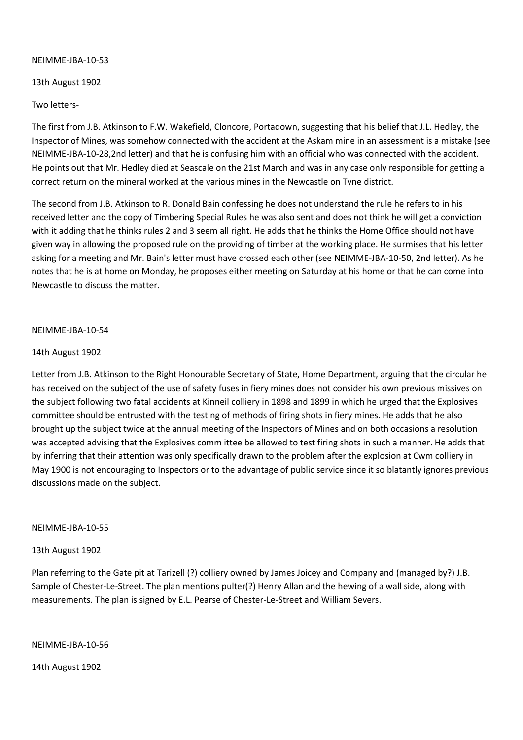13th August 1902

Two letters-

The first from J.B. Atkinson to F.W. Wakefield, Cloncore, Portadown, suggesting that his belief that J.L. Hedley, the Inspector of Mines, was somehow connected with the accident at the Askam mine in an assessment is a mistake (see NEIMME-JBA-10-28,2nd letter) and that he is confusing him with an official who was connected with the accident. He points out that Mr. Hedley died at Seascale on the 21st March and was in any case only responsible for getting a correct return on the mineral worked at the various mines in the Newcastle on Tyne district.

The second from J.B. Atkinson to R. Donald Bain confessing he does not understand the rule he refers to in his received letter and the copy of Timbering Special Rules he was also sent and does not think he will get a conviction with it adding that he thinks rules 2 and 3 seem all right. He adds that he thinks the Home Office should not have given way in allowing the proposed rule on the providing of timber at the working place. He surmises that his letter asking for a meeting and Mr. Bain's letter must have crossed each other (see NEIMME-JBA-10-50, 2nd letter). As he notes that he is at home on Monday, he proposes either meeting on Saturday at his home or that he can come into Newcastle to discuss the matter.

### NEIMME-JBA-10-54

#### 14th August 1902

Letter from J.B. Atkinson to the Right Honourable Secretary of State, Home Department, arguing that the circular he has received on the subject of the use of safety fuses in fiery mines does not consider his own previous missives on the subject following two fatal accidents at Kinneil colliery in 1898 and 1899 in which he urged that the Explosives committee should be entrusted with the testing of methods of firing shots in fiery mines. He adds that he also brought up the subject twice at the annual meeting of the Inspectors of Mines and on both occasions a resolution was accepted advising that the Explosives comm ittee be allowed to test firing shots in such a manner. He adds that by inferring that their attention was only specifically drawn to the problem after the explosion at Cwm colliery in May 1900 is not encouraging to Inspectors or to the advantage of public service since it so blatantly ignores previous discussions made on the subject.

#### NEIMME-JBA-10-55

### 13th August 1902

Plan referring to the Gate pit at Tarizell (?) colliery owned by James Joicey and Company and (managed by?) J.B. Sample of Chester-Le-Street. The plan mentions pulter(?) Henry Allan and the hewing of a wall side, along with measurements. The plan is signed by E.L. Pearse of Chester-Le-Street and William Severs.

NEIMME-JBA-10-56

14th August 1902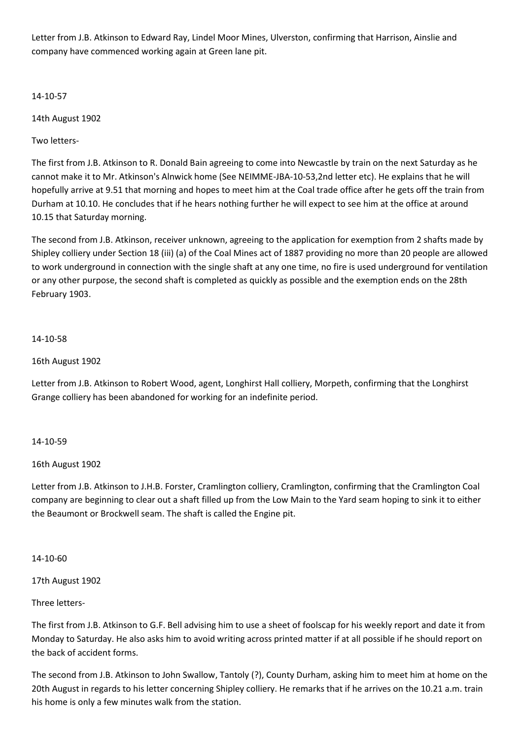Letter from J.B. Atkinson to Edward Ray, Lindel Moor Mines, Ulverston, confirming that Harrison, Ainslie and company have commenced working again at Green lane pit.

14-10-57

14th August 1902

Two letters-

The first from J.B. Atkinson to R. Donald Bain agreeing to come into Newcastle by train on the next Saturday as he cannot make it to Mr. Atkinson's Alnwick home (See NEIMME-JBA-10-53,2nd letter etc). He explains that he will hopefully arrive at 9.51 that morning and hopes to meet him at the Coal trade office after he gets off the train from Durham at 10.10. He concludes that if he hears nothing further he will expect to see him at the office at around 10.15 that Saturday morning.

The second from J.B. Atkinson, receiver unknown, agreeing to the application for exemption from 2 shafts made by Shipley colliery under Section 18 (iii) (a) of the Coal Mines act of 1887 providing no more than 20 people are allowed to work underground in connection with the single shaft at any one time, no fire is used underground for ventilation or any other purpose, the second shaft is completed as quickly as possible and the exemption ends on the 28th February 1903.

# 14-10-58

# 16th August 1902

Letter from J.B. Atkinson to Robert Wood, agent, Longhirst Hall colliery, Morpeth, confirming that the Longhirst Grange colliery has been abandoned for working for an indefinite period.

# 14-10-59

# 16th August 1902

Letter from J.B. Atkinson to J.H.B. Forster, Cramlington colliery, Cramlington, confirming that the Cramlington Coal company are beginning to clear out a shaft filled up from the Low Main to the Yard seam hoping to sink it to either the Beaumont or Brockwell seam. The shaft is called the Engine pit.

# 14-10-60

17th August 1902

Three letters-

The first from J.B. Atkinson to G.F. Bell advising him to use a sheet of foolscap for his weekly report and date it from Monday to Saturday. He also asks him to avoid writing across printed matter if at all possible if he should report on the back of accident forms.

The second from J.B. Atkinson to John Swallow, Tantoly (?), County Durham, asking him to meet him at home on the 20th August in regards to his letter concerning Shipley colliery. He remarks that if he arrives on the 10.21 a.m. train his home is only a few minutes walk from the station.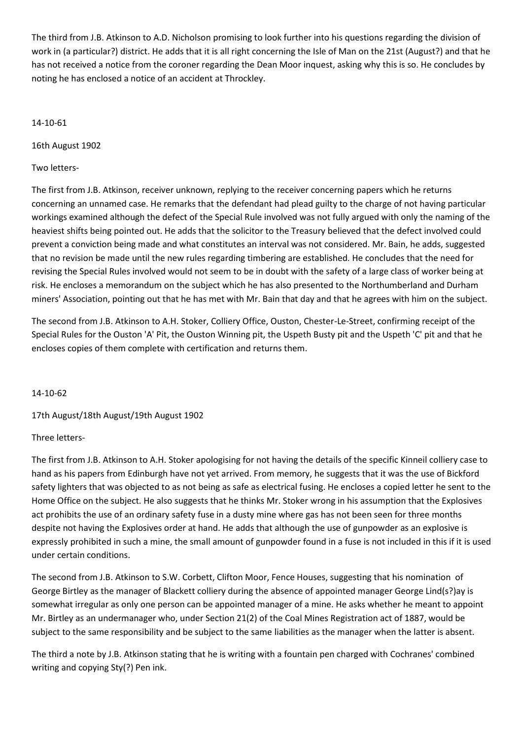The third from J.B. Atkinson to A.D. Nicholson promising to look further into his questions regarding the division of work in (a particular?) district. He adds that it is all right concerning the Isle of Man on the 21st (August?) and that he has not received a notice from the coroner regarding the Dean Moor inquest, asking why this is so. He concludes by noting he has enclosed a notice of an accident at Throckley.

### 14-10-61

16th August 1902

## Two letters-

The first from J.B. Atkinson, receiver unknown, replying to the receiver concerning papers which he returns concerning an unnamed case. He remarks that the defendant had plead guilty to the charge of not having particular workings examined although the defect of the Special Rule involved was not fully argued with only the naming of the heaviest shifts being pointed out. He adds that the solicitor to the Treasury believed that the defect involved could prevent a conviction being made and what constitutes an interval was not considered. Mr. Bain, he adds, suggested that no revision be made until the new rules regarding timbering are established. He concludes that the need for revising the Special Rules involved would not seem to be in doubt with the safety of a large class of worker being at risk. He encloses a memorandum on the subject which he has also presented to the Northumberland and Durham miners' Association, pointing out that he has met with Mr. Bain that day and that he agrees with him on the subject.

The second from J.B. Atkinson to A.H. Stoker, Colliery Office, Ouston, Chester-Le-Street, confirming receipt of the Special Rules for the Ouston 'A' Pit, the Ouston Winning pit, the Uspeth Busty pit and the Uspeth 'C' pit and that he encloses copies of them complete with certification and returns them.

### 14-10-62

17th August/18th August/19th August 1902

# Three letters-

The first from J.B. Atkinson to A.H. Stoker apologising for not having the details of the specific Kinneil colliery case to hand as his papers from Edinburgh have not yet arrived. From memory, he suggests that it was the use of Bickford safety lighters that was objected to as not being as safe as electrical fusing. He encloses a copied letter he sent to the Home Office on the subject. He also suggests that he thinks Mr. Stoker wrong in his assumption that the Explosives act prohibits the use of an ordinary safety fuse in a dusty mine where gas has not been seen for three months despite not having the Explosives order at hand. He adds that although the use of gunpowder as an explosive is expressly prohibited in such a mine, the small amount of gunpowder found in a fuse is not included in this if it is used under certain conditions.

The second from J.B. Atkinson to S.W. Corbett, Clifton Moor, Fence Houses, suggesting that his nomination of George Birtley as the manager of Blackett colliery during the absence of appointed manager George Lind(s?)ay is somewhat irregular as only one person can be appointed manager of a mine. He asks whether he meant to appoint Mr. Birtley as an undermanager who, under Section 21(2) of the Coal Mines Registration act of 1887, would be subject to the same responsibility and be subject to the same liabilities as the manager when the latter is absent.

The third a note by J.B. Atkinson stating that he is writing with a fountain pen charged with Cochranes' combined writing and copying Sty(?) Pen ink.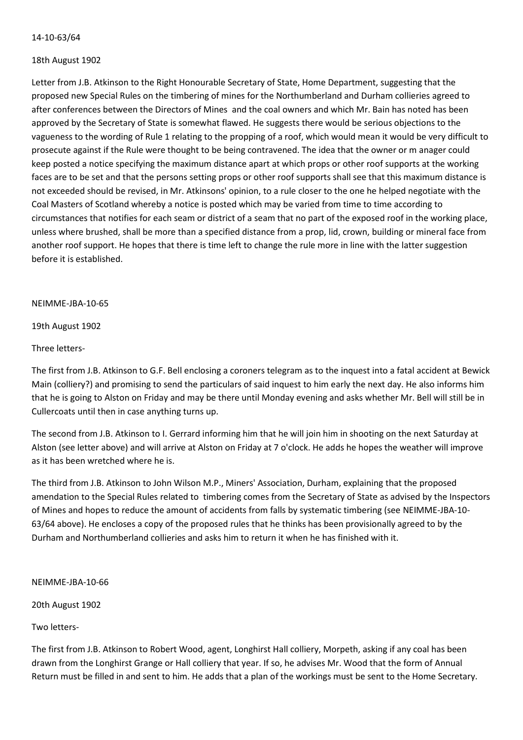### 14-10-63/64

#### 18th August 1902

Letter from J.B. Atkinson to the Right Honourable Secretary of State, Home Department, suggesting that the proposed new Special Rules on the timbering of mines for the Northumberland and Durham collieries agreed to after conferences between the Directors of Mines and the coal owners and which Mr. Bain has noted has been approved by the Secretary of State is somewhat flawed. He suggests there would be serious objections to the vagueness to the wording of Rule 1 relating to the propping of a roof, which would mean it would be very difficult to prosecute against if the Rule were thought to be being contravened. The idea that the owner or m anager could keep posted a notice specifying the maximum distance apart at which props or other roof supports at the working faces are to be set and that the persons setting props or other roof supports shall see that this maximum distance is not exceeded should be revised, in Mr. Atkinsons' opinion, to a rule closer to the one he helped negotiate with the Coal Masters of Scotland whereby a notice is posted which may be varied from time to time according to circumstances that notifies for each seam or district of a seam that no part of the exposed roof in the working place, unless where brushed, shall be more than a specified distance from a prop, lid, crown, building or mineral face from another roof support. He hopes that there is time left to change the rule more in line with the latter suggestion before it is established.

#### NEIMME-JBA-10-65

19th August 1902

Three letters-

The first from J.B. Atkinson to G.F. Bell enclosing a coroners telegram as to the inquest into a fatal accident at Bewick Main (colliery?) and promising to send the particulars of said inquest to him early the next day. He also informs him that he is going to Alston on Friday and may be there until Monday evening and asks whether Mr. Bell will still be in Cullercoats until then in case anything turns up.

The second from J.B. Atkinson to I. Gerrard informing him that he will join him in shooting on the next Saturday at Alston (see letter above) and will arrive at Alston on Friday at 7 o'clock. He adds he hopes the weather will improve as it has been wretched where he is.

The third from J.B. Atkinson to John Wilson M.P., Miners' Association, Durham, explaining that the proposed amendation to the Special Rules related to timbering comes from the Secretary of State as advised by the Inspectors of Mines and hopes to reduce the amount of accidents from falls by systematic timbering (see NEIMME-JBA-10- 63/64 above). He encloses a copy of the proposed rules that he thinks has been provisionally agreed to by the Durham and Northumberland collieries and asks him to return it when he has finished with it.

### NEIMME-JBA-10-66

20th August 1902

Two letters-

The first from J.B. Atkinson to Robert Wood, agent, Longhirst Hall colliery, Morpeth, asking if any coal has been drawn from the Longhirst Grange or Hall colliery that year. If so, he advises Mr. Wood that the form of Annual Return must be filled in and sent to him. He adds that a plan of the workings must be sent to the Home Secretary.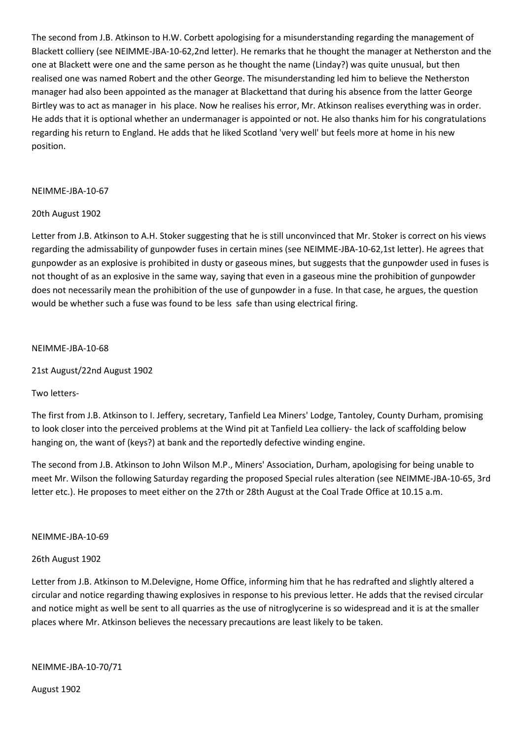The second from J.B. Atkinson to H.W. Corbett apologising for a misunderstanding regarding the management of Blackett colliery (see NEIMME-JBA-10-62,2nd letter). He remarks that he thought the manager at Netherston and the one at Blackett were one and the same person as he thought the name (Linday?) was quite unusual, but then realised one was named Robert and the other George. The misunderstanding led him to believe the Netherston manager had also been appointed as the manager at Blackettand that during his absence from the latter George Birtley was to act as manager in his place. Now he realises his error, Mr. Atkinson realises everything was in order. He adds that it is optional whether an undermanager is appointed or not. He also thanks him for his congratulations regarding his return to England. He adds that he liked Scotland 'very well' but feels more at home in his new position.

# NEIMME-JBA-10-67

### 20th August 1902

Letter from J.B. Atkinson to A.H. Stoker suggesting that he is still unconvinced that Mr. Stoker is correct on his views regarding the admissability of gunpowder fuses in certain mines (see NEIMME-JBA-10-62,1st letter). He agrees that gunpowder as an explosive is prohibited in dusty or gaseous mines, but suggests that the gunpowder used in fuses is not thought of as an explosive in the same way, saying that even in a gaseous mine the prohibition of gunpowder does not necessarily mean the prohibition of the use of gunpowder in a fuse. In that case, he argues, the question would be whether such a fuse was found to be less safe than using electrical firing.

### NEIMME-JBA-10-68

21st August/22nd August 1902

Two letters-

The first from J.B. Atkinson to I. Jeffery, secretary, Tanfield Lea Miners' Lodge, Tantoley, County Durham, promising to look closer into the perceived problems at the Wind pit at Tanfield Lea colliery- the lack of scaffolding below hanging on, the want of (keys?) at bank and the reportedly defective winding engine.

The second from J.B. Atkinson to John Wilson M.P., Miners' Association, Durham, apologising for being unable to meet Mr. Wilson the following Saturday regarding the proposed Special rules alteration (see NEIMME-JBA-10-65, 3rd letter etc.). He proposes to meet either on the 27th or 28th August at the Coal Trade Office at 10.15 a.m.

### NEIMME-JBA-10-69

### 26th August 1902

Letter from J.B. Atkinson to M.Delevigne, Home Office, informing him that he has redrafted and slightly altered a circular and notice regarding thawing explosives in response to his previous letter. He adds that the revised circular and notice might as well be sent to all quarries as the use of nitroglycerine is so widespread and it is at the smaller places where Mr. Atkinson believes the necessary precautions are least likely to be taken.

NEIMME-JBA-10-70/71

August 1902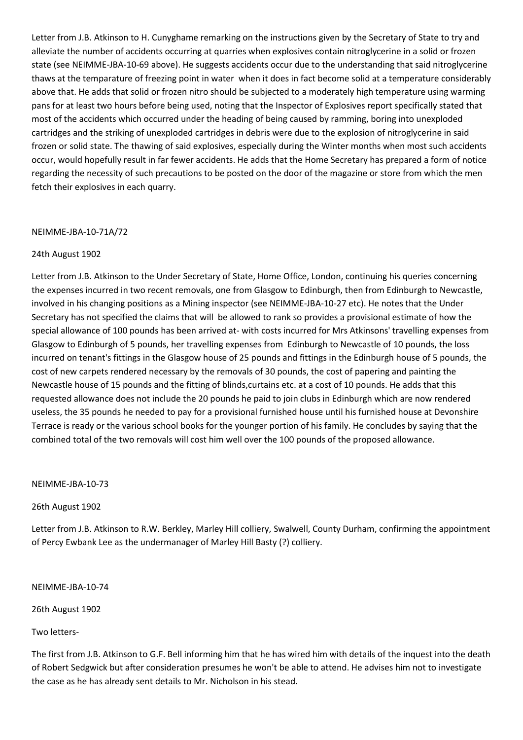Letter from J.B. Atkinson to H. Cunyghame remarking on the instructions given by the Secretary of State to try and alleviate the number of accidents occurring at quarries when explosives contain nitroglycerine in a solid or frozen state (see NEIMME-JBA-10-69 above). He suggests accidents occur due to the understanding that said nitroglycerine thaws at the temparature of freezing point in water when it does in fact become solid at a temperature considerably above that. He adds that solid or frozen nitro should be subjected to a moderately high temperature using warming pans for at least two hours before being used, noting that the Inspector of Explosives report specifically stated that most of the accidents which occurred under the heading of being caused by ramming, boring into unexploded cartridges and the striking of unexploded cartridges in debris were due to the explosion of nitroglycerine in said frozen or solid state. The thawing of said explosives, especially during the Winter months when most such accidents occur, would hopefully result in far fewer accidents. He adds that the Home Secretary has prepared a form of notice regarding the necessity of such precautions to be posted on the door of the magazine or store from which the men fetch their explosives in each quarry.

### NEIMME-JBA-10-71A/72

#### 24th August 1902

Letter from J.B. Atkinson to the Under Secretary of State, Home Office, London, continuing his queries concerning the expenses incurred in two recent removals, one from Glasgow to Edinburgh, then from Edinburgh to Newcastle, involved in his changing positions as a Mining inspector (see NEIMME-JBA-10-27 etc). He notes that the Under Secretary has not specified the claims that will be allowed to rank so provides a provisional estimate of how the special allowance of 100 pounds has been arrived at- with costs incurred for Mrs Atkinsons' travelling expenses from Glasgow to Edinburgh of 5 pounds, her travelling expenses from Edinburgh to Newcastle of 10 pounds, the loss incurred on tenant's fittings in the Glasgow house of 25 pounds and fittings in the Edinburgh house of 5 pounds, the cost of new carpets rendered necessary by the removals of 30 pounds, the cost of papering and painting the Newcastle house of 15 pounds and the fitting of blinds,curtains etc. at a cost of 10 pounds. He adds that this requested allowance does not include the 20 pounds he paid to join clubs in Edinburgh which are now rendered useless, the 35 pounds he needed to pay for a provisional furnished house until his furnished house at Devonshire Terrace is ready or the various school books for the younger portion of his family. He concludes by saying that the combined total of the two removals will cost him well over the 100 pounds of the proposed allowance.

NEIMME-JBA-10-73

26th August 1902

Letter from J.B. Atkinson to R.W. Berkley, Marley Hill colliery, Swalwell, County Durham, confirming the appointment of Percy Ewbank Lee as the undermanager of Marley Hill Basty (?) colliery.

NEIMME-JBA-10-74

26th August 1902

Two letters-

The first from J.B. Atkinson to G.F. Bell informing him that he has wired him with details of the inquest into the death of Robert Sedgwick but after consideration presumes he won't be able to attend. He advises him not to investigate the case as he has already sent details to Mr. Nicholson in his stead.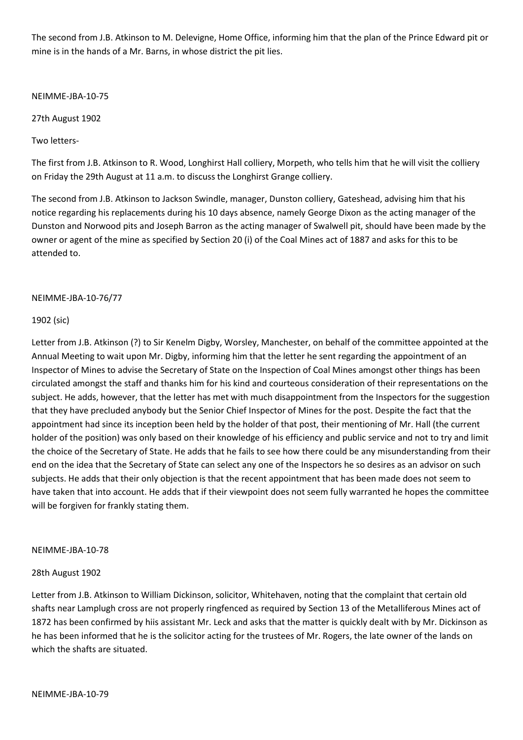The second from J.B. Atkinson to M. Delevigne, Home Office, informing him that the plan of the Prince Edward pit or mine is in the hands of a Mr. Barns, in whose district the pit lies.

NEIMME-JBA-10-75

27th August 1902

Two letters-

The first from J.B. Atkinson to R. Wood, Longhirst Hall colliery, Morpeth, who tells him that he will visit the colliery on Friday the 29th August at 11 a.m. to discuss the Longhirst Grange colliery.

The second from J.B. Atkinson to Jackson Swindle, manager, Dunston colliery, Gateshead, advising him that his notice regarding his replacements during his 10 days absence, namely George Dixon as the acting manager of the Dunston and Norwood pits and Joseph Barron as the acting manager of Swalwell pit, should have been made by the owner or agent of the mine as specified by Section 20 (i) of the Coal Mines act of 1887 and asks for this to be attended to.

NEIMME-JBA-10-76/77

### 1902 (sic)

Letter from J.B. Atkinson (?) to Sir Kenelm Digby, Worsley, Manchester, on behalf of the committee appointed at the Annual Meeting to wait upon Mr. Digby, informing him that the letter he sent regarding the appointment of an Inspector of Mines to advise the Secretary of State on the Inspection of Coal Mines amongst other things has been circulated amongst the staff and thanks him for his kind and courteous consideration of their representations on the subject. He adds, however, that the letter has met with much disappointment from the Inspectors for the suggestion that they have precluded anybody but the Senior Chief Inspector of Mines for the post. Despite the fact that the appointment had since its inception been held by the holder of that post, their mentioning of Mr. Hall (the current holder of the position) was only based on their knowledge of his efficiency and public service and not to try and limit the choice of the Secretary of State. He adds that he fails to see how there could be any misunderstanding from their end on the idea that the Secretary of State can select any one of the Inspectors he so desires as an advisor on such subjects. He adds that their only objection is that the recent appointment that has been made does not seem to have taken that into account. He adds that if their viewpoint does not seem fully warranted he hopes the committee will be forgiven for frankly stating them.

### NEIMME-JBA-10-78

### 28th August 1902

Letter from J.B. Atkinson to William Dickinson, solicitor, Whitehaven, noting that the complaint that certain old shafts near Lamplugh cross are not properly ringfenced as required by Section 13 of the Metalliferous Mines act of 1872 has been confirmed by hiis assistant Mr. Leck and asks that the matter is quickly dealt with by Mr. Dickinson as he has been informed that he is the solicitor acting for the trustees of Mr. Rogers, the late owner of the lands on which the shafts are situated.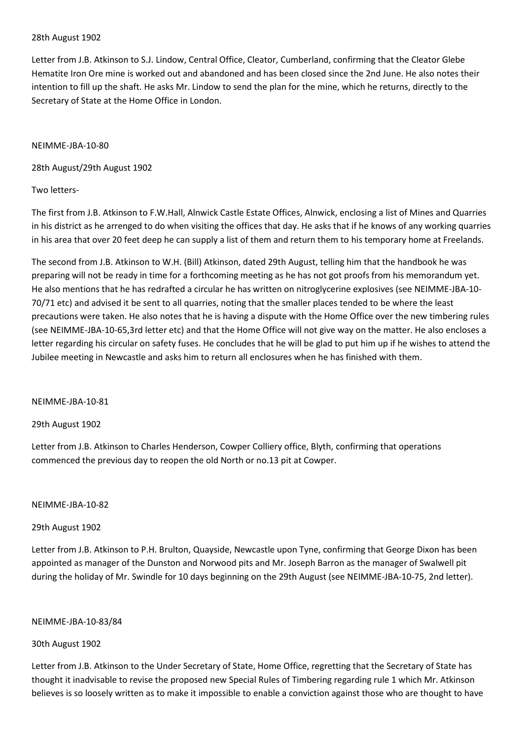#### 28th August 1902

Letter from J.B. Atkinson to S.J. Lindow, Central Office, Cleator, Cumberland, confirming that the Cleator Glebe Hematite Iron Ore mine is worked out and abandoned and has been closed since the 2nd June. He also notes their intention to fill up the shaft. He asks Mr. Lindow to send the plan for the mine, which he returns, directly to the Secretary of State at the Home Office in London.

#### NEIMME-JBA-10-80

28th August/29th August 1902

### Two letters-

The first from J.B. Atkinson to F.W.Hall, Alnwick Castle Estate Offices, Alnwick, enclosing a list of Mines and Quarries in his district as he arrenged to do when visiting the offices that day. He asks that if he knows of any working quarries in his area that over 20 feet deep he can supply a list of them and return them to his temporary home at Freelands.

The second from J.B. Atkinson to W.H. (Bill) Atkinson, dated 29th August, telling him that the handbook he was preparing will not be ready in time for a forthcoming meeting as he has not got proofs from his memorandum yet. He also mentions that he has redrafted a circular he has written on nitroglycerine explosives (see NEIMME-JBA-10- 70/71 etc) and advised it be sent to all quarries, noting that the smaller places tended to be where the least precautions were taken. He also notes that he is having a dispute with the Home Office over the new timbering rules (see NEIMME-JBA-10-65,3rd letter etc) and that the Home Office will not give way on the matter. He also encloses a letter regarding his circular on safety fuses. He concludes that he will be glad to put him up if he wishes to attend the Jubilee meeting in Newcastle and asks him to return all enclosures when he has finished with them.

NEIMME-JBA-10-81

### 29th August 1902

Letter from J.B. Atkinson to Charles Henderson, Cowper Colliery office, Blyth, confirming that operations commenced the previous day to reopen the old North or no.13 pit at Cowper.

### NEIMME-JBA-10-82

### 29th August 1902

Letter from J.B. Atkinson to P.H. Brulton, Quayside, Newcastle upon Tyne, confirming that George Dixon has been appointed as manager of the Dunston and Norwood pits and Mr. Joseph Barron as the manager of Swalwell pit during the holiday of Mr. Swindle for 10 days beginning on the 29th August (see NEIMME-JBA-10-75, 2nd letter).

#### NEIMME-JBA-10-83/84

### 30th August 1902

Letter from J.B. Atkinson to the Under Secretary of State, Home Office, regretting that the Secretary of State has thought it inadvisable to revise the proposed new Special Rules of Timbering regarding rule 1 which Mr. Atkinson believes is so loosely written as to make it impossible to enable a conviction against those who are thought to have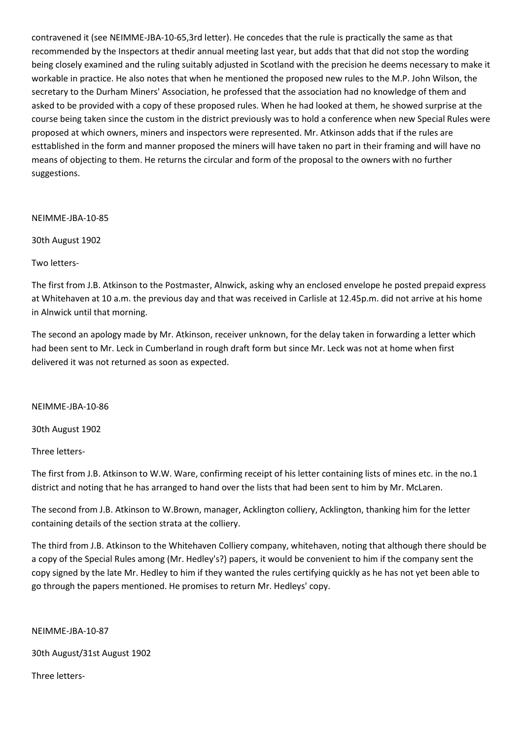contravened it (see NEIMME-JBA-10-65,3rd letter). He concedes that the rule is practically the same as that recommended by the Inspectors at thedir annual meeting last year, but adds that that did not stop the wording being closely examined and the ruling suitably adjusted in Scotland with the precision he deems necessary to make it workable in practice. He also notes that when he mentioned the proposed new rules to the M.P. John Wilson, the secretary to the Durham Miners' Association, he professed that the association had no knowledge of them and asked to be provided with a copy of these proposed rules. When he had looked at them, he showed surprise at the course being taken since the custom in the district previously was to hold a conference when new Special Rules were proposed at which owners, miners and inspectors were represented. Mr. Atkinson adds that if the rules are esttablished in the form and manner proposed the miners will have taken no part in their framing and will have no means of objecting to them. He returns the circular and form of the proposal to the owners with no further suggestions.

NEIMME-JBA-10-85

30th August 1902

Two letters-

The first from J.B. Atkinson to the Postmaster, Alnwick, asking why an enclosed envelope he posted prepaid express at Whitehaven at 10 a.m. the previous day and that was received in Carlisle at 12.45p.m. did not arrive at his home in Alnwick until that morning.

The second an apology made by Mr. Atkinson, receiver unknown, for the delay taken in forwarding a letter which had been sent to Mr. Leck in Cumberland in rough draft form but since Mr. Leck was not at home when first delivered it was not returned as soon as expected.

NEIMME-JBA-10-86

30th August 1902

Three letters-

The first from J.B. Atkinson to W.W. Ware, confirming receipt of his letter containing lists of mines etc. in the no.1 district and noting that he has arranged to hand over the lists that had been sent to him by Mr. McLaren.

The second from J.B. Atkinson to W.Brown, manager, Acklington colliery, Acklington, thanking him for the letter containing details of the section strata at the colliery.

The third from J.B. Atkinson to the Whitehaven Colliery company, whitehaven, noting that although there should be a copy of the Special Rules among (Mr. Hedley's?) papers, it would be convenient to him if the company sent the copy signed by the late Mr. Hedley to him if they wanted the rules certifying quickly as he has not yet been able to go through the papers mentioned. He promises to return Mr. Hedleys' copy.

NEIMME-JBA-10-87

30th August/31st August 1902

Three letters-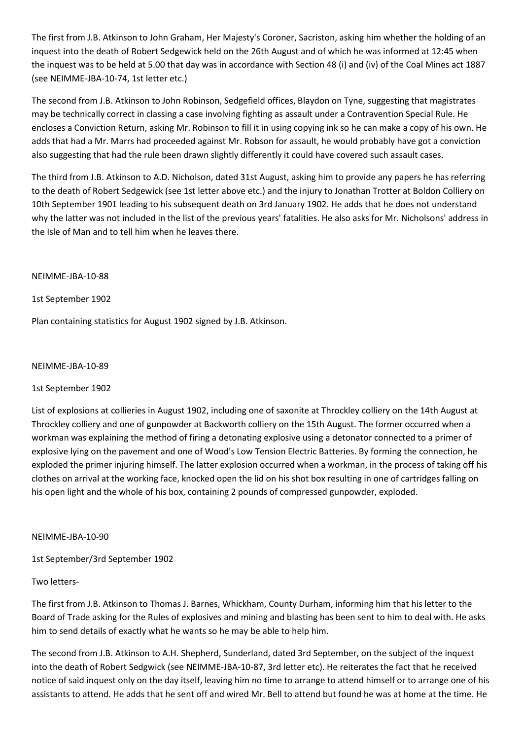The first from J.B. Atkinson to John Graham, Her Majesty's Coroner, Sacriston, asking him whether the holding of an inquest into the death of Robert Sedgewick held on the 26th August and of which he was informed at 12:45 when the inquest was to be held at 5.00 that day was in accordance with Section 48 (i) and (iv) of the Coal Mines act 1887 (see NEIMME-JBA-10-74, 1st letter etc.)

The second from J.B. Atkinson to John Robinson, Sedgefield offices, Blaydon on Tyne, suggesting that magistrates may be technically correct in classing a case involving fighting as assault under a Contravention Special Rule. He encloses a Conviction Return, asking Mr. Robinson to fill it in using copying ink so he can make a copy of his own. He adds that had a Mr. Marrs had proceeded against Mr. Robson for assault, he would probably have got a conviction also suggesting that had the rule been drawn slightly differently it could have covered such assault cases.

The third from J.B. Atkinson to A.D. Nicholson, dated 31st August, asking him to provide any papers he has referring to the death of Robert Sedgewick (see 1st letter above etc.) and the injury to Jonathan Trotter at Boldon Colliery on 10th September 1901 leading to his subsequent death on 3rd January 1902. He adds that he does not understand why the latter was not included in the list of the previous years' fatalities. He also asks for Mr. Nicholsons' address in the Isle of Man and to tell him when he leaves there.

### NEIMME-JBA-10-88

1st September 1902

Plan containing statistics for August 1902 signed by J.B. Atkinson.

### NEIMME-JBA-10-89

# 1st September 1902

List of explosions at collieries in August 1902, including one of saxonite at Throckley colliery on the 14th August at Throckley colliery and one of gunpowder at Backworth colliery on the 15th August. The former occurred when a workman was explaining the method of firing a detonating explosive using a detonator connected to a primer of explosive lying on the pavement and one of Wood's Low Tension Electric Batteries. By forming the connection, he exploded the primer injuring himself. The latter explosion occurred when a workman, in the process of taking off his clothes on arrival at the working face, knocked open the lid on his shot box resulting in one of cartridges falling on his open light and the whole of his box, containing 2 pounds of compressed gunpowder, exploded.

### NEIMME-JBA-10-90

1st September/3rd September 1902

# Two letters-

The first from J.B. Atkinson to Thomas J. Barnes, Whickham, County Durham, informing him that his letter to the Board of Trade asking for the Rules of explosives and mining and blasting has been sent to him to deal with. He asks him to send details of exactly what he wants so he may be able to help him.

The second from J.B. Atkinson to A.H. Shepherd, Sunderland, dated 3rd September, on the subject of the inquest into the death of Robert Sedgwick (see NEIMME-JBA-10-87, 3rd letter etc). He reiterates the fact that he received notice of said inquest only on the day itself, leaving him no time to arrange to attend himself or to arrange one of his assistants to attend. He adds that he sent off and wired Mr. Bell to attend but found he was at home at the time. He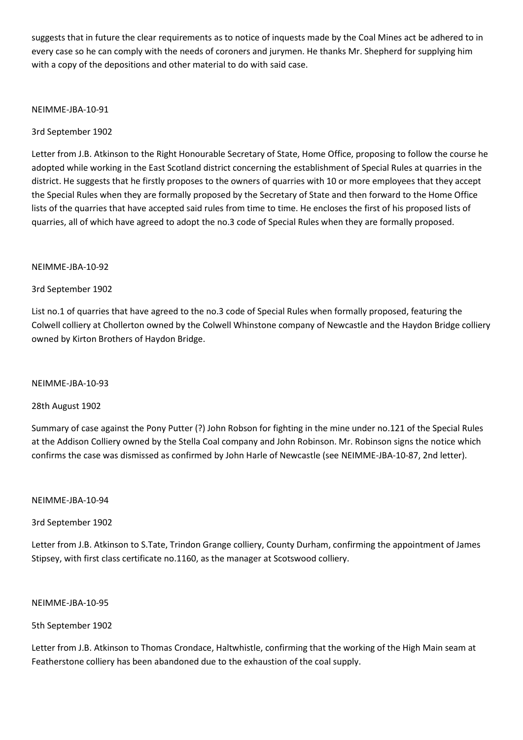suggests that in future the clear requirements as to notice of inquests made by the Coal Mines act be adhered to in every case so he can comply with the needs of coroners and jurymen. He thanks Mr. Shepherd for supplying him with a copy of the depositions and other material to do with said case.

### NEIMME-JBA-10-91

3rd September 1902

Letter from J.B. Atkinson to the Right Honourable Secretary of State, Home Office, proposing to follow the course he adopted while working in the East Scotland district concerning the establishment of Special Rules at quarries in the district. He suggests that he firstly proposes to the owners of quarries with 10 or more employees that they accept the Special Rules when they are formally proposed by the Secretary of State and then forward to the Home Office lists of the quarries that have accepted said rules from time to time. He encloses the first of his proposed lists of quarries, all of which have agreed to adopt the no.3 code of Special Rules when they are formally proposed.

### NEIMME-JBA-10-92

### 3rd September 1902

List no.1 of quarries that have agreed to the no.3 code of Special Rules when formally proposed, featuring the Colwell colliery at Chollerton owned by the Colwell Whinstone company of Newcastle and the Haydon Bridge colliery owned by Kirton Brothers of Haydon Bridge.

NEIMME-JBA-10-93

### 28th August 1902

Summary of case against the Pony Putter (?) John Robson for fighting in the mine under no.121 of the Special Rules at the Addison Colliery owned by the Stella Coal company and John Robinson. Mr. Robinson signs the notice which confirms the case was dismissed as confirmed by John Harle of Newcastle (see NEIMME-JBA-10-87, 2nd letter).

### NEIMME-JBA-10-94

# 3rd September 1902

Letter from J.B. Atkinson to S.Tate, Trindon Grange colliery, County Durham, confirming the appointment of James Stipsey, with first class certificate no.1160, as the manager at Scotswood colliery.

### NEIMME-JBA-10-95

# 5th September 1902

Letter from J.B. Atkinson to Thomas Crondace, Haltwhistle, confirming that the working of the High Main seam at Featherstone colliery has been abandoned due to the exhaustion of the coal supply.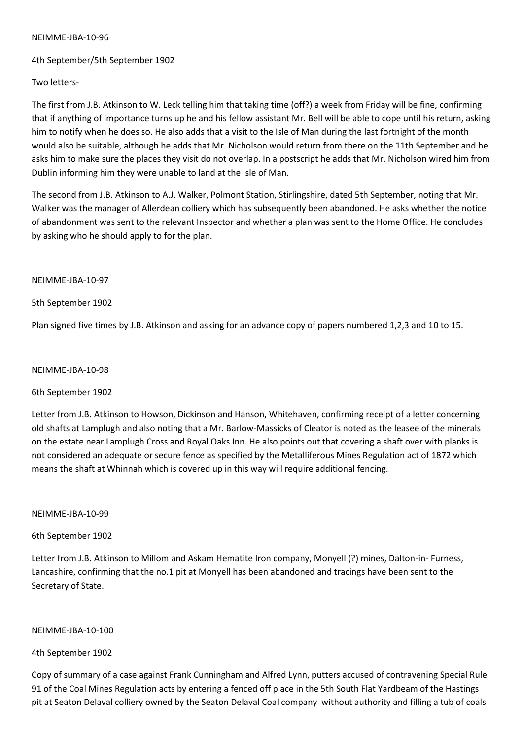4th September/5th September 1902

Two letters-

The first from J.B. Atkinson to W. Leck telling him that taking time (off?) a week from Friday will be fine, confirming that if anything of importance turns up he and his fellow assistant Mr. Bell will be able to cope until his return, asking him to notify when he does so. He also adds that a visit to the Isle of Man during the last fortnight of the month would also be suitable, although he adds that Mr. Nicholson would return from there on the 11th September and he asks him to make sure the places they visit do not overlap. In a postscript he adds that Mr. Nicholson wired him from Dublin informing him they were unable to land at the Isle of Man.

The second from J.B. Atkinson to A.J. Walker, Polmont Station, Stirlingshire, dated 5th September, noting that Mr. Walker was the manager of Allerdean colliery which has subsequently been abandoned. He asks whether the notice of abandonment was sent to the relevant Inspector and whether a plan was sent to the Home Office. He concludes by asking who he should apply to for the plan.

NEIMME-JBA-10-97

5th September 1902

Plan signed five times by J.B. Atkinson and asking for an advance copy of papers numbered 1,2,3 and 10 to 15.

#### NEIMME-JBA-10-98

6th September 1902

Letter from J.B. Atkinson to Howson, Dickinson and Hanson, Whitehaven, confirming receipt of a letter concerning old shafts at Lamplugh and also noting that a Mr. Barlow-Massicks of Cleator is noted as the leasee of the minerals on the estate near Lamplugh Cross and Royal Oaks Inn. He also points out that covering a shaft over with planks is not considered an adequate or secure fence as specified by the Metalliferous Mines Regulation act of 1872 which means the shaft at Whinnah which is covered up in this way will require additional fencing.

NEIMME-JBA-10-99

### 6th September 1902

Letter from J.B. Atkinson to Millom and Askam Hematite Iron company, Monyell (?) mines, Dalton-in- Furness, Lancashire, confirming that the no.1 pit at Monyell has been abandoned and tracings have been sent to the Secretary of State.

NEIMME-JBA-10-100

4th September 1902

Copy of summary of a case against Frank Cunningham and Alfred Lynn, putters accused of contravening Special Rule 91 of the Coal Mines Regulation acts by entering a fenced off place in the 5th South Flat Yardbeam of the Hastings pit at Seaton Delaval colliery owned by the Seaton Delaval Coal company without authority and filling a tub of coals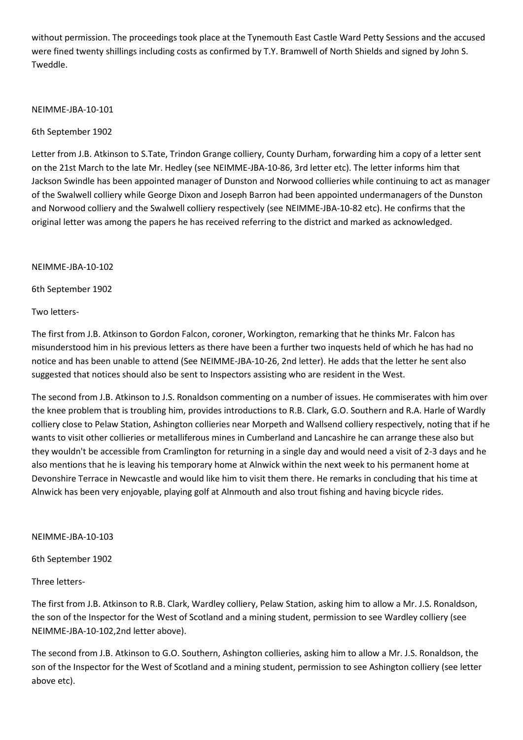without permission. The proceedings took place at the Tynemouth East Castle Ward Petty Sessions and the accused were fined twenty shillings including costs as confirmed by T.Y. Bramwell of North Shields and signed by John S. Tweddle.

### NEIMME-JBA-10-101

6th September 1902

Letter from J.B. Atkinson to S.Tate, Trindon Grange colliery, County Durham, forwarding him a copy of a letter sent on the 21st March to the late Mr. Hedley (see NEIMME-JBA-10-86, 3rd letter etc). The letter informs him that Jackson Swindle has been appointed manager of Dunston and Norwood collieries while continuing to act as manager of the Swalwell colliery while George Dixon and Joseph Barron had been appointed undermanagers of the Dunston and Norwood colliery and the Swalwell colliery respectively (see NEIMME-JBA-10-82 etc). He confirms that the original letter was among the papers he has received referring to the district and marked as acknowledged.

NEIMME-JBA-10-102

6th September 1902

Two letters-

The first from J.B. Atkinson to Gordon Falcon, coroner, Workington, remarking that he thinks Mr. Falcon has misunderstood him in his previous letters as there have been a further two inquests held of which he has had no notice and has been unable to attend (See NEIMME-JBA-10-26, 2nd letter). He adds that the letter he sent also suggested that notices should also be sent to Inspectors assisting who are resident in the West.

The second from J.B. Atkinson to J.S. Ronaldson commenting on a number of issues. He commiserates with him over the knee problem that is troubling him, provides introductions to R.B. Clark, G.O. Southern and R.A. Harle of Wardly colliery close to Pelaw Station, Ashington collieries near Morpeth and Wallsend colliery respectively, noting that if he wants to visit other collieries or metalliferous mines in Cumberland and Lancashire he can arrange these also but they wouldn't be accessible from Cramlington for returning in a single day and would need a visit of 2-3 days and he also mentions that he is leaving his temporary home at Alnwick within the next week to his permanent home at Devonshire Terrace in Newcastle and would like him to visit them there. He remarks in concluding that his time at Alnwick has been very enjoyable, playing golf at Alnmouth and also trout fishing and having bicycle rides.

#### NEIMME-JBA-10-103

6th September 1902

Three letters-

The first from J.B. Atkinson to R.B. Clark, Wardley colliery, Pelaw Station, asking him to allow a Mr. J.S. Ronaldson, the son of the Inspector for the West of Scotland and a mining student, permission to see Wardley colliery (see NEIMME-JBA-10-102,2nd letter above).

The second from J.B. Atkinson to G.O. Southern, Ashington collieries, asking him to allow a Mr. J.S. Ronaldson, the son of the Inspector for the West of Scotland and a mining student, permission to see Ashington colliery (see letter above etc).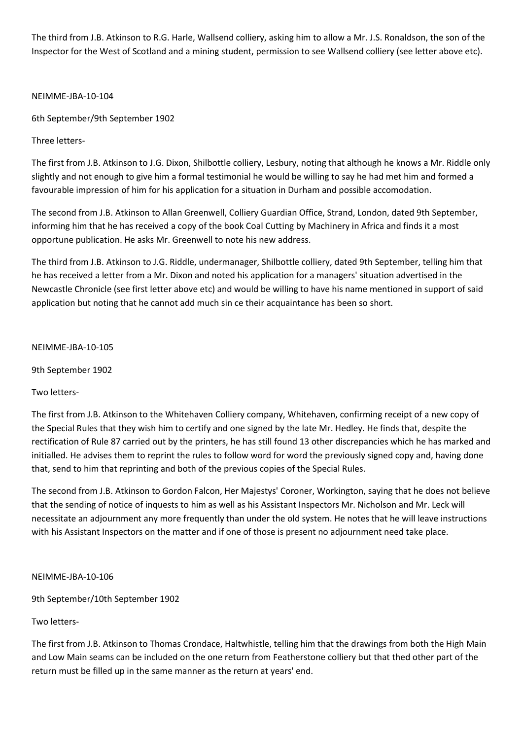The third from J.B. Atkinson to R.G. Harle, Wallsend colliery, asking him to allow a Mr. J.S. Ronaldson, the son of the Inspector for the West of Scotland and a mining student, permission to see Wallsend colliery (see letter above etc).

NEIMME-JBA-10-104

6th September/9th September 1902

Three letters-

The first from J.B. Atkinson to J.G. Dixon, Shilbottle colliery, Lesbury, noting that although he knows a Mr. Riddle only slightly and not enough to give him a formal testimonial he would be willing to say he had met him and formed a favourable impression of him for his application for a situation in Durham and possible accomodation.

The second from J.B. Atkinson to Allan Greenwell, Colliery Guardian Office, Strand, London, dated 9th September, informing him that he has received a copy of the book Coal Cutting by Machinery in Africa and finds it a most opportune publication. He asks Mr. Greenwell to note his new address.

The third from J.B. Atkinson to J.G. Riddle, undermanager, Shilbottle colliery, dated 9th September, telling him that he has received a letter from a Mr. Dixon and noted his application for a managers' situation advertised in the Newcastle Chronicle (see first letter above etc) and would be willing to have his name mentioned in support of said application but noting that he cannot add much sin ce their acquaintance has been so short.

NEIMME-JBA-10-105

9th September 1902

Two letters-

The first from J.B. Atkinson to the Whitehaven Colliery company, Whitehaven, confirming receipt of a new copy of the Special Rules that they wish him to certify and one signed by the late Mr. Hedley. He finds that, despite the rectification of Rule 87 carried out by the printers, he has still found 13 other discrepancies which he has marked and initialled. He advises them to reprint the rules to follow word for word the previously signed copy and, having done that, send to him that reprinting and both of the previous copies of the Special Rules.

The second from J.B. Atkinson to Gordon Falcon, Her Majestys' Coroner, Workington, saying that he does not believe that the sending of notice of inquests to him as well as his Assistant Inspectors Mr. Nicholson and Mr. Leck will necessitate an adjournment any more frequently than under the old system. He notes that he will leave instructions with his Assistant Inspectors on the matter and if one of those is present no adjournment need take place.

### NEIMME-JBA-10-106

9th September/10th September 1902

# Two letters-

The first from J.B. Atkinson to Thomas Crondace, Haltwhistle, telling him that the drawings from both the High Main and Low Main seams can be included on the one return from Featherstone colliery but that thed other part of the return must be filled up in the same manner as the return at years' end.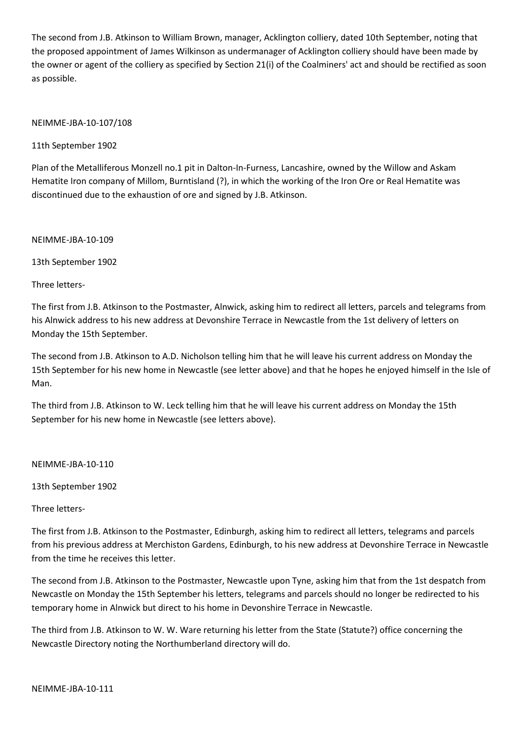The second from J.B. Atkinson to William Brown, manager, Acklington colliery, dated 10th September, noting that the proposed appointment of James Wilkinson as undermanager of Acklington colliery should have been made by the owner or agent of the colliery as specified by Section 21(i) of the Coalminers' act and should be rectified as soon as possible.

### NEIMME-JBA-10-107/108

11th September 1902

Plan of the Metalliferous Monzell no.1 pit in Dalton-In-Furness, Lancashire, owned by the Willow and Askam Hematite Iron company of Millom, Burntisland (?), in which the working of the Iron Ore or Real Hematite was discontinued due to the exhaustion of ore and signed by J.B. Atkinson.

NEIMME-JBA-10-109

13th September 1902

Three letters-

The first from J.B. Atkinson to the Postmaster, Alnwick, asking him to redirect all letters, parcels and telegrams from his Alnwick address to his new address at Devonshire Terrace in Newcastle from the 1st delivery of letters on Monday the 15th September.

The second from J.B. Atkinson to A.D. Nicholson telling him that he will leave his current address on Monday the 15th September for his new home in Newcastle (see letter above) and that he hopes he enjoyed himself in the Isle of Man.

The third from J.B. Atkinson to W. Leck telling him that he will leave his current address on Monday the 15th September for his new home in Newcastle (see letters above).

NEIMME-JBA-10-110

13th September 1902

Three letters-

The first from J.B. Atkinson to the Postmaster, Edinburgh, asking him to redirect all letters, telegrams and parcels from his previous address at Merchiston Gardens, Edinburgh, to his new address at Devonshire Terrace in Newcastle from the time he receives this letter.

The second from J.B. Atkinson to the Postmaster, Newcastle upon Tyne, asking him that from the 1st despatch from Newcastle on Monday the 15th September his letters, telegrams and parcels should no longer be redirected to his temporary home in Alnwick but direct to his home in Devonshire Terrace in Newcastle.

The third from J.B. Atkinson to W. W. Ware returning his letter from the State (Statute?) office concerning the Newcastle Directory noting the Northumberland directory will do.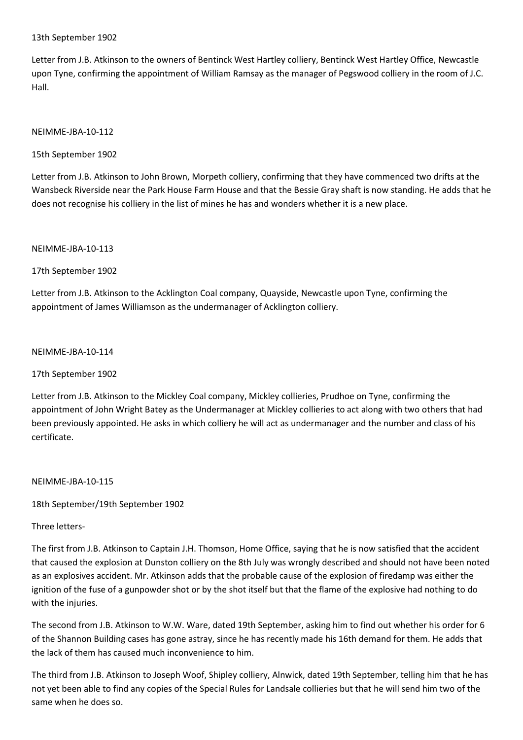### 13th September 1902

Letter from J.B. Atkinson to the owners of Bentinck West Hartley colliery, Bentinck West Hartley Office, Newcastle upon Tyne, confirming the appointment of William Ramsay as the manager of Pegswood colliery in the room of J.C. Hall.

### NEIMME-JBA-10-112

15th September 1902

Letter from J.B. Atkinson to John Brown, Morpeth colliery, confirming that they have commenced two drifts at the Wansbeck Riverside near the Park House Farm House and that the Bessie Gray shaft is now standing. He adds that he does not recognise his colliery in the list of mines he has and wonders whether it is a new place.

NEIMME-JBA-10-113

17th September 1902

Letter from J.B. Atkinson to the Acklington Coal company, Quayside, Newcastle upon Tyne, confirming the appointment of James Williamson as the undermanager of Acklington colliery.

NEIMME-JBA-10-114

17th September 1902

Letter from J.B. Atkinson to the Mickley Coal company, Mickley collieries, Prudhoe on Tyne, confirming the appointment of John Wright Batey as the Undermanager at Mickley collieries to act along with two others that had been previously appointed. He asks in which colliery he will act as undermanager and the number and class of his certificate.

NEIMME-JBA-10-115

18th September/19th September 1902

Three letters-

The first from J.B. Atkinson to Captain J.H. Thomson, Home Office, saying that he is now satisfied that the accident that caused the explosion at Dunston colliery on the 8th July was wrongly described and should not have been noted as an explosives accident. Mr. Atkinson adds that the probable cause of the explosion of firedamp was either the ignition of the fuse of a gunpowder shot or by the shot itself but that the flame of the explosive had nothing to do with the injuries.

The second from J.B. Atkinson to W.W. Ware, dated 19th September, asking him to find out whether his order for 6 of the Shannon Building cases has gone astray, since he has recently made his 16th demand for them. He adds that the lack of them has caused much inconvenience to him.

The third from J.B. Atkinson to Joseph Woof, Shipley colliery, Alnwick, dated 19th September, telling him that he has not yet been able to find any copies of the Special Rules for Landsale collieries but that he will send him two of the same when he does so.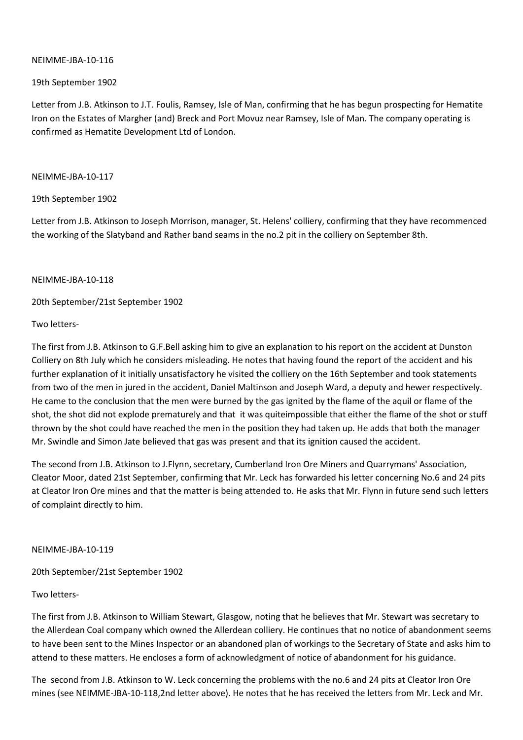## 19th September 1902

Letter from J.B. Atkinson to J.T. Foulis, Ramsey, Isle of Man, confirming that he has begun prospecting for Hematite Iron on the Estates of Margher (and) Breck and Port Movuz near Ramsey, Isle of Man. The company operating is confirmed as Hematite Development Ltd of London.

### NEIMME-JBA-10-117

### 19th September 1902

Letter from J.B. Atkinson to Joseph Morrison, manager, St. Helens' colliery, confirming that they have recommenced the working of the Slatyband and Rather band seams in the no.2 pit in the colliery on September 8th.

### NEIMME-JBA-10-118

20th September/21st September 1902

# Two letters-

The first from J.B. Atkinson to G.F.Bell asking him to give an explanation to his report on the accident at Dunston Colliery on 8th July which he considers misleading. He notes that having found the report of the accident and his further explanation of it initially unsatisfactory he visited the colliery on the 16th September and took statements from two of the men in jured in the accident, Daniel Maltinson and Joseph Ward, a deputy and hewer respectively. He came to the conclusion that the men were burned by the gas ignited by the flame of the aquil or flame of the shot, the shot did not explode prematurely and that it was quiteimpossible that either the flame of the shot or stuff thrown by the shot could have reached the men in the position they had taken up. He adds that both the manager Mr. Swindle and Simon Jate believed that gas was present and that its ignition caused the accident.

The second from J.B. Atkinson to J.Flynn, secretary, Cumberland Iron Ore Miners and Quarrymans' Association, Cleator Moor, dated 21st September, confirming that Mr. Leck has forwarded his letter concerning No.6 and 24 pits at Cleator Iron Ore mines and that the matter is being attended to. He asks that Mr. Flynn in future send such letters of complaint directly to him.

### NEIMME-JBA-10-119

20th September/21st September 1902

# Two letters-

The first from J.B. Atkinson to William Stewart, Glasgow, noting that he believes that Mr. Stewart was secretary to the Allerdean Coal company which owned the Allerdean colliery. He continues that no notice of abandonment seems to have been sent to the Mines Inspector or an abandoned plan of workings to the Secretary of State and asks him to attend to these matters. He encloses a form of acknowledgment of notice of abandonment for his guidance.

The second from J.B. Atkinson to W. Leck concerning the problems with the no.6 and 24 pits at Cleator Iron Ore mines (see NEIMME-JBA-10-118,2nd letter above). He notes that he has received the letters from Mr. Leck and Mr.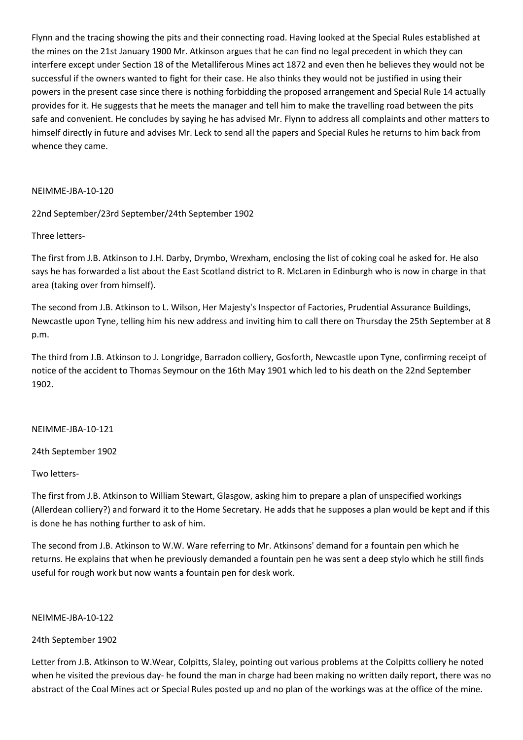Flynn and the tracing showing the pits and their connecting road. Having looked at the Special Rules established at the mines on the 21st January 1900 Mr. Atkinson argues that he can find no legal precedent in which they can interfere except under Section 18 of the Metalliferous Mines act 1872 and even then he believes they would not be successful if the owners wanted to fight for their case. He also thinks they would not be justified in using their powers in the present case since there is nothing forbidding the proposed arrangement and Special Rule 14 actually provides for it. He suggests that he meets the manager and tell him to make the travelling road between the pits safe and convenient. He concludes by saying he has advised Mr. Flynn to address all complaints and other matters to himself directly in future and advises Mr. Leck to send all the papers and Special Rules he returns to him back from whence they came.

### NEIMME-JBA-10-120

22nd September/23rd September/24th September 1902

Three letters-

The first from J.B. Atkinson to J.H. Darby, Drymbo, Wrexham, enclosing the list of coking coal he asked for. He also says he has forwarded a list about the East Scotland district to R. McLaren in Edinburgh who is now in charge in that area (taking over from himself).

The second from J.B. Atkinson to L. Wilson, Her Majesty's Inspector of Factories, Prudential Assurance Buildings, Newcastle upon Tyne, telling him his new address and inviting him to call there on Thursday the 25th September at 8 p.m.

The third from J.B. Atkinson to J. Longridge, Barradon colliery, Gosforth, Newcastle upon Tyne, confirming receipt of notice of the accident to Thomas Seymour on the 16th May 1901 which led to his death on the 22nd September 1902.

### NEIMME-JBA-10-121

24th September 1902

### Two letters-

The first from J.B. Atkinson to William Stewart, Glasgow, asking him to prepare a plan of unspecified workings (Allerdean colliery?) and forward it to the Home Secretary. He adds that he supposes a plan would be kept and if this is done he has nothing further to ask of him.

The second from J.B. Atkinson to W.W. Ware referring to Mr. Atkinsons' demand for a fountain pen which he returns. He explains that when he previously demanded a fountain pen he was sent a deep stylo which he still finds useful for rough work but now wants a fountain pen for desk work.

### NEIMME-JBA-10-122

# 24th September 1902

Letter from J.B. Atkinson to W.Wear, Colpitts, Slaley, pointing out various problems at the Colpitts colliery he noted when he visited the previous day- he found the man in charge had been making no written daily report, there was no abstract of the Coal Mines act or Special Rules posted up and no plan of the workings was at the office of the mine.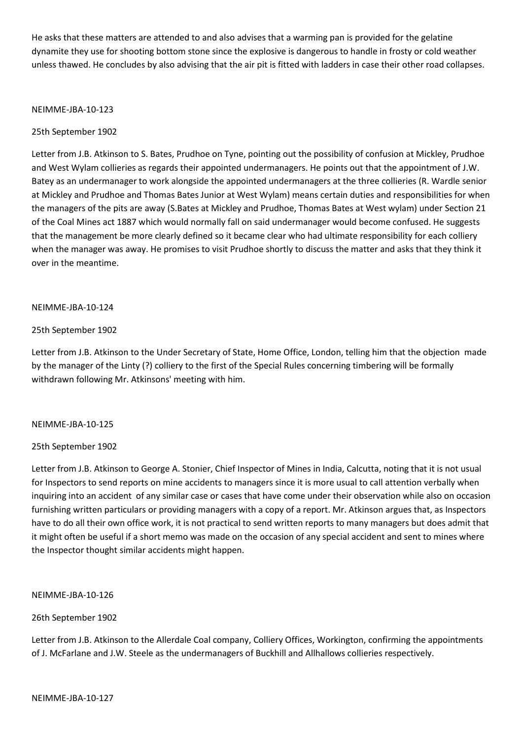He asks that these matters are attended to and also advises that a warming pan is provided for the gelatine dynamite they use for shooting bottom stone since the explosive is dangerous to handle in frosty or cold weather unless thawed. He concludes by also advising that the air pit is fitted with ladders in case their other road collapses.

### NEIMME-JBA-10-123

### 25th September 1902

Letter from J.B. Atkinson to S. Bates, Prudhoe on Tyne, pointing out the possibility of confusion at Mickley, Prudhoe and West Wylam collieries as regards their appointed undermanagers. He points out that the appointment of J.W. Batey as an undermanager to work alongside the appointed undermanagers at the three collieries (R. Wardle senior at Mickley and Prudhoe and Thomas Bates Junior at West Wylam) means certain duties and responsibilities for when the managers of the pits are away (S.Bates at Mickley and Prudhoe, Thomas Bates at West wylam) under Section 21 of the Coal Mines act 1887 which would normally fall on said undermanager would become confused. He suggests that the management be more clearly defined so it became clear who had ultimate responsibility for each colliery when the manager was away. He promises to visit Prudhoe shortly to discuss the matter and asks that they think it over in the meantime.

#### NEIMME-JBA-10-124

### 25th September 1902

Letter from J.B. Atkinson to the Under Secretary of State, Home Office, London, telling him that the objection made by the manager of the Linty (?) colliery to the first of the Special Rules concerning timbering will be formally withdrawn following Mr. Atkinsons' meeting with him.

#### NEIMME-JBA-10-125

### 25th September 1902

Letter from J.B. Atkinson to George A. Stonier, Chief Inspector of Mines in India, Calcutta, noting that it is not usual for Inspectors to send reports on mine accidents to managers since it is more usual to call attention verbally when inquiring into an accident of any similar case or cases that have come under their observation while also on occasion furnishing written particulars or providing managers with a copy of a report. Mr. Atkinson argues that, as Inspectors have to do all their own office work, it is not practical to send written reports to many managers but does admit that it might often be useful if a short memo was made on the occasion of any special accident and sent to mines where the Inspector thought similar accidents might happen.

#### NEIMME-JBA-10-126

### 26th September 1902

Letter from J.B. Atkinson to the Allerdale Coal company, Colliery Offices, Workington, confirming the appointments of J. McFarlane and J.W. Steele as the undermanagers of Buckhill and Allhallows collieries respectively.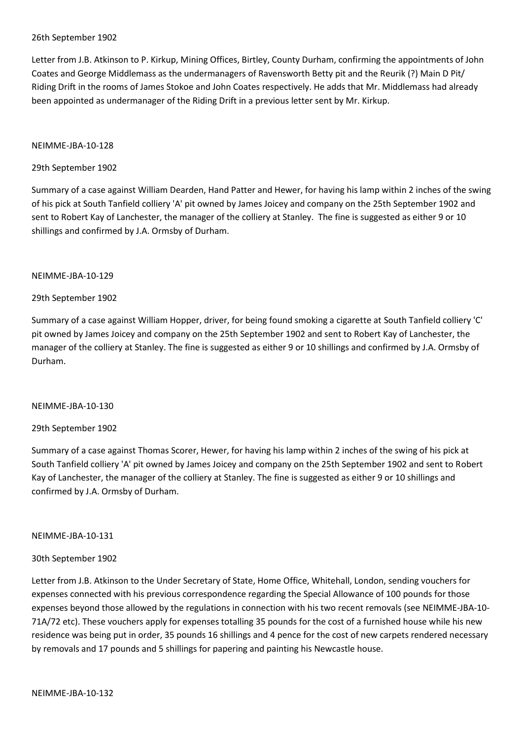### 26th September 1902

Letter from J.B. Atkinson to P. Kirkup, Mining Offices, Birtley, County Durham, confirming the appointments of John Coates and George Middlemass as the undermanagers of Ravensworth Betty pit and the Reurik (?) Main D Pit/ Riding Drift in the rooms of James Stokoe and John Coates respectively. He adds that Mr. Middlemass had already been appointed as undermanager of the Riding Drift in a previous letter sent by Mr. Kirkup.

### NEIMME-JBA-10-128

### 29th September 1902

Summary of a case against William Dearden, Hand Patter and Hewer, for having his lamp within 2 inches of the swing of his pick at South Tanfield colliery 'A' pit owned by James Joicey and company on the 25th September 1902 and sent to Robert Kay of Lanchester, the manager of the colliery at Stanley. The fine is suggested as either 9 or 10 shillings and confirmed by J.A. Ormsby of Durham.

### NEIMME-JBA-10-129

### 29th September 1902

Summary of a case against William Hopper, driver, for being found smoking a cigarette at South Tanfield colliery 'C' pit owned by James Joicey and company on the 25th September 1902 and sent to Robert Kay of Lanchester, the manager of the colliery at Stanley. The fine is suggested as either 9 or 10 shillings and confirmed by J.A. Ormsby of Durham.

### NEIMME-JBA-10-130

### 29th September 1902

Summary of a case against Thomas Scorer, Hewer, for having his lamp within 2 inches of the swing of his pick at South Tanfield colliery 'A' pit owned by James Joicey and company on the 25th September 1902 and sent to Robert Kay of Lanchester, the manager of the colliery at Stanley. The fine is suggested as either 9 or 10 shillings and confirmed by J.A. Ormsby of Durham.

### NEIMME-JBA-10-131

### 30th September 1902

Letter from J.B. Atkinson to the Under Secretary of State, Home Office, Whitehall, London, sending vouchers for expenses connected with his previous correspondence regarding the Special Allowance of 100 pounds for those expenses beyond those allowed by the regulations in connection with his two recent removals (see NEIMME-JBA-10- 71A/72 etc). These vouchers apply for expenses totalling 35 pounds for the cost of a furnished house while his new residence was being put in order, 35 pounds 16 shillings and 4 pence for the cost of new carpets rendered necessary by removals and 17 pounds and 5 shillings for papering and painting his Newcastle house.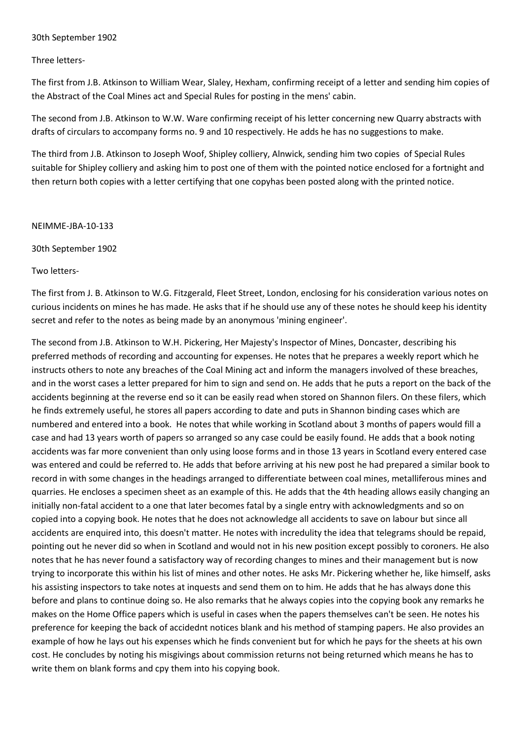### 30th September 1902

Three letters-

The first from J.B. Atkinson to William Wear, Slaley, Hexham, confirming receipt of a letter and sending him copies of the Abstract of the Coal Mines act and Special Rules for posting in the mens' cabin.

The second from J.B. Atkinson to W.W. Ware confirming receipt of his letter concerning new Quarry abstracts with drafts of circulars to accompany forms no. 9 and 10 respectively. He adds he has no suggestions to make.

The third from J.B. Atkinson to Joseph Woof, Shipley colliery, Alnwick, sending him two copies of Special Rules suitable for Shipley colliery and asking him to post one of them with the pointed notice enclosed for a fortnight and then return both copies with a letter certifying that one copyhas been posted along with the printed notice.

NEIMME-JBA-10-133

30th September 1902

Two letters-

The first from J. B. Atkinson to W.G. Fitzgerald, Fleet Street, London, enclosing for his consideration various notes on curious incidents on mines he has made. He asks that if he should use any of these notes he should keep his identity secret and refer to the notes as being made by an anonymous 'mining engineer'.

The second from J.B. Atkinson to W.H. Pickering, Her Majesty's Inspector of Mines, Doncaster, describing his preferred methods of recording and accounting for expenses. He notes that he prepares a weekly report which he instructs others to note any breaches of the Coal Mining act and inform the managers involved of these breaches, and in the worst cases a letter prepared for him to sign and send on. He adds that he puts a report on the back of the accidents beginning at the reverse end so it can be easily read when stored on Shannon filers. On these filers, which he finds extremely useful, he stores all papers according to date and puts in Shannon binding cases which are numbered and entered into a book. He notes that while working in Scotland about 3 months of papers would fill a case and had 13 years worth of papers so arranged so any case could be easily found. He adds that a book noting accidents was far more convenient than only using loose forms and in those 13 years in Scotland every entered case was entered and could be referred to. He adds that before arriving at his new post he had prepared a similar book to record in with some changes in the headings arranged to differentiate between coal mines, metalliferous mines and quarries. He encloses a specimen sheet as an example of this. He adds that the 4th heading allows easily changing an initially non-fatal accident to a one that later becomes fatal by a single entry with acknowledgments and so on copied into a copying book. He notes that he does not acknowledge all accidents to save on labour but since all accidents are enquired into, this doesn't matter. He notes with incredulity the idea that telegrams should be repaid, pointing out he never did so when in Scotland and would not in his new position except possibly to coroners. He also notes that he has never found a satisfactory way of recording changes to mines and their management but is now trying to incorporate this within his list of mines and other notes. He asks Mr. Pickering whether he, like himself, asks his assisting inspectors to take notes at inquests and send them on to him. He adds that he has always done this before and plans to continue doing so. He also remarks that he always copies into the copying book any remarks he makes on the Home Office papers which is useful in cases when the papers themselves can't be seen. He notes his preference for keeping the back of accidednt notices blank and his method of stamping papers. He also provides an example of how he lays out his expenses which he finds convenient but for which he pays for the sheets at his own cost. He concludes by noting his misgivings about commission returns not being returned which means he has to write them on blank forms and cpy them into his copying book.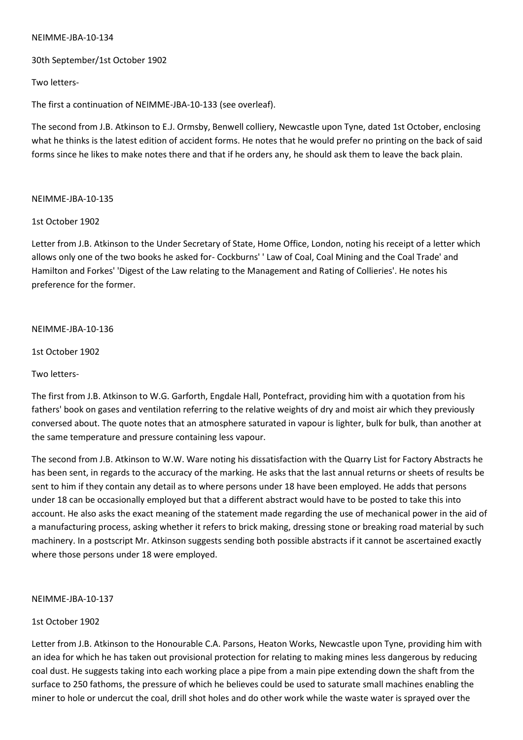30th September/1st October 1902

Two letters-

The first a continuation of NEIMME-JBA-10-133 (see overleaf).

The second from J.B. Atkinson to E.J. Ormsby, Benwell colliery, Newcastle upon Tyne, dated 1st October, enclosing what he thinks is the latest edition of accident forms. He notes that he would prefer no printing on the back of said forms since he likes to make notes there and that if he orders any, he should ask them to leave the back plain.

### NEIMME-JBA-10-135

1st October 1902

Letter from J.B. Atkinson to the Under Secretary of State, Home Office, London, noting his receipt of a letter which allows only one of the two books he asked for- Cockburns' ' Law of Coal, Coal Mining and the Coal Trade' and Hamilton and Forkes' 'Digest of the Law relating to the Management and Rating of Collieries'. He notes his preference for the former.

### NEIMME-JBA-10-136

1st October 1902

Two letters-

The first from J.B. Atkinson to W.G. Garforth, Engdale Hall, Pontefract, providing him with a quotation from his fathers' book on gases and ventilation referring to the relative weights of dry and moist air which they previously conversed about. The quote notes that an atmosphere saturated in vapour is lighter, bulk for bulk, than another at the same temperature and pressure containing less vapour.

The second from J.B. Atkinson to W.W. Ware noting his dissatisfaction with the Quarry List for Factory Abstracts he has been sent, in regards to the accuracy of the marking. He asks that the last annual returns or sheets of results be sent to him if they contain any detail as to where persons under 18 have been employed. He adds that persons under 18 can be occasionally employed but that a different abstract would have to be posted to take this into account. He also asks the exact meaning of the statement made regarding the use of mechanical power in the aid of a manufacturing process, asking whether it refers to brick making, dressing stone or breaking road material by such machinery. In a postscript Mr. Atkinson suggests sending both possible abstracts if it cannot be ascertained exactly where those persons under 18 were employed.

### NEIMME-JBA-10-137

### 1st October 1902

Letter from J.B. Atkinson to the Honourable C.A. Parsons, Heaton Works, Newcastle upon Tyne, providing him with an idea for which he has taken out provisional protection for relating to making mines less dangerous by reducing coal dust. He suggests taking into each working place a pipe from a main pipe extending down the shaft from the surface to 250 fathoms, the pressure of which he believes could be used to saturate small machines enabling the miner to hole or undercut the coal, drill shot holes and do other work while the waste water is sprayed over the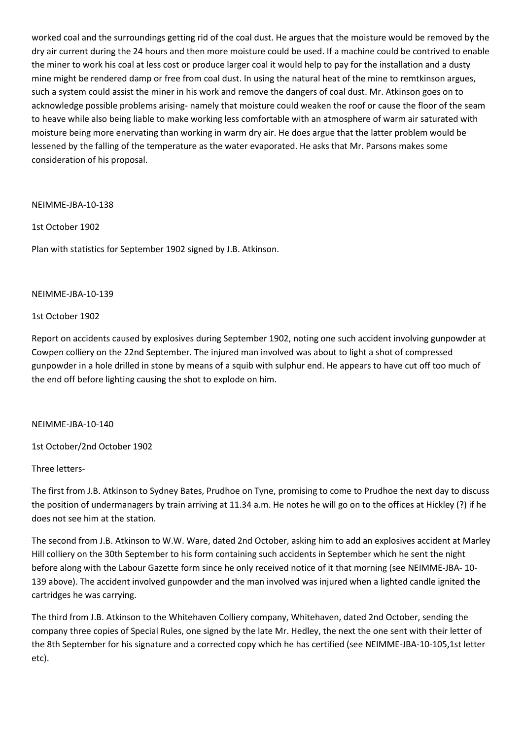worked coal and the surroundings getting rid of the coal dust. He argues that the moisture would be removed by the dry air current during the 24 hours and then more moisture could be used. If a machine could be contrived to enable the miner to work his coal at less cost or produce larger coal it would help to pay for the installation and a dusty mine might be rendered damp or free from coal dust. In using the natural heat of the mine to remtkinson argues, such a system could assist the miner in his work and remove the dangers of coal dust. Mr. Atkinson goes on to acknowledge possible problems arising- namely that moisture could weaken the roof or cause the floor of the seam to heave while also being liable to make working less comfortable with an atmosphere of warm air saturated with moisture being more enervating than working in warm dry air. He does argue that the latter problem would be lessened by the falling of the temperature as the water evaporated. He asks that Mr. Parsons makes some consideration of his proposal.

NEIMME-JBA-10-138

1st October 1902

Plan with statistics for September 1902 signed by J.B. Atkinson.

#### NEIMME-JBA-10-139

### 1st October 1902

Report on accidents caused by explosives during September 1902, noting one such accident involving gunpowder at Cowpen colliery on the 22nd September. The injured man involved was about to light a shot of compressed gunpowder in a hole drilled in stone by means of a squib with sulphur end. He appears to have cut off too much of the end off before lighting causing the shot to explode on him.

### NEIMME-JBA-10-140

1st October/2nd October 1902

### Three letters-

The first from J.B. Atkinson to Sydney Bates, Prudhoe on Tyne, promising to come to Prudhoe the next day to discuss the position of undermanagers by train arriving at 11.34 a.m. He notes he will go on to the offices at Hickley (?) if he does not see him at the station.

The second from J.B. Atkinson to W.W. Ware, dated 2nd October, asking him to add an explosives accident at Marley Hill colliery on the 30th September to his form containing such accidents in September which he sent the night before along with the Labour Gazette form since he only received notice of it that morning (see NEIMME-JBA- 10- 139 above). The accident involved gunpowder and the man involved was injured when a lighted candle ignited the cartridges he was carrying.

The third from J.B. Atkinson to the Whitehaven Colliery company, Whitehaven, dated 2nd October, sending the company three copies of Special Rules, one signed by the late Mr. Hedley, the next the one sent with their letter of the 8th September for his signature and a corrected copy which he has certified (see NEIMME-JBA-10-105,1st letter etc).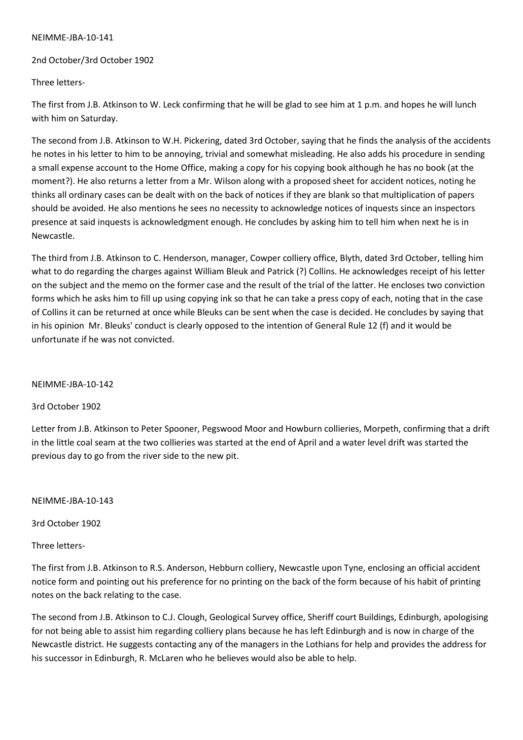### NEIMME-JBA-10-141

## 2nd October/3rd October 1902

## Three letters-

The first from J.B. Atkinson to W. Leck confirming that he will be glad to see him at 1 p.m. and hopes he will lunch with him on Saturday.

The second from J.B. Atkinson to W.H. Pickering, dated 3rd October, saying that he finds the analysis of the accidents he notes in his letter to him to be annoying, trivial and somewhat misleading. He also adds his procedure in sending a small expense account to the Home Office, making a copy for his copying book although he has no book (at the moment?). He also returns a letter from a Mr. Wilson along with a proposed sheet for accident notices, noting he thinks all ordinary cases can be dealt with on the back of notices if they are blank so that multiplication of papers should be avoided. He also mentions he sees no necessity to acknowledge notices of inquests since an inspectors presence at said inquests is acknowledgment enough. He concludes by asking him to tell him when next he is in Newcastle.

The third from J.B. Atkinson to C. Henderson, manager, Cowper colliery office, Blyth, dated 3rd October, telling him what to do regarding the charges against William Bleuk and Patrick (?) Collins. He acknowledges receipt of his letter on the subject and the memo on the former case and the result of the trial of the latter. He encloses two conviction forms which he asks him to fill up using copying ink so that he can take a press copy of each, noting that in the case of Collins it can be returned at once while Bleuks can be sent when the case is decided. He concludes by saying that in his opinion Mr. Bleuks' conduct is clearly opposed to the intention of General Rule 12 (f) and it would be unfortunate if he was not convicted.

## NEIMME-JBA-10-142

## 3rd October 1902

Letter from J.B. Atkinson to Peter Spooner, Pegswood Moor and Howburn collieries, Morpeth, confirming that a drift in the little coal seam at the two collieries was started at the end of April and a water level drift was started the previous day to go from the river side to the new pit.

NEIMME-JBA-10-143

3rd October 1902

## Three letters-

The first from J.B. Atkinson to R.S. Anderson, Hebburn colliery, Newcastle upon Tyne, enclosing an official accident notice form and pointing out his preference for no printing on the back of the form because of his habit of printing notes on the back relating to the case.

The second from J.B. Atkinson to C.J. Clough, Geological Survey office, Sheriff court Buildings, Edinburgh, apologising for not being able to assist him regarding colliery plans because he has left Edinburgh and is now in charge of the Newcastle district. He suggests contacting any of the managers in the Lothians for help and provides the address for his successor in Edinburgh, R. McLaren who he believes would also be able to help.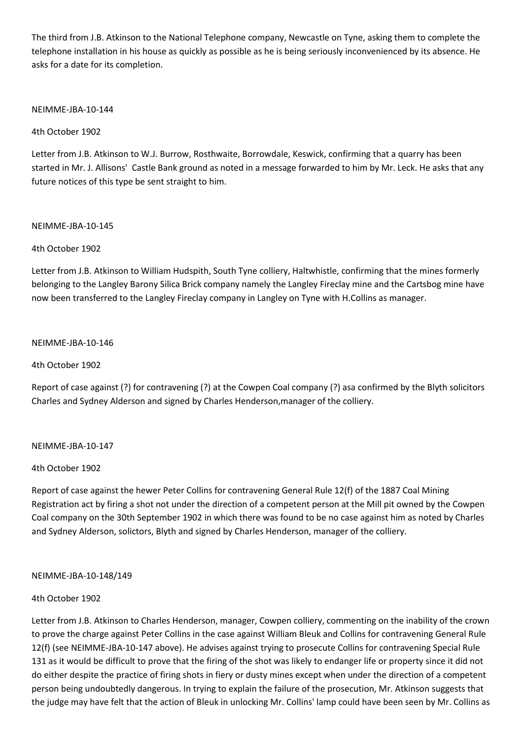The third from J.B. Atkinson to the National Telephone company, Newcastle on Tyne, asking them to complete the telephone installation in his house as quickly as possible as he is being seriously inconvenienced by its absence. He asks for a date for its completion.

## NEIMME-JBA-10-144

4th October 1902

Letter from J.B. Atkinson to W.J. Burrow, Rosthwaite, Borrowdale, Keswick, confirming that a quarry has been started in Mr. J. Allisons' Castle Bank ground as noted in a message forwarded to him by Mr. Leck. He asks that any future notices of this type be sent straight to him.

## NEIMME-JBA-10-145

## 4th October 1902

Letter from J.B. Atkinson to William Hudspith, South Tyne colliery, Haltwhistle, confirming that the mines formerly belonging to the Langley Barony Silica Brick company namely the Langley Fireclay mine and the Cartsbog mine have now been transferred to the Langley Fireclay company in Langley on Tyne with H.Collins as manager.

## NEIMME-JBA-10-146

4th October 1902

Report of case against (?) for contravening (?) at the Cowpen Coal company (?) asa confirmed by the Blyth solicitors Charles and Sydney Alderson and signed by Charles Henderson,manager of the colliery.

# NEIMME-JBA-10-147

## 4th October 1902

Report of case against the hewer Peter Collins for contravening General Rule 12(f) of the 1887 Coal Mining Registration act by firing a shot not under the direction of a competent person at the Mill pit owned by the Cowpen Coal company on the 30th September 1902 in which there was found to be no case against him as noted by Charles and Sydney Alderson, solictors, Blyth and signed by Charles Henderson, manager of the colliery.

## NEIMME-JBA-10-148/149

## 4th October 1902

Letter from J.B. Atkinson to Charles Henderson, manager, Cowpen colliery, commenting on the inability of the crown to prove the charge against Peter Collins in the case against William Bleuk and Collins for contravening General Rule 12(f) (see NEIMME-JBA-10-147 above). He advises against trying to prosecute Collins for contravening Special Rule 131 as it would be difficult to prove that the firing of the shot was likely to endanger life or property since it did not do either despite the practice of firing shots in fiery or dusty mines except when under the direction of a competent person being undoubtedly dangerous. In trying to explain the failure of the prosecution, Mr. Atkinson suggests that the judge may have felt that the action of Bleuk in unlocking Mr. Collins' lamp could have been seen by Mr. Collins as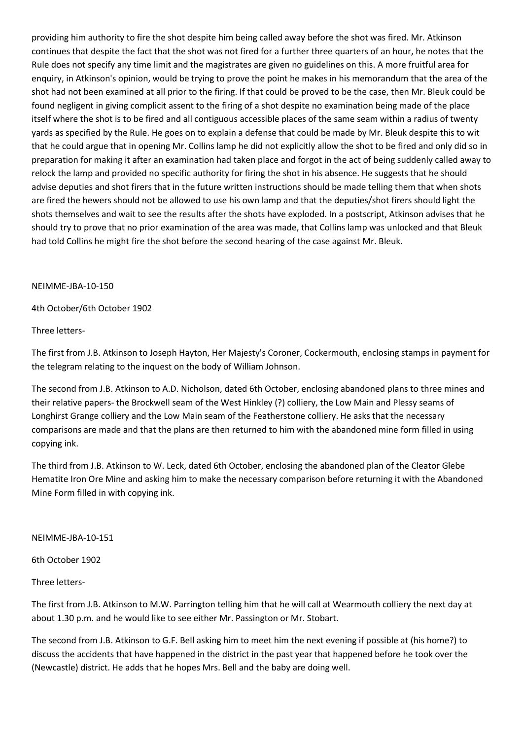providing him authority to fire the shot despite him being called away before the shot was fired. Mr. Atkinson continues that despite the fact that the shot was not fired for a further three quarters of an hour, he notes that the Rule does not specify any time limit and the magistrates are given no guidelines on this. A more fruitful area for enquiry, in Atkinson's opinion, would be trying to prove the point he makes in his memorandum that the area of the shot had not been examined at all prior to the firing. If that could be proved to be the case, then Mr. Bleuk could be found negligent in giving complicit assent to the firing of a shot despite no examination being made of the place itself where the shot is to be fired and all contiguous accessible places of the same seam within a radius of twenty yards as specified by the Rule. He goes on to explain a defense that could be made by Mr. Bleuk despite this to wit that he could argue that in opening Mr. Collins lamp he did not explicitly allow the shot to be fired and only did so in preparation for making it after an examination had taken place and forgot in the act of being suddenly called away to relock the lamp and provided no specific authority for firing the shot in his absence. He suggests that he should advise deputies and shot firers that in the future written instructions should be made telling them that when shots are fired the hewers should not be allowed to use his own lamp and that the deputies/shot firers should light the shots themselves and wait to see the results after the shots have exploded. In a postscript, Atkinson advises that he should try to prove that no prior examination of the area was made, that Collins lamp was unlocked and that Bleuk had told Collins he might fire the shot before the second hearing of the case against Mr. Bleuk.

## NEIMME-JBA-10-150

## 4th October/6th October 1902

Three letters-

The first from J.B. Atkinson to Joseph Hayton, Her Majesty's Coroner, Cockermouth, enclosing stamps in payment for the telegram relating to the inquest on the body of William Johnson.

The second from J.B. Atkinson to A.D. Nicholson, dated 6th October, enclosing abandoned plans to three mines and their relative papers- the Brockwell seam of the West Hinkley (?) colliery, the Low Main and Plessy seams of Longhirst Grange colliery and the Low Main seam of the Featherstone colliery. He asks that the necessary comparisons are made and that the plans are then returned to him with the abandoned mine form filled in using copying ink.

The third from J.B. Atkinson to W. Leck, dated 6th October, enclosing the abandoned plan of the Cleator Glebe Hematite Iron Ore Mine and asking him to make the necessary comparison before returning it with the Abandoned Mine Form filled in with copying ink.

## NEIMME-JBA-10-151

6th October 1902

Three letters-

The first from J.B. Atkinson to M.W. Parrington telling him that he will call at Wearmouth colliery the next day at about 1.30 p.m. and he would like to see either Mr. Passington or Mr. Stobart.

The second from J.B. Atkinson to G.F. Bell asking him to meet him the next evening if possible at (his home?) to discuss the accidents that have happened in the district in the past year that happened before he took over the (Newcastle) district. He adds that he hopes Mrs. Bell and the baby are doing well.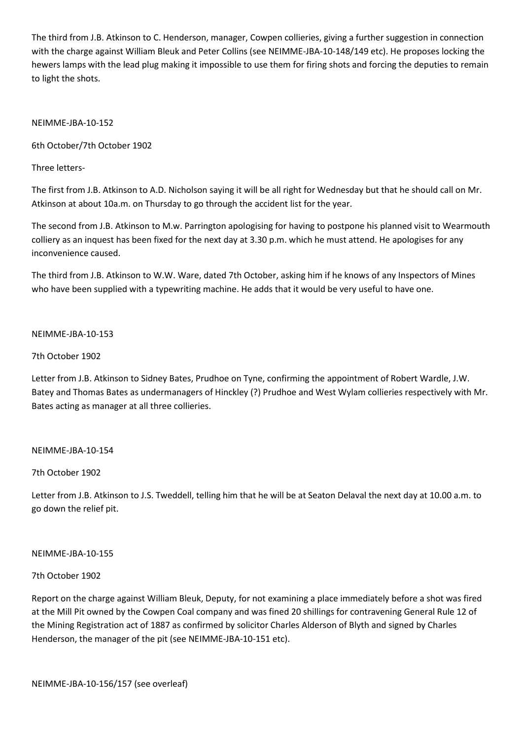The third from J.B. Atkinson to C. Henderson, manager, Cowpen collieries, giving a further suggestion in connection with the charge against William Bleuk and Peter Collins (see NEIMME-JBA-10-148/149 etc). He proposes locking the hewers lamps with the lead plug making it impossible to use them for firing shots and forcing the deputies to remain to light the shots.

## NEIMME-JBA-10-152

6th October/7th October 1902

Three letters-

The first from J.B. Atkinson to A.D. Nicholson saying it will be all right for Wednesday but that he should call on Mr. Atkinson at about 10a.m. on Thursday to go through the accident list for the year.

The second from J.B. Atkinson to M.w. Parrington apologising for having to postpone his planned visit to Wearmouth colliery as an inquest has been fixed for the next day at 3.30 p.m. which he must attend. He apologises for any inconvenience caused.

The third from J.B. Atkinson to W.W. Ware, dated 7th October, asking him if he knows of any Inspectors of Mines who have been supplied with a typewriting machine. He adds that it would be very useful to have one.

## NEIMME-JBA-10-153

## 7th October 1902

Letter from J.B. Atkinson to Sidney Bates, Prudhoe on Tyne, confirming the appointment of Robert Wardle, J.W. Batey and Thomas Bates as undermanagers of Hinckley (?) Prudhoe and West Wylam collieries respectively with Mr. Bates acting as manager at all three collieries.

## NEIMME-JBA-10-154

# 7th October 1902

Letter from J.B. Atkinson to J.S. Tweddell, telling him that he will be at Seaton Delaval the next day at 10.00 a.m. to go down the relief pit.

## NEIMME-JBA-10-155

# 7th October 1902

Report on the charge against William Bleuk, Deputy, for not examining a place immediately before a shot was fired at the Mill Pit owned by the Cowpen Coal company and was fined 20 shillings for contravening General Rule 12 of the Mining Registration act of 1887 as confirmed by solicitor Charles Alderson of Blyth and signed by Charles Henderson, the manager of the pit (see NEIMME-JBA-10-151 etc).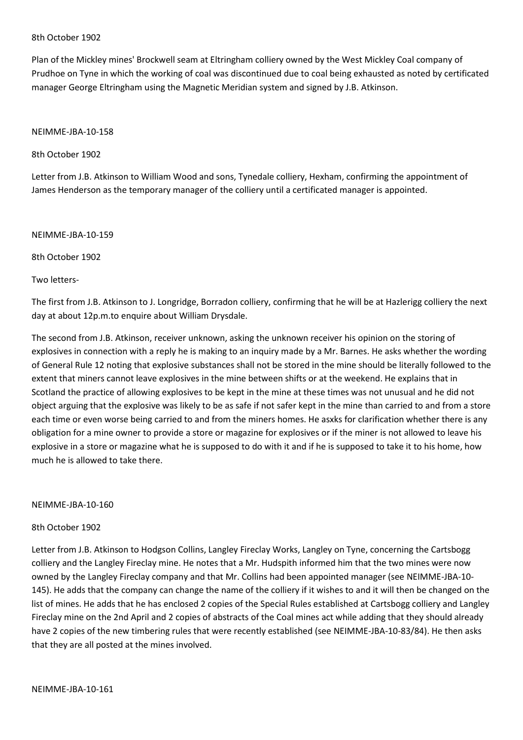#### 8th October 1902

Plan of the Mickley mines' Brockwell seam at Eltringham colliery owned by the West Mickley Coal company of Prudhoe on Tyne in which the working of coal was discontinued due to coal being exhausted as noted by certificated manager George Eltringham using the Magnetic Meridian system and signed by J.B. Atkinson.

### NEIMME-JBA-10-158

8th October 1902

Letter from J.B. Atkinson to William Wood and sons, Tynedale colliery, Hexham, confirming the appointment of James Henderson as the temporary manager of the colliery until a certificated manager is appointed.

NEIMME-JBA-10-159

8th October 1902

Two letters-

The first from J.B. Atkinson to J. Longridge, Borradon colliery, confirming that he will be at Hazlerigg colliery the next day at about 12p.m.to enquire about William Drysdale.

The second from J.B. Atkinson, receiver unknown, asking the unknown receiver his opinion on the storing of explosives in connection with a reply he is making to an inquiry made by a Mr. Barnes. He asks whether the wording of General Rule 12 noting that explosive substances shall not be stored in the mine should be literally followed to the extent that miners cannot leave explosives in the mine between shifts or at the weekend. He explains that in Scotland the practice of allowing explosives to be kept in the mine at these times was not unusual and he did not object arguing that the explosive was likely to be as safe if not safer kept in the mine than carried to and from a store each time or even worse being carried to and from the miners homes. He asxks for clarification whether there is any obligation for a mine owner to provide a store or magazine for explosives or if the miner is not allowed to leave his explosive in a store or magazine what he is supposed to do with it and if he is supposed to take it to his home, how much he is allowed to take there.

#### NEIMME-JBA-10-160

#### 8th October 1902

Letter from J.B. Atkinson to Hodgson Collins, Langley Fireclay Works, Langley on Tyne, concerning the Cartsbogg colliery and the Langley Fireclay mine. He notes that a Mr. Hudspith informed him that the two mines were now owned by the Langley Fireclay company and that Mr. Collins had been appointed manager (see NEIMME-JBA-10- 145). He adds that the company can change the name of the colliery if it wishes to and it will then be changed on the list of mines. He adds that he has enclosed 2 copies of the Special Rules established at Cartsbogg colliery and Langley Fireclay mine on the 2nd April and 2 copies of abstracts of the Coal mines act while adding that they should already have 2 copies of the new timbering rules that were recently established (see NEIMME-JBA-10-83/84). He then asks that they are all posted at the mines involved.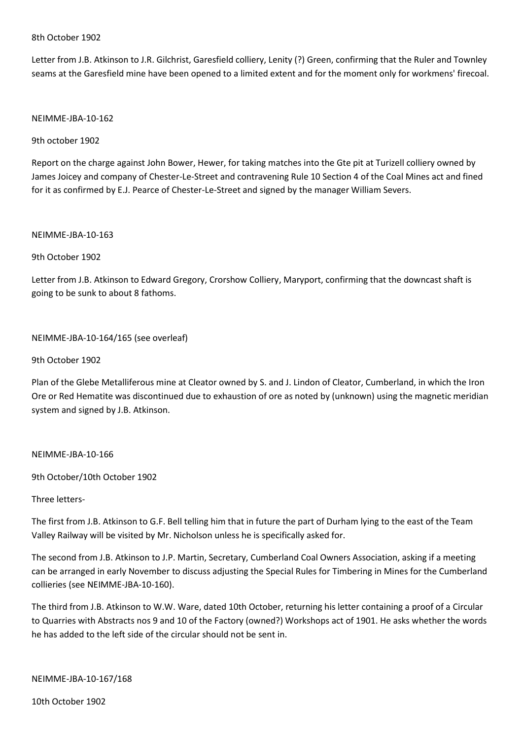#### 8th October 1902

Letter from J.B. Atkinson to J.R. Gilchrist, Garesfield colliery, Lenity (?) Green, confirming that the Ruler and Townley seams at the Garesfield mine have been opened to a limited extent and for the moment only for workmens' firecoal.

### NEIMME-JBA-10-162

9th october 1902

Report on the charge against John Bower, Hewer, for taking matches into the Gte pit at Turizell colliery owned by James Joicey and company of Chester-Le-Street and contravening Rule 10 Section 4 of the Coal Mines act and fined for it as confirmed by E.J. Pearce of Chester-Le-Street and signed by the manager William Severs.

#### NEIMME-JBA-10-163

## 9th October 1902

Letter from J.B. Atkinson to Edward Gregory, Crorshow Colliery, Maryport, confirming that the downcast shaft is going to be sunk to about 8 fathoms.

## NEIMME-JBA-10-164/165 (see overleaf)

## 9th October 1902

Plan of the Glebe Metalliferous mine at Cleator owned by S. and J. Lindon of Cleator, Cumberland, in which the Iron Ore or Red Hematite was discontinued due to exhaustion of ore as noted by (unknown) using the magnetic meridian system and signed by J.B. Atkinson.

## NEIMME-JBA-10-166

9th October/10th October 1902

## Three letters-

The first from J.B. Atkinson to G.F. Bell telling him that in future the part of Durham lying to the east of the Team Valley Railway will be visited by Mr. Nicholson unless he is specifically asked for.

The second from J.B. Atkinson to J.P. Martin, Secretary, Cumberland Coal Owners Association, asking if a meeting can be arranged in early November to discuss adjusting the Special Rules for Timbering in Mines for the Cumberland collieries (see NEIMME-JBA-10-160).

The third from J.B. Atkinson to W.W. Ware, dated 10th October, returning his letter containing a proof of a Circular to Quarries with Abstracts nos 9 and 10 of the Factory (owned?) Workshops act of 1901. He asks whether the words he has added to the left side of the circular should not be sent in.

NEIMME-JBA-10-167/168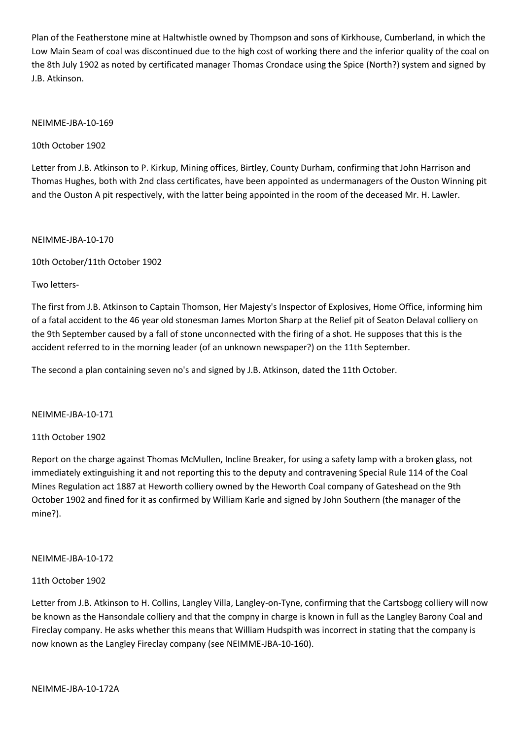Plan of the Featherstone mine at Haltwhistle owned by Thompson and sons of Kirkhouse, Cumberland, in which the Low Main Seam of coal was discontinued due to the high cost of working there and the inferior quality of the coal on the 8th July 1902 as noted by certificated manager Thomas Crondace using the Spice (North?) system and signed by J.B. Atkinson.

## NEIMME-JBA-10-169

10th October 1902

Letter from J.B. Atkinson to P. Kirkup, Mining offices, Birtley, County Durham, confirming that John Harrison and Thomas Hughes, both with 2nd class certificates, have been appointed as undermanagers of the Ouston Winning pit and the Ouston A pit respectively, with the latter being appointed in the room of the deceased Mr. H. Lawler.

NEIMME-JBA-10-170

10th October/11th October 1902

Two letters-

The first from J.B. Atkinson to Captain Thomson, Her Majesty's Inspector of Explosives, Home Office, informing him of a fatal accident to the 46 year old stonesman James Morton Sharp at the Relief pit of Seaton Delaval colliery on the 9th September caused by a fall of stone unconnected with the firing of a shot. He supposes that this is the accident referred to in the morning leader (of an unknown newspaper?) on the 11th September.

The second a plan containing seven no's and signed by J.B. Atkinson, dated the 11th October.

NEIMME-JBA-10-171

## 11th October 1902

Report on the charge against Thomas McMullen, Incline Breaker, for using a safety lamp with a broken glass, not immediately extinguishing it and not reporting this to the deputy and contravening Special Rule 114 of the Coal Mines Regulation act 1887 at Heworth colliery owned by the Heworth Coal company of Gateshead on the 9th October 1902 and fined for it as confirmed by William Karle and signed by John Southern (the manager of the mine?).

## NEIMME-JBA-10-172

## 11th October 1902

Letter from J.B. Atkinson to H. Collins, Langley Villa, Langley-on-Tyne, confirming that the Cartsbogg colliery will now be known as the Hansondale colliery and that the compny in charge is known in full as the Langley Barony Coal and Fireclay company. He asks whether this means that William Hudspith was incorrect in stating that the company is now known as the Langley Fireclay company (see NEIMME-JBA-10-160).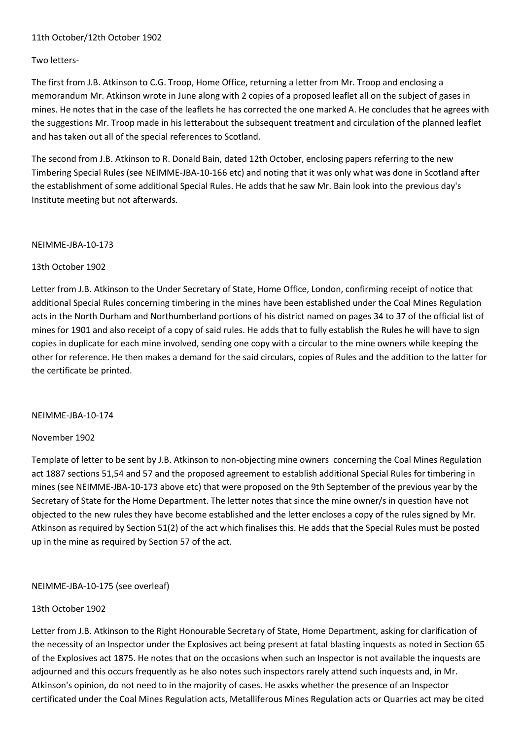# 11th October/12th October 1902

## Two letters-

The first from J.B. Atkinson to C.G. Troop, Home Office, returning a letter from Mr. Troop and enclosing a memorandum Mr. Atkinson wrote in June along with 2 copies of a proposed leaflet all on the subject of gases in mines. He notes that in the case of the leaflets he has corrected the one marked A. He concludes that he agrees with the suggestions Mr. Troop made in his letterabout the subsequent treatment and circulation of the planned leaflet and has taken out all of the special references to Scotland.

The second from J.B. Atkinson to R. Donald Bain, dated 12th October, enclosing papers referring to the new Timbering Special Rules (see NEIMME-JBA-10-166 etc) and noting that it was only what was done in Scotland after the establishment of some additional Special Rules. He adds that he saw Mr. Bain look into the previous day's Institute meeting but not afterwards.

#### NEIMME-JBA-10-173

## 13th October 1902

Letter from J.B. Atkinson to the Under Secretary of State, Home Office, London, confirming receipt of notice that additional Special Rules concerning timbering in the mines have been established under the Coal Mines Regulation acts in the North Durham and Northumberland portions of his district named on pages 34 to 37 of the official list of mines for 1901 and also receipt of a copy of said rules. He adds that to fully establish the Rules he will have to sign copies in duplicate for each mine involved, sending one copy with a circular to the mine owners while keeping the other for reference. He then makes a demand for the said circulars, copies of Rules and the addition to the latter for the certificate be printed.

## NEIMME-JBA-10-174

## November 1902

Template of letter to be sent by J.B. Atkinson to non-objecting mine owners concerning the Coal Mines Regulation act 1887 sections 51,54 and 57 and the proposed agreement to establish additional Special Rules for timbering in mines (see NEIMME-JBA-10-173 above etc) that were proposed on the 9th September of the previous year by the Secretary of State for the Home Department. The letter notes that since the mine owner/s in question have not objected to the new rules they have become established and the letter encloses a copy of the rules signed by Mr. Atkinson as required by Section 51(2) of the act which finalises this. He adds that the Special Rules must be posted up in the mine as required by Section 57 of the act.

## NEIMME-JBA-10-175 (see overleaf)

## 13th October 1902

Letter from J.B. Atkinson to the Right Honourable Secretary of State, Home Department, asking for clarification of the necessity of an Inspector under the Explosives act being present at fatal blasting inquests as noted in Section 65 of the Explosives act 1875. He notes that on the occasions when such an Inspector is not available the inquests are adjourned and this occurs frequently as he also notes such inspectors rarely attend such inquests and, in Mr. Atkinson's opinion, do not need to in the majority of cases. He asxks whether the presence of an Inspector certificated under the Coal Mines Regulation acts, Metalliferous Mines Regulation acts or Quarries act may be cited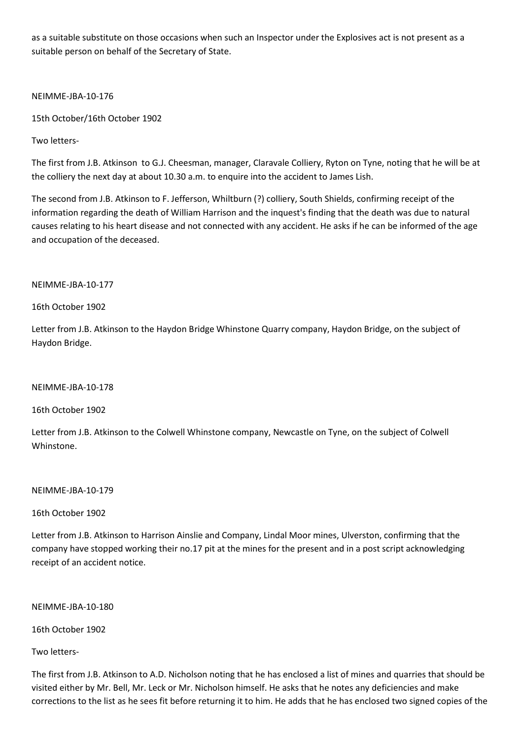as a suitable substitute on those occasions when such an Inspector under the Explosives act is not present as a suitable person on behalf of the Secretary of State.

NEIMME-JBA-10-176

15th October/16th October 1902

Two letters-

The first from J.B. Atkinson to G.J. Cheesman, manager, Claravale Colliery, Ryton on Tyne, noting that he will be at the colliery the next day at about 10.30 a.m. to enquire into the accident to James Lish.

The second from J.B. Atkinson to F. Jefferson, Whiltburn (?) colliery, South Shields, confirming receipt of the information regarding the death of William Harrison and the inquest's finding that the death was due to natural causes relating to his heart disease and not connected with any accident. He asks if he can be informed of the age and occupation of the deceased.

## NEIMME-JBA-10-177

## 16th October 1902

Letter from J.B. Atkinson to the Haydon Bridge Whinstone Quarry company, Haydon Bridge, on the subject of Haydon Bridge.

NEIMME-JBA-10-178

16th October 1902

Letter from J.B. Atkinson to the Colwell Whinstone company, Newcastle on Tyne, on the subject of Colwell Whinstone.

NEIMME-JBA-10-179

16th October 1902

Letter from J.B. Atkinson to Harrison Ainslie and Company, Lindal Moor mines, Ulverston, confirming that the company have stopped working their no.17 pit at the mines for the present and in a post script acknowledging receipt of an accident notice.

NEIMME-JBA-10-180

16th October 1902

Two letters-

The first from J.B. Atkinson to A.D. Nicholson noting that he has enclosed a list of mines and quarries that should be visited either by Mr. Bell, Mr. Leck or Mr. Nicholson himself. He asks that he notes any deficiencies and make corrections to the list as he sees fit before returning it to him. He adds that he has enclosed two signed copies of the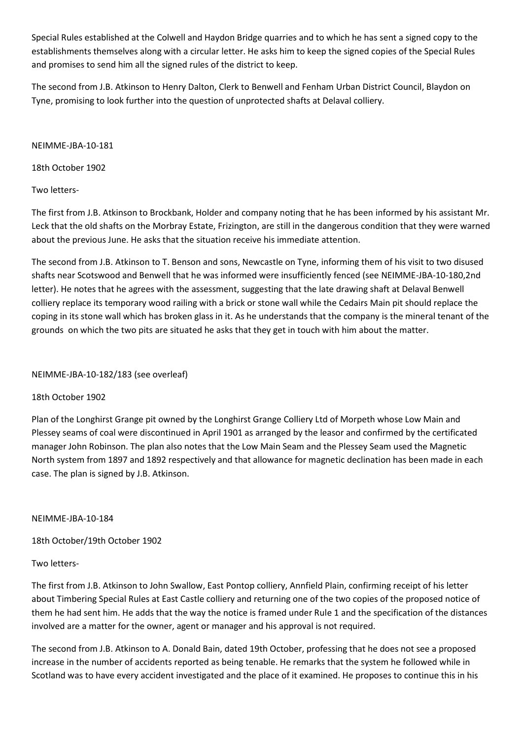Special Rules established at the Colwell and Haydon Bridge quarries and to which he has sent a signed copy to the establishments themselves along with a circular letter. He asks him to keep the signed copies of the Special Rules and promises to send him all the signed rules of the district to keep.

The second from J.B. Atkinson to Henry Dalton, Clerk to Benwell and Fenham Urban District Council, Blaydon on Tyne, promising to look further into the question of unprotected shafts at Delaval colliery.

NEIMME-JBA-10-181

18th October 1902

Two letters-

The first from J.B. Atkinson to Brockbank, Holder and company noting that he has been informed by his assistant Mr. Leck that the old shafts on the Morbray Estate, Frizington, are still in the dangerous condition that they were warned about the previous June. He asks that the situation receive his immediate attention.

The second from J.B. Atkinson to T. Benson and sons, Newcastle on Tyne, informing them of his visit to two disused shafts near Scotswood and Benwell that he was informed were insufficiently fenced (see NEIMME-JBA-10-180,2nd letter). He notes that he agrees with the assessment, suggesting that the late drawing shaft at Delaval Benwell colliery replace its temporary wood railing with a brick or stone wall while the Cedairs Main pit should replace the coping in its stone wall which has broken glass in it. As he understands that the company is the mineral tenant of the grounds on which the two pits are situated he asks that they get in touch with him about the matter.

NEIMME-JBA-10-182/183 (see overleaf)

## 18th October 1902

Plan of the Longhirst Grange pit owned by the Longhirst Grange Colliery Ltd of Morpeth whose Low Main and Plessey seams of coal were discontinued in April 1901 as arranged by the leasor and confirmed by the certificated manager John Robinson. The plan also notes that the Low Main Seam and the Plessey Seam used the Magnetic North system from 1897 and 1892 respectively and that allowance for magnetic declination has been made in each case. The plan is signed by J.B. Atkinson.

NEIMME-JBA-10-184

18th October/19th October 1902

# Two letters-

The first from J.B. Atkinson to John Swallow, East Pontop colliery, Annfield Plain, confirming receipt of his letter about Timbering Special Rules at East Castle colliery and returning one of the two copies of the proposed notice of them he had sent him. He adds that the way the notice is framed under Rule 1 and the specification of the distances involved are a matter for the owner, agent or manager and his approval is not required.

The second from J.B. Atkinson to A. Donald Bain, dated 19th October, professing that he does not see a proposed increase in the number of accidents reported as being tenable. He remarks that the system he followed while in Scotland was to have every accident investigated and the place of it examined. He proposes to continue this in his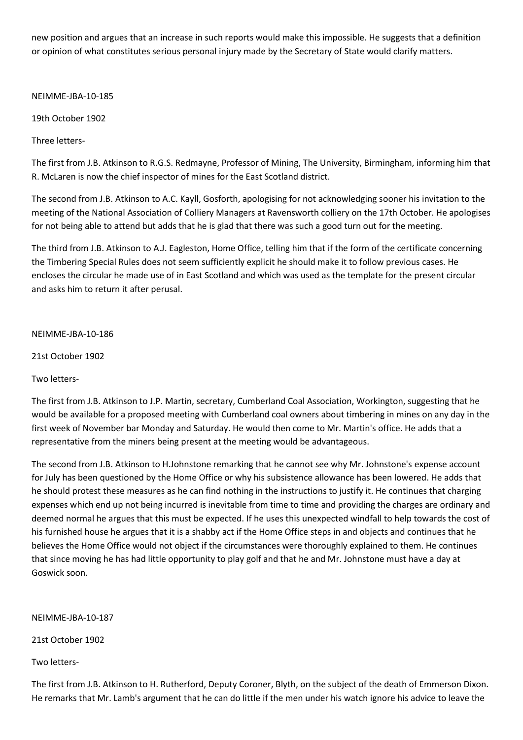new position and argues that an increase in such reports would make this impossible. He suggests that a definition or opinion of what constitutes serious personal injury made by the Secretary of State would clarify matters.

NEIMME-JBA-10-185

19th October 1902

Three letters-

The first from J.B. Atkinson to R.G.S. Redmayne, Professor of Mining, The University, Birmingham, informing him that R. McLaren is now the chief inspector of mines for the East Scotland district.

The second from J.B. Atkinson to A.C. Kayll, Gosforth, apologising for not acknowledging sooner his invitation to the meeting of the National Association of Colliery Managers at Ravensworth colliery on the 17th October. He apologises for not being able to attend but adds that he is glad that there was such a good turn out for the meeting.

The third from J.B. Atkinson to A.J. Eagleston, Home Office, telling him that if the form of the certificate concerning the Timbering Special Rules does not seem sufficiently explicit he should make it to follow previous cases. He encloses the circular he made use of in East Scotland and which was used as the template for the present circular and asks him to return it after perusal.

## NEIMME-JBA-10-186

21st October 1902

Two letters-

The first from J.B. Atkinson to J.P. Martin, secretary, Cumberland Coal Association, Workington, suggesting that he would be available for a proposed meeting with Cumberland coal owners about timbering in mines on any day in the first week of November bar Monday and Saturday. He would then come to Mr. Martin's office. He adds that a representative from the miners being present at the meeting would be advantageous.

The second from J.B. Atkinson to H.Johnstone remarking that he cannot see why Mr. Johnstone's expense account for July has been questioned by the Home Office or why his subsistence allowance has been lowered. He adds that he should protest these measures as he can find nothing in the instructions to justify it. He continues that charging expenses which end up not being incurred is inevitable from time to time and providing the charges are ordinary and deemed normal he argues that this must be expected. If he uses this unexpected windfall to help towards the cost of his furnished house he argues that it is a shabby act if the Home Office steps in and objects and continues that he believes the Home Office would not object if the circumstances were thoroughly explained to them. He continues that since moving he has had little opportunity to play golf and that he and Mr. Johnstone must have a day at Goswick soon.

NEIMME-JBA-10-187

21st October 1902

Two letters-

The first from J.B. Atkinson to H. Rutherford, Deputy Coroner, Blyth, on the subject of the death of Emmerson Dixon. He remarks that Mr. Lamb's argument that he can do little if the men under his watch ignore his advice to leave the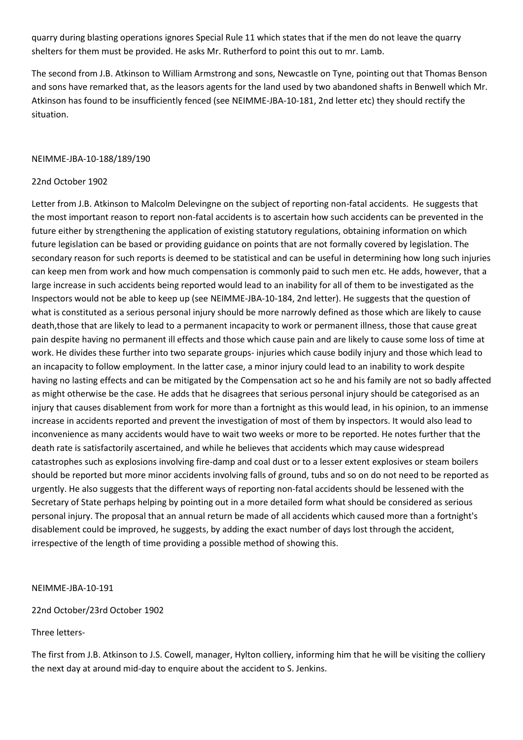quarry during blasting operations ignores Special Rule 11 which states that if the men do not leave the quarry shelters for them must be provided. He asks Mr. Rutherford to point this out to mr. Lamb.

The second from J.B. Atkinson to William Armstrong and sons, Newcastle on Tyne, pointing out that Thomas Benson and sons have remarked that, as the leasors agents for the land used by two abandoned shafts in Benwell which Mr. Atkinson has found to be insufficiently fenced (see NEIMME-JBA-10-181, 2nd letter etc) they should rectify the situation.

## NEIMME-JBA-10-188/189/190

## 22nd October 1902

Letter from J.B. Atkinson to Malcolm Delevingne on the subject of reporting non-fatal accidents. He suggests that the most important reason to report non-fatal accidents is to ascertain how such accidents can be prevented in the future either by strengthening the application of existing statutory regulations, obtaining information on which future legislation can be based or providing guidance on points that are not formally covered by legislation. The secondary reason for such reports is deemed to be statistical and can be useful in determining how long such injuries can keep men from work and how much compensation is commonly paid to such men etc. He adds, however, that a large increase in such accidents being reported would lead to an inability for all of them to be investigated as the Inspectors would not be able to keep up (see NEIMME-JBA-10-184, 2nd letter). He suggests that the question of what is constituted as a serious personal injury should be more narrowly defined as those which are likely to cause death,those that are likely to lead to a permanent incapacity to work or permanent illness, those that cause great pain despite having no permanent ill effects and those which cause pain and are likely to cause some loss of time at work. He divides these further into two separate groups- injuries which cause bodily injury and those which lead to an incapacity to follow employment. In the latter case, a minor injury could lead to an inability to work despite having no lasting effects and can be mitigated by the Compensation act so he and his family are not so badly affected as might otherwise be the case. He adds that he disagrees that serious personal injury should be categorised as an injury that causes disablement from work for more than a fortnight as this would lead, in his opinion, to an immense increase in accidents reported and prevent the investigation of most of them by inspectors. It would also lead to inconvenience as many accidents would have to wait two weeks or more to be reported. He notes further that the death rate is satisfactorily ascertained, and while he believes that accidents which may cause widespread catastrophes such as explosions involving fire-damp and coal dust or to a lesser extent explosives or steam boilers should be reported but more minor accidents involving falls of ground, tubs and so on do not need to be reported as urgently. He also suggests that the different ways of reporting non-fatal accidents should be lessened with the Secretary of State perhaps helping by pointing out in a more detailed form what should be considered as serious personal injury. The proposal that an annual return be made of all accidents which caused more than a fortnight's disablement could be improved, he suggests, by adding the exact number of days lost through the accident, irrespective of the length of time providing a possible method of showing this.

NEIMME-JBA-10-191

22nd October/23rd October 1902

Three letters-

The first from J.B. Atkinson to J.S. Cowell, manager, Hylton colliery, informing him that he will be visiting the colliery the next day at around mid-day to enquire about the accident to S. Jenkins.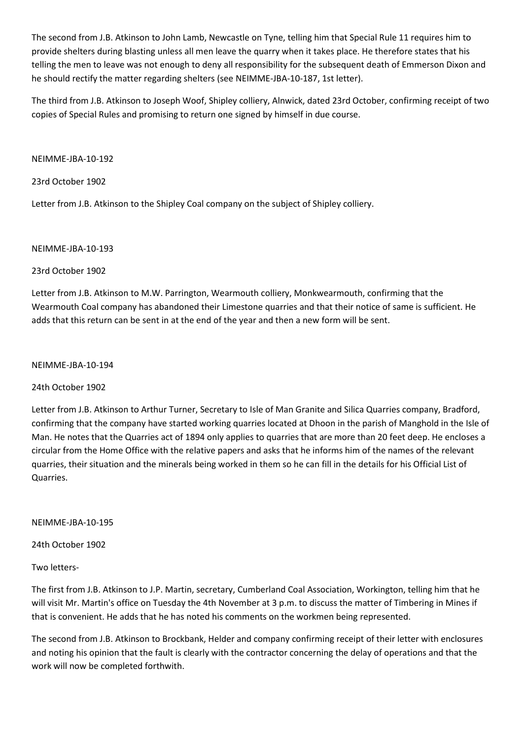The second from J.B. Atkinson to John Lamb, Newcastle on Tyne, telling him that Special Rule 11 requires him to provide shelters during blasting unless all men leave the quarry when it takes place. He therefore states that his telling the men to leave was not enough to deny all responsibility for the subsequent death of Emmerson Dixon and he should rectify the matter regarding shelters (see NEIMME-JBA-10-187, 1st letter).

The third from J.B. Atkinson to Joseph Woof, Shipley colliery, Alnwick, dated 23rd October, confirming receipt of two copies of Special Rules and promising to return one signed by himself in due course.

NEIMME-JBA-10-192

23rd October 1902

Letter from J.B. Atkinson to the Shipley Coal company on the subject of Shipley colliery.

NEIMME-JBA-10-193

23rd October 1902

Letter from J.B. Atkinson to M.W. Parrington, Wearmouth colliery, Monkwearmouth, confirming that the Wearmouth Coal company has abandoned their Limestone quarries and that their notice of same is sufficient. He adds that this return can be sent in at the end of the year and then a new form will be sent.

NEIMME-JBA-10-194

24th October 1902

Letter from J.B. Atkinson to Arthur Turner, Secretary to Isle of Man Granite and Silica Quarries company, Bradford, confirming that the company have started working quarries located at Dhoon in the parish of Manghold in the Isle of Man. He notes that the Quarries act of 1894 only applies to quarries that are more than 20 feet deep. He encloses a circular from the Home Office with the relative papers and asks that he informs him of the names of the relevant quarries, their situation and the minerals being worked in them so he can fill in the details for his Official List of Quarries.

NEIMME-JBA-10-195

24th October 1902

Two letters-

The first from J.B. Atkinson to J.P. Martin, secretary, Cumberland Coal Association, Workington, telling him that he will visit Mr. Martin's office on Tuesday the 4th November at 3 p.m. to discuss the matter of Timbering in Mines if that is convenient. He adds that he has noted his comments on the workmen being represented.

The second from J.B. Atkinson to Brockbank, Helder and company confirming receipt of their letter with enclosures and noting his opinion that the fault is clearly with the contractor concerning the delay of operations and that the work will now be completed forthwith.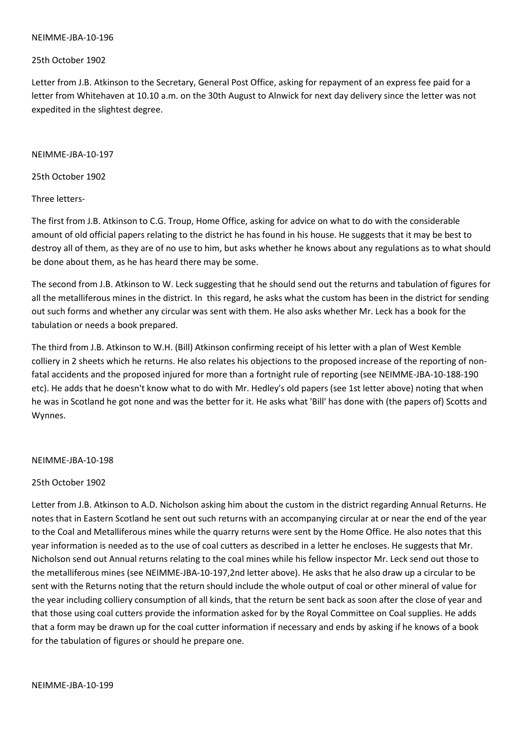#### NEIMME-JBA-10-196

## 25th October 1902

Letter from J.B. Atkinson to the Secretary, General Post Office, asking for repayment of an express fee paid for a letter from Whitehaven at 10.10 a.m. on the 30th August to Alnwick for next day delivery since the letter was not expedited in the slightest degree.

### NEIMME-JBA-10-197

25th October 1902

## Three letters-

The first from J.B. Atkinson to C.G. Troup, Home Office, asking for advice on what to do with the considerable amount of old official papers relating to the district he has found in his house. He suggests that it may be best to destroy all of them, as they are of no use to him, but asks whether he knows about any regulations as to what should be done about them, as he has heard there may be some.

The second from J.B. Atkinson to W. Leck suggesting that he should send out the returns and tabulation of figures for all the metalliferous mines in the district. In this regard, he asks what the custom has been in the district for sending out such forms and whether any circular was sent with them. He also asks whether Mr. Leck has a book for the tabulation or needs a book prepared.

The third from J.B. Atkinson to W.H. (Bill) Atkinson confirming receipt of his letter with a plan of West Kemble colliery in 2 sheets which he returns. He also relates his objections to the proposed increase of the reporting of nonfatal accidents and the proposed injured for more than a fortnight rule of reporting (see NEIMME-JBA-10-188-190 etc). He adds that he doesn't know what to do with Mr. Hedley's old papers (see 1st letter above) noting that when he was in Scotland he got none and was the better for it. He asks what 'Bill' has done with (the papers of) Scotts and Wynnes.

## NEIMME-JBA-10-198

## 25th October 1902

Letter from J.B. Atkinson to A.D. Nicholson asking him about the custom in the district regarding Annual Returns. He notes that in Eastern Scotland he sent out such returns with an accompanying circular at or near the end of the year to the Coal and Metalliferous mines while the quarry returns were sent by the Home Office. He also notes that this year information is needed as to the use of coal cutters as described in a letter he encloses. He suggests that Mr. Nicholson send out Annual returns relating to the coal mines while his fellow inspector Mr. Leck send out those to the metalliferous mines (see NEIMME-JBA-10-197,2nd letter above). He asks that he also draw up a circular to be sent with the Returns noting that the return should include the whole output of coal or other mineral of value for the year including colliery consumption of all kinds, that the return be sent back as soon after the close of year and that those using coal cutters provide the information asked for by the Royal Committee on Coal supplies. He adds that a form may be drawn up for the coal cutter information if necessary and ends by asking if he knows of a book for the tabulation of figures or should he prepare one.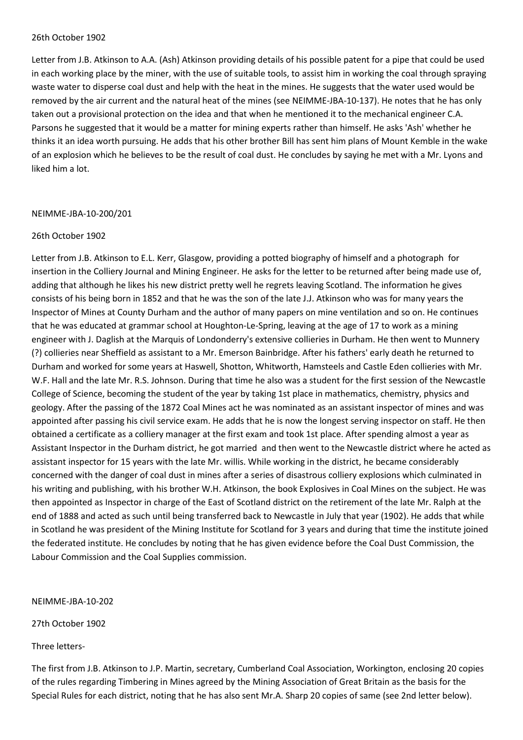#### 26th October 1902

Letter from J.B. Atkinson to A.A. (Ash) Atkinson providing details of his possible patent for a pipe that could be used in each working place by the miner, with the use of suitable tools, to assist him in working the coal through spraying waste water to disperse coal dust and help with the heat in the mines. He suggests that the water used would be removed by the air current and the natural heat of the mines (see NEIMME-JBA-10-137). He notes that he has only taken out a provisional protection on the idea and that when he mentioned it to the mechanical engineer C.A. Parsons he suggested that it would be a matter for mining experts rather than himself. He asks 'Ash' whether he thinks it an idea worth pursuing. He adds that his other brother Bill has sent him plans of Mount Kemble in the wake of an explosion which he believes to be the result of coal dust. He concludes by saying he met with a Mr. Lyons and liked him a lot.

#### NEIMME-JBA-10-200/201

#### 26th October 1902

Letter from J.B. Atkinson to E.L. Kerr, Glasgow, providing a potted biography of himself and a photograph for insertion in the Colliery Journal and Mining Engineer. He asks for the letter to be returned after being made use of, adding that although he likes his new district pretty well he regrets leaving Scotland. The information he gives consists of his being born in 1852 and that he was the son of the late J.J. Atkinson who was for many years the Inspector of Mines at County Durham and the author of many papers on mine ventilation and so on. He continues that he was educated at grammar school at Houghton-Le-Spring, leaving at the age of 17 to work as a mining engineer with J. Daglish at the Marquis of Londonderry's extensive collieries in Durham. He then went to Munnery (?) collieries near Sheffield as assistant to a Mr. Emerson Bainbridge. After his fathers' early death he returned to Durham and worked for some years at Haswell, Shotton, Whitworth, Hamsteels and Castle Eden collieries with Mr. W.F. Hall and the late Mr. R.S. Johnson. During that time he also was a student for the first session of the Newcastle College of Science, becoming the student of the year by taking 1st place in mathematics, chemistry, physics and geology. After the passing of the 1872 Coal Mines act he was nominated as an assistant inspector of mines and was appointed after passing his civil service exam. He adds that he is now the longest serving inspector on staff. He then obtained a certificate as a colliery manager at the first exam and took 1st place. After spending almost a year as Assistant Inspector in the Durham district, he got married and then went to the Newcastle district where he acted as assistant inspector for 15 years with the late Mr. willis. While working in the district, he became considerably concerned with the danger of coal dust in mines after a series of disastrous colliery explosions which culminated in his writing and publishing, with his brother W.H. Atkinson, the book Explosives in Coal Mines on the subject. He was then appointed as Inspector in charge of the East of Scotland district on the retirement of the late Mr. Ralph at the end of 1888 and acted as such until being transferred back to Newcastle in July that year (1902). He adds that while in Scotland he was president of the Mining Institute for Scotland for 3 years and during that time the institute joined the federated institute. He concludes by noting that he has given evidence before the Coal Dust Commission, the Labour Commission and the Coal Supplies commission.

NEIMME-JBA-10-202

27th October 1902

Three letters-

The first from J.B. Atkinson to J.P. Martin, secretary, Cumberland Coal Association, Workington, enclosing 20 copies of the rules regarding Timbering in Mines agreed by the Mining Association of Great Britain as the basis for the Special Rules for each district, noting that he has also sent Mr.A. Sharp 20 copies of same (see 2nd letter below).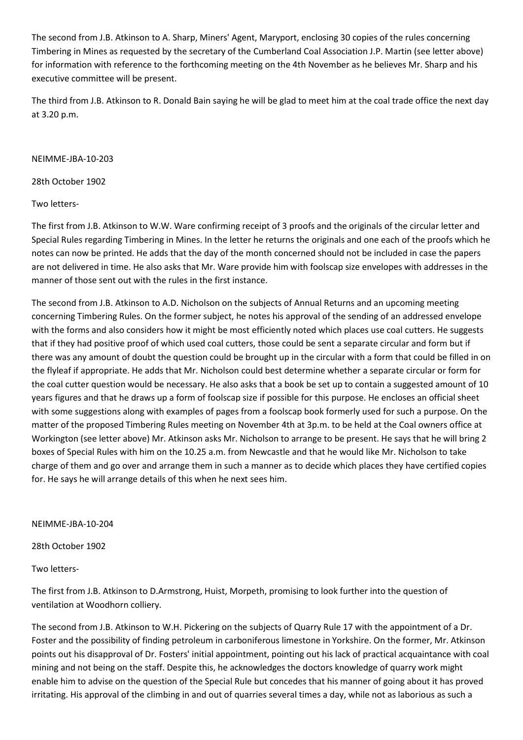The second from J.B. Atkinson to A. Sharp, Miners' Agent, Maryport, enclosing 30 copies of the rules concerning Timbering in Mines as requested by the secretary of the Cumberland Coal Association J.P. Martin (see letter above) for information with reference to the forthcoming meeting on the 4th November as he believes Mr. Sharp and his executive committee will be present.

The third from J.B. Atkinson to R. Donald Bain saying he will be glad to meet him at the coal trade office the next day at 3.20 p.m.

## NEIMME-JBA-10-203

28th October 1902

# Two letters-

The first from J.B. Atkinson to W.W. Ware confirming receipt of 3 proofs and the originals of the circular letter and Special Rules regarding Timbering in Mines. In the letter he returns the originals and one each of the proofs which he notes can now be printed. He adds that the day of the month concerned should not be included in case the papers are not delivered in time. He also asks that Mr. Ware provide him with foolscap size envelopes with addresses in the manner of those sent out with the rules in the first instance.

The second from J.B. Atkinson to A.D. Nicholson on the subjects of Annual Returns and an upcoming meeting concerning Timbering Rules. On the former subject, he notes his approval of the sending of an addressed envelope with the forms and also considers how it might be most efficiently noted which places use coal cutters. He suggests that if they had positive proof of which used coal cutters, those could be sent a separate circular and form but if there was any amount of doubt the question could be brought up in the circular with a form that could be filled in on the flyleaf if appropriate. He adds that Mr. Nicholson could best determine whether a separate circular or form for the coal cutter question would be necessary. He also asks that a book be set up to contain a suggested amount of 10 years figures and that he draws up a form of foolscap size if possible for this purpose. He encloses an official sheet with some suggestions along with examples of pages from a foolscap book formerly used for such a purpose. On the matter of the proposed Timbering Rules meeting on November 4th at 3p.m. to be held at the Coal owners office at Workington (see letter above) Mr. Atkinson asks Mr. Nicholson to arrange to be present. He says that he will bring 2 boxes of Special Rules with him on the 10.25 a.m. from Newcastle and that he would like Mr. Nicholson to take charge of them and go over and arrange them in such a manner as to decide which places they have certified copies for. He says he will arrange details of this when he next sees him.

NEIMME-JBA-10-204

28th October 1902

Two letters-

The first from J.B. Atkinson to D.Armstrong, Huist, Morpeth, promising to look further into the question of ventilation at Woodhorn colliery.

The second from J.B. Atkinson to W.H. Pickering on the subjects of Quarry Rule 17 with the appointment of a Dr. Foster and the possibility of finding petroleum in carboniferous limestone in Yorkshire. On the former, Mr. Atkinson points out his disapproval of Dr. Fosters' initial appointment, pointing out his lack of practical acquaintance with coal mining and not being on the staff. Despite this, he acknowledges the doctors knowledge of quarry work might enable him to advise on the question of the Special Rule but concedes that his manner of going about it has proved irritating. His approval of the climbing in and out of quarries several times a day, while not as laborious as such a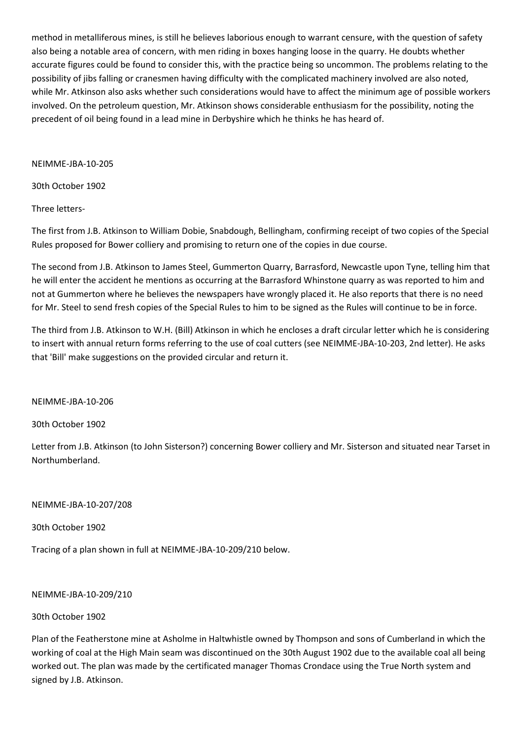method in metalliferous mines, is still he believes laborious enough to warrant censure, with the question of safety also being a notable area of concern, with men riding in boxes hanging loose in the quarry. He doubts whether accurate figures could be found to consider this, with the practice being so uncommon. The problems relating to the possibility of jibs falling or cranesmen having difficulty with the complicated machinery involved are also noted, while Mr. Atkinson also asks whether such considerations would have to affect the minimum age of possible workers involved. On the petroleum question, Mr. Atkinson shows considerable enthusiasm for the possibility, noting the precedent of oil being found in a lead mine in Derbyshire which he thinks he has heard of.

NEIMME-JBA-10-205

30th October 1902

Three letters-

The first from J.B. Atkinson to William Dobie, Snabdough, Bellingham, confirming receipt of two copies of the Special Rules proposed for Bower colliery and promising to return one of the copies in due course.

The second from J.B. Atkinson to James Steel, Gummerton Quarry, Barrasford, Newcastle upon Tyne, telling him that he will enter the accident he mentions as occurring at the Barrasford Whinstone quarry as was reported to him and not at Gummerton where he believes the newspapers have wrongly placed it. He also reports that there is no need for Mr. Steel to send fresh copies of the Special Rules to him to be signed as the Rules will continue to be in force.

The third from J.B. Atkinson to W.H. (Bill) Atkinson in which he encloses a draft circular letter which he is considering to insert with annual return forms referring to the use of coal cutters (see NEIMME-JBA-10-203, 2nd letter). He asks that 'Bill' make suggestions on the provided circular and return it.

NEIMME-JBA-10-206

30th October 1902

Letter from J.B. Atkinson (to John Sisterson?) concerning Bower colliery and Mr. Sisterson and situated near Tarset in Northumberland.

NEIMME-JBA-10-207/208

30th October 1902

Tracing of a plan shown in full at NEIMME-JBA-10-209/210 below.

NEIMME-JBA-10-209/210

## 30th October 1902

Plan of the Featherstone mine at Asholme in Haltwhistle owned by Thompson and sons of Cumberland in which the working of coal at the High Main seam was discontinued on the 30th August 1902 due to the available coal all being worked out. The plan was made by the certificated manager Thomas Crondace using the True North system and signed by J.B. Atkinson.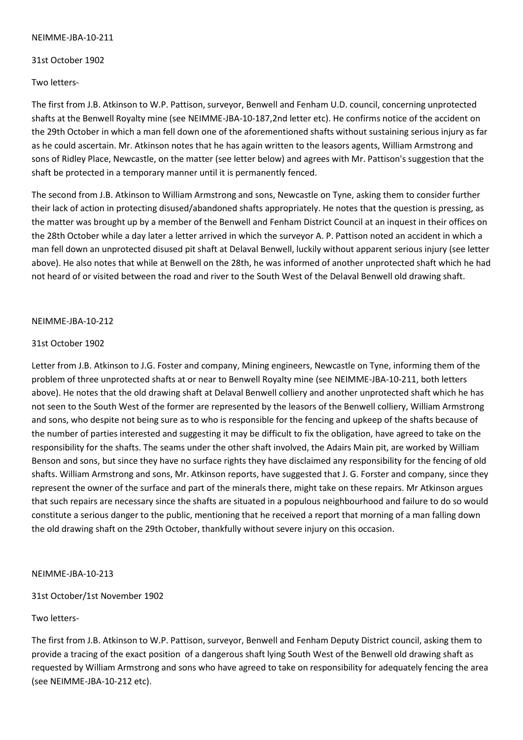### NEIMME-JBA-10-211

## 31st October 1902

Two letters-

The first from J.B. Atkinson to W.P. Pattison, surveyor, Benwell and Fenham U.D. council, concerning unprotected shafts at the Benwell Royalty mine (see NEIMME-JBA-10-187,2nd letter etc). He confirms notice of the accident on the 29th October in which a man fell down one of the aforementioned shafts without sustaining serious injury as far as he could ascertain. Mr. Atkinson notes that he has again written to the leasors agents, William Armstrong and sons of Ridley Place, Newcastle, on the matter (see letter below) and agrees with Mr. Pattison's suggestion that the shaft be protected in a temporary manner until it is permanently fenced.

The second from J.B. Atkinson to William Armstrong and sons, Newcastle on Tyne, asking them to consider further their lack of action in protecting disused/abandoned shafts appropriately. He notes that the question is pressing, as the matter was brought up by a member of the Benwell and Fenham District Council at an inquest in their offices on the 28th October while a day later a letter arrived in which the surveyor A. P. Pattison noted an accident in which a man fell down an unprotected disused pit shaft at Delaval Benwell, luckily without apparent serious injury (see letter above). He also notes that while at Benwell on the 28th, he was informed of another unprotected shaft which he had not heard of or visited between the road and river to the South West of the Delaval Benwell old drawing shaft.

## NEIMME-JBA-10-212

## 31st October 1902

Letter from J.B. Atkinson to J.G. Foster and company, Mining engineers, Newcastle on Tyne, informing them of the problem of three unprotected shafts at or near to Benwell Royalty mine (see NEIMME-JBA-10-211, both letters above). He notes that the old drawing shaft at Delaval Benwell colliery and another unprotected shaft which he has not seen to the South West of the former are represented by the leasors of the Benwell colliery, William Armstrong and sons, who despite not being sure as to who is responsible for the fencing and upkeep of the shafts because of the number of parties interested and suggesting it may be difficult to fix the obligation, have agreed to take on the responsibility for the shafts. The seams under the other shaft involved, the Adairs Main pit, are worked by William Benson and sons, but since they have no surface rights they have disclaimed any responsibility for the fencing of old shafts. William Armstrong and sons, Mr. Atkinson reports, have suggested that J. G. Forster and company, since they represent the owner of the surface and part of the minerals there, might take on these repairs. Mr Atkinson argues that such repairs are necessary since the shafts are situated in a populous neighbourhood and failure to do so would constitute a serious danger to the public, mentioning that he received a report that morning of a man falling down the old drawing shaft on the 29th October, thankfully without severe injury on this occasion.

## NEIMME-JBA-10-213

## 31st October/1st November 1902

## Two letters-

The first from J.B. Atkinson to W.P. Pattison, surveyor, Benwell and Fenham Deputy District council, asking them to provide a tracing of the exact position of a dangerous shaft lying South West of the Benwell old drawing shaft as requested by William Armstrong and sons who have agreed to take on responsibility for adequately fencing the area (see NEIMME-JBA-10-212 etc).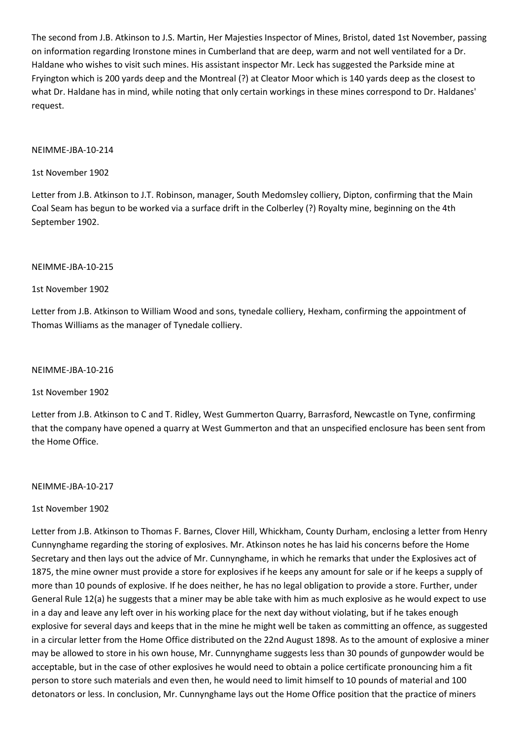The second from J.B. Atkinson to J.S. Martin, Her Majesties Inspector of Mines, Bristol, dated 1st November, passing on information regarding Ironstone mines in Cumberland that are deep, warm and not well ventilated for a Dr. Haldane who wishes to visit such mines. His assistant inspector Mr. Leck has suggested the Parkside mine at Fryington which is 200 yards deep and the Montreal (?) at Cleator Moor which is 140 yards deep as the closest to what Dr. Haldane has in mind, while noting that only certain workings in these mines correspond to Dr. Haldanes' request.

## NEIMME-JBA-10-214

## 1st November 1902

Letter from J.B. Atkinson to J.T. Robinson, manager, South Medomsley colliery, Dipton, confirming that the Main Coal Seam has begun to be worked via a surface drift in the Colberley (?) Royalty mine, beginning on the 4th September 1902.

## NEIMME-JBA-10-215

## 1st November 1902

Letter from J.B. Atkinson to William Wood and sons, tynedale colliery, Hexham, confirming the appointment of Thomas Williams as the manager of Tynedale colliery.

### NEIMME-JBA-10-216

## 1st November 1902

Letter from J.B. Atkinson to C and T. Ridley, West Gummerton Quarry, Barrasford, Newcastle on Tyne, confirming that the company have opened a quarry at West Gummerton and that an unspecified enclosure has been sent from the Home Office.

## NEIMME-JBA-10-217

## 1st November 1902

Letter from J.B. Atkinson to Thomas F. Barnes, Clover Hill, Whickham, County Durham, enclosing a letter from Henry Cunnynghame regarding the storing of explosives. Mr. Atkinson notes he has laid his concerns before the Home Secretary and then lays out the advice of Mr. Cunnynghame, in which he remarks that under the Explosives act of 1875, the mine owner must provide a store for explosives if he keeps any amount for sale or if he keeps a supply of more than 10 pounds of explosive. If he does neither, he has no legal obligation to provide a store. Further, under General Rule 12(a) he suggests that a miner may be able take with him as much explosive as he would expect to use in a day and leave any left over in his working place for the next day without violating, but if he takes enough explosive for several days and keeps that in the mine he might well be taken as committing an offence, as suggested in a circular letter from the Home Office distributed on the 22nd August 1898. As to the amount of explosive a miner may be allowed to store in his own house, Mr. Cunnynghame suggests less than 30 pounds of gunpowder would be acceptable, but in the case of other explosives he would need to obtain a police certificate pronouncing him a fit person to store such materials and even then, he would need to limit himself to 10 pounds of material and 100 detonators or less. In conclusion, Mr. Cunnynghame lays out the Home Office position that the practice of miners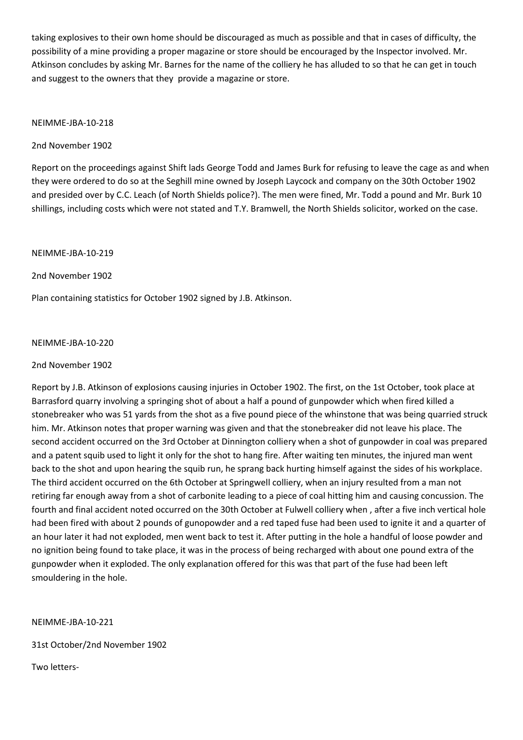taking explosives to their own home should be discouraged as much as possible and that in cases of difficulty, the possibility of a mine providing a proper magazine or store should be encouraged by the Inspector involved. Mr. Atkinson concludes by asking Mr. Barnes for the name of the colliery he has alluded to so that he can get in touch and suggest to the owners that they provide a magazine or store.

### NEIMME-JBA-10-218

## 2nd November 1902

Report on the proceedings against Shift lads George Todd and James Burk for refusing to leave the cage as and when they were ordered to do so at the Seghill mine owned by Joseph Laycock and company on the 30th October 1902 and presided over by C.C. Leach (of North Shields police?). The men were fined, Mr. Todd a pound and Mr. Burk 10 shillings, including costs which were not stated and T.Y. Bramwell, the North Shields solicitor, worked on the case.

## NEIMME-JBA-10-219

2nd November 1902

Plan containing statistics for October 1902 signed by J.B. Atkinson.

## NEIMME-JBA-10-220

### 2nd November 1902

Report by J.B. Atkinson of explosions causing injuries in October 1902. The first, on the 1st October, took place at Barrasford quarry involving a springing shot of about a half a pound of gunpowder which when fired killed a stonebreaker who was 51 yards from the shot as a five pound piece of the whinstone that was being quarried struck him. Mr. Atkinson notes that proper warning was given and that the stonebreaker did not leave his place. The second accident occurred on the 3rd October at Dinnington colliery when a shot of gunpowder in coal was prepared and a patent squib used to light it only for the shot to hang fire. After waiting ten minutes, the injured man went back to the shot and upon hearing the squib run, he sprang back hurting himself against the sides of his workplace. The third accident occurred on the 6th October at Springwell colliery, when an injury resulted from a man not retiring far enough away from a shot of carbonite leading to a piece of coal hitting him and causing concussion. The fourth and final accident noted occurred on the 30th October at Fulwell colliery when , after a five inch vertical hole had been fired with about 2 pounds of gunopowder and a red taped fuse had been used to ignite it and a quarter of an hour later it had not exploded, men went back to test it. After putting in the hole a handful of loose powder and no ignition being found to take place, it was in the process of being recharged with about one pound extra of the gunpowder when it exploded. The only explanation offered for this was that part of the fuse had been left smouldering in the hole.

NEIMME-JBA-10-221

31st October/2nd November 1902

Two letters-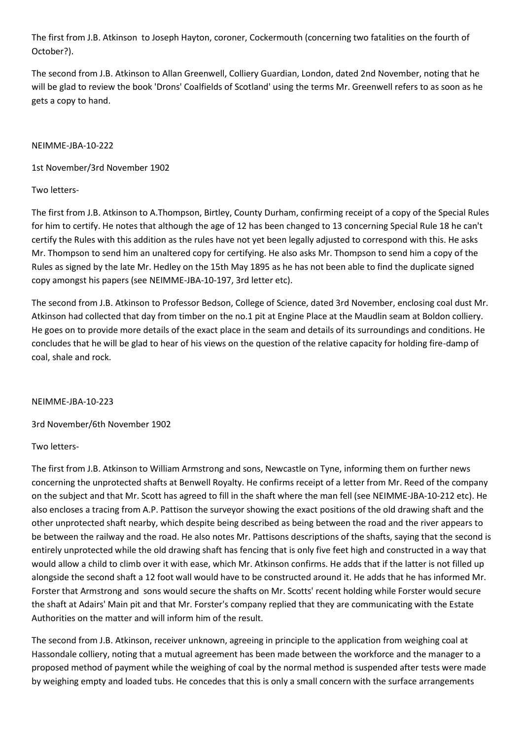The first from J.B. Atkinson to Joseph Hayton, coroner, Cockermouth (concerning two fatalities on the fourth of October?).

The second from J.B. Atkinson to Allan Greenwell, Colliery Guardian, London, dated 2nd November, noting that he will be glad to review the book 'Drons' Coalfields of Scotland' using the terms Mr. Greenwell refers to as soon as he gets a copy to hand.

## NEIMME-JBA-10-222

1st November/3rd November 1902

Two letters-

The first from J.B. Atkinson to A.Thompson, Birtley, County Durham, confirming receipt of a copy of the Special Rules for him to certify. He notes that although the age of 12 has been changed to 13 concerning Special Rule 18 he can't certify the Rules with this addition as the rules have not yet been legally adjusted to correspond with this. He asks Mr. Thompson to send him an unaltered copy for certifying. He also asks Mr. Thompson to send him a copy of the Rules as signed by the late Mr. Hedley on the 15th May 1895 as he has not been able to find the duplicate signed copy amongst his papers (see NEIMME-JBA-10-197, 3rd letter etc).

The second from J.B. Atkinson to Professor Bedson, College of Science, dated 3rd November, enclosing coal dust Mr. Atkinson had collected that day from timber on the no.1 pit at Engine Place at the Maudlin seam at Boldon colliery. He goes on to provide more details of the exact place in the seam and details of its surroundings and conditions. He concludes that he will be glad to hear of his views on the question of the relative capacity for holding fire-damp of coal, shale and rock.

NEIMME-JBA-10-223

3rd November/6th November 1902

# Two letters-

The first from J.B. Atkinson to William Armstrong and sons, Newcastle on Tyne, informing them on further news concerning the unprotected shafts at Benwell Royalty. He confirms receipt of a letter from Mr. Reed of the company on the subject and that Mr. Scott has agreed to fill in the shaft where the man fell (see NEIMME-JBA-10-212 etc). He also encloses a tracing from A.P. Pattison the surveyor showing the exact positions of the old drawing shaft and the other unprotected shaft nearby, which despite being described as being between the road and the river appears to be between the railway and the road. He also notes Mr. Pattisons descriptions of the shafts, saying that the second is entirely unprotected while the old drawing shaft has fencing that is only five feet high and constructed in a way that would allow a child to climb over it with ease, which Mr. Atkinson confirms. He adds that if the latter is not filled up alongside the second shaft a 12 foot wall would have to be constructed around it. He adds that he has informed Mr. Forster that Armstrong and sons would secure the shafts on Mr. Scotts' recent holding while Forster would secure the shaft at Adairs' Main pit and that Mr. Forster's company replied that they are communicating with the Estate Authorities on the matter and will inform him of the result.

The second from J.B. Atkinson, receiver unknown, agreeing in principle to the application from weighing coal at Hassondale colliery, noting that a mutual agreement has been made between the workforce and the manager to a proposed method of payment while the weighing of coal by the normal method is suspended after tests were made by weighing empty and loaded tubs. He concedes that this is only a small concern with the surface arrangements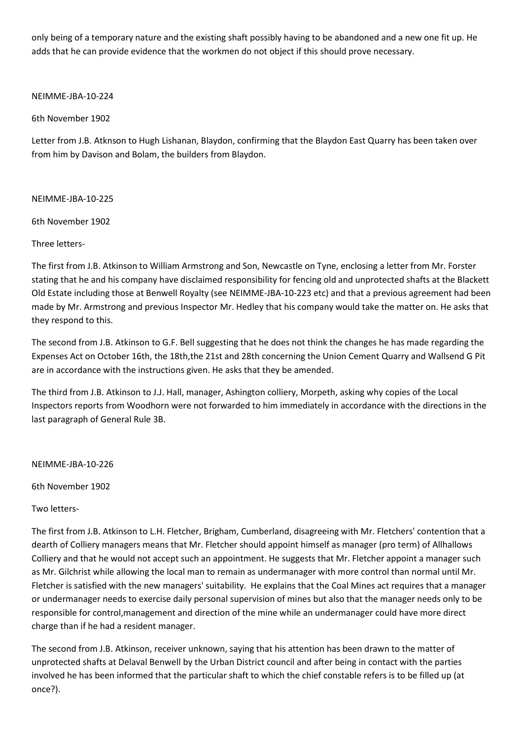only being of a temporary nature and the existing shaft possibly having to be abandoned and a new one fit up. He adds that he can provide evidence that the workmen do not object if this should prove necessary.

NEIMME-JBA-10-224

6th November 1902

Letter from J.B. Atknson to Hugh Lishanan, Blaydon, confirming that the Blaydon East Quarry has been taken over from him by Davison and Bolam, the builders from Blaydon.

NEIMME-JBA-10-225

6th November 1902

Three letters-

The first from J.B. Atkinson to William Armstrong and Son, Newcastle on Tyne, enclosing a letter from Mr. Forster stating that he and his company have disclaimed responsibility for fencing old and unprotected shafts at the Blackett Old Estate including those at Benwell Royalty (see NEIMME-JBA-10-223 etc) and that a previous agreement had been made by Mr. Armstrong and previous Inspector Mr. Hedley that his company would take the matter on. He asks that they respond to this.

The second from J.B. Atkinson to G.F. Bell suggesting that he does not think the changes he has made regarding the Expenses Act on October 16th, the 18th,the 21st and 28th concerning the Union Cement Quarry and Wallsend G Pit are in accordance with the instructions given. He asks that they be amended.

The third from J.B. Atkinson to J.J. Hall, manager, Ashington colliery, Morpeth, asking why copies of the Local Inspectors reports from Woodhorn were not forwarded to him immediately in accordance with the directions in the last paragraph of General Rule 3B.

NEIMME-JBA-10-226

6th November 1902

Two letters-

The first from J.B. Atkinson to L.H. Fletcher, Brigham, Cumberland, disagreeing with Mr. Fletchers' contention that a dearth of Colliery managers means that Mr. Fletcher should appoint himself as manager (pro term) of Allhallows Colliery and that he would not accept such an appointment. He suggests that Mr. Fletcher appoint a manager such as Mr. Gilchrist while allowing the local man to remain as undermanager with more control than normal until Mr. Fletcher is satisfied with the new managers' suitability. He explains that the Coal Mines act requires that a manager or undermanager needs to exercise daily personal supervision of mines but also that the manager needs only to be responsible for control,management and direction of the mine while an undermanager could have more direct charge than if he had a resident manager.

The second from J.B. Atkinson, receiver unknown, saying that his attention has been drawn to the matter of unprotected shafts at Delaval Benwell by the Urban District council and after being in contact with the parties involved he has been informed that the particular shaft to which the chief constable refers is to be filled up (at once?).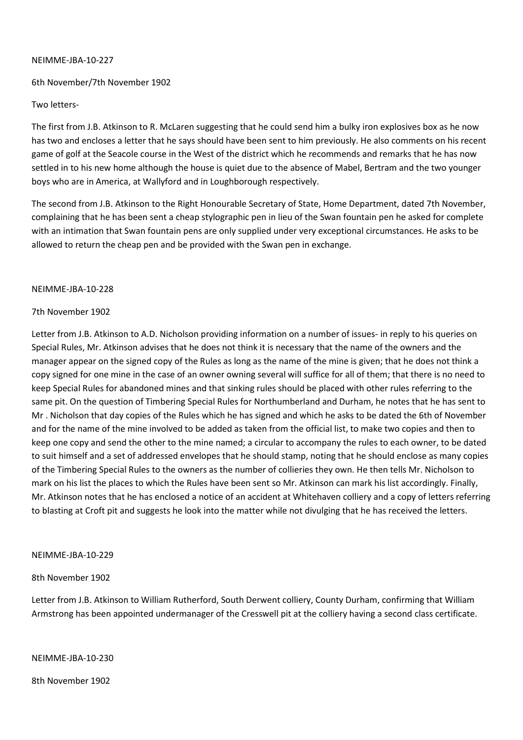## NEIMME-JBA-10-227

## 6th November/7th November 1902

### Two letters-

The first from J.B. Atkinson to R. McLaren suggesting that he could send him a bulky iron explosives box as he now has two and encloses a letter that he says should have been sent to him previously. He also comments on his recent game of golf at the Seacole course in the West of the district which he recommends and remarks that he has now settled in to his new home although the house is quiet due to the absence of Mabel, Bertram and the two younger boys who are in America, at Wallyford and in Loughborough respectively.

The second from J.B. Atkinson to the Right Honourable Secretary of State, Home Department, dated 7th November, complaining that he has been sent a cheap stylographic pen in lieu of the Swan fountain pen he asked for complete with an intimation that Swan fountain pens are only supplied under very exceptional circumstances. He asks to be allowed to return the cheap pen and be provided with the Swan pen in exchange.

#### NEIMME-JBA-10-228

#### 7th November 1902

Letter from J.B. Atkinson to A.D. Nicholson providing information on a number of issues- in reply to his queries on Special Rules, Mr. Atkinson advises that he does not think it is necessary that the name of the owners and the manager appear on the signed copy of the Rules as long as the name of the mine is given; that he does not think a copy signed for one mine in the case of an owner owning several will suffice for all of them; that there is no need to keep Special Rules for abandoned mines and that sinking rules should be placed with other rules referring to the same pit. On the question of Timbering Special Rules for Northumberland and Durham, he notes that he has sent to Mr . Nicholson that day copies of the Rules which he has signed and which he asks to be dated the 6th of November and for the name of the mine involved to be added as taken from the official list, to make two copies and then to keep one copy and send the other to the mine named; a circular to accompany the rules to each owner, to be dated to suit himself and a set of addressed envelopes that he should stamp, noting that he should enclose as many copies of the Timbering Special Rules to the owners as the number of collieries they own. He then tells Mr. Nicholson to mark on his list the places to which the Rules have been sent so Mr. Atkinson can mark his list accordingly. Finally, Mr. Atkinson notes that he has enclosed a notice of an accident at Whitehaven colliery and a copy of letters referring to blasting at Croft pit and suggests he look into the matter while not divulging that he has received the letters.

#### NEIMME-JBA-10-229

#### 8th November 1902

Letter from J.B. Atkinson to William Rutherford, South Derwent colliery, County Durham, confirming that William Armstrong has been appointed undermanager of the Cresswell pit at the colliery having a second class certificate.

NEIMME-JBA-10-230

8th November 1902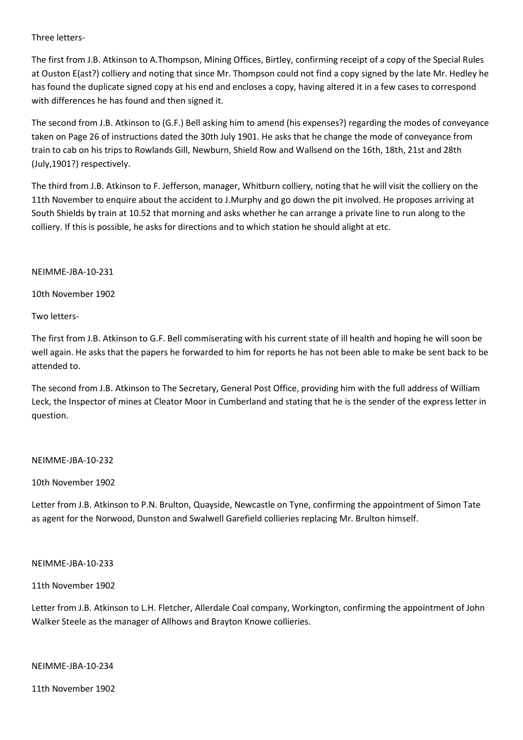Three letters-

The first from J.B. Atkinson to A.Thompson, Mining Offices, Birtley, confirming receipt of a copy of the Special Rules at Ouston E(ast?) colliery and noting that since Mr. Thompson could not find a copy signed by the late Mr. Hedley he has found the duplicate signed copy at his end and encloses a copy, having altered it in a few cases to correspond with differences he has found and then signed it.

The second from J.B. Atkinson to (G.F.) Bell asking him to amend (his expenses?) regarding the modes of conveyance taken on Page 26 of instructions dated the 30th July 1901. He asks that he change the mode of conveyance from train to cab on his trips to Rowlands Gill, Newburn, Shield Row and Wallsend on the 16th, 18th, 21st and 28th (July,1901?) respectively.

The third from J.B. Atkinson to F. Jefferson, manager, Whitburn colliery, noting that he will visit the colliery on the 11th November to enquire about the accident to J.Murphy and go down the pit involved. He proposes arriving at South Shields by train at 10.52 that morning and asks whether he can arrange a private line to run along to the colliery. If this is possible, he asks for directions and to which station he should alight at etc.

NEIMME-JBA-10-231

10th November 1902

Two letters-

The first from J.B. Atkinson to G.F. Bell commiserating with his current state of ill health and hoping he will soon be well again. He asks that the papers he forwarded to him for reports he has not been able to make be sent back to be attended to.

The second from J.B. Atkinson to The Secretary, General Post Office, providing him with the full address of William Leck, the Inspector of mines at Cleator Moor in Cumberland and stating that he is the sender of the express letter in question.

## NEIMME-JBA-10-232

10th November 1902

Letter from J.B. Atkinson to P.N. Brulton, Quayside, Newcastle on Tyne, confirming the appointment of Simon Tate as agent for the Norwood, Dunston and Swalwell Garefield collieries replacing Mr. Brulton himself.

## NEIMME-JBA-10-233

11th November 1902

Letter from J.B. Atkinson to L.H. Fletcher, Allerdale Coal company, Workington, confirming the appointment of John Walker Steele as the manager of Allhows and Brayton Knowe collieries.

NEIMME-JBA-10-234

11th November 1902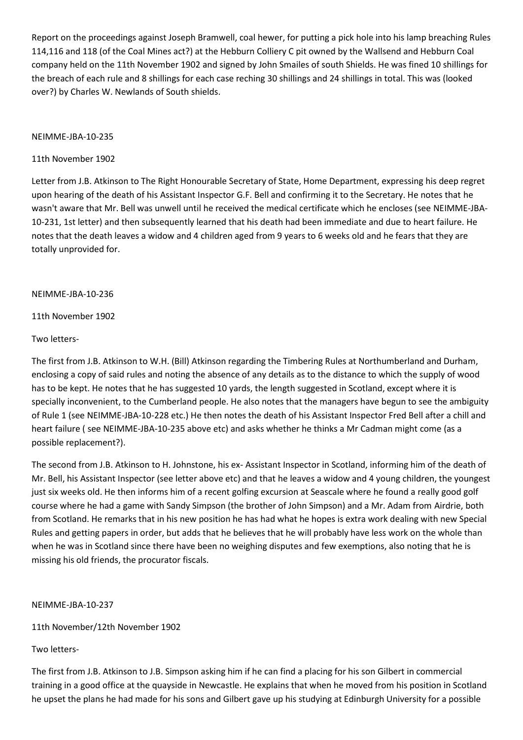Report on the proceedings against Joseph Bramwell, coal hewer, for putting a pick hole into his lamp breaching Rules 114,116 and 118 (of the Coal Mines act?) at the Hebburn Colliery C pit owned by the Wallsend and Hebburn Coal company held on the 11th November 1902 and signed by John Smailes of south Shields. He was fined 10 shillings for the breach of each rule and 8 shillings for each case reching 30 shillings and 24 shillings in total. This was (looked over?) by Charles W. Newlands of South shields.

#### NEIMME-JBA-10-235

## 11th November 1902

Letter from J.B. Atkinson to The Right Honourable Secretary of State, Home Department, expressing his deep regret upon hearing of the death of his Assistant Inspector G.F. Bell and confirming it to the Secretary. He notes that he wasn't aware that Mr. Bell was unwell until he received the medical certificate which he encloses (see NEIMME-JBA-10-231, 1st letter) and then subsequently learned that his death had been immediate and due to heart failure. He notes that the death leaves a widow and 4 children aged from 9 years to 6 weeks old and he fears that they are totally unprovided for.

#### NEIMME-JBA-10-236

11th November 1902

#### Two letters-

The first from J.B. Atkinson to W.H. (Bill) Atkinson regarding the Timbering Rules at Northumberland and Durham, enclosing a copy of said rules and noting the absence of any details as to the distance to which the supply of wood has to be kept. He notes that he has suggested 10 yards, the length suggested in Scotland, except where it is specially inconvenient, to the Cumberland people. He also notes that the managers have begun to see the ambiguity of Rule 1 (see NEIMME-JBA-10-228 etc.) He then notes the death of his Assistant Inspector Fred Bell after a chill and heart failure ( see NEIMME-JBA-10-235 above etc) and asks whether he thinks a Mr Cadman might come (as a possible replacement?).

The second from J.B. Atkinson to H. Johnstone, his ex- Assistant Inspector in Scotland, informing him of the death of Mr. Bell, his Assistant Inspector (see letter above etc) and that he leaves a widow and 4 young children, the youngest just six weeks old. He then informs him of a recent golfing excursion at Seascale where he found a really good golf course where he had a game with Sandy Simpson (the brother of John Simpson) and a Mr. Adam from Airdrie, both from Scotland. He remarks that in his new position he has had what he hopes is extra work dealing with new Special Rules and getting papers in order, but adds that he believes that he will probably have less work on the whole than when he was in Scotland since there have been no weighing disputes and few exemptions, also noting that he is missing his old friends, the procurator fiscals.

## NEIMME-JBA-10-237

11th November/12th November 1902

## Two letters-

The first from J.B. Atkinson to J.B. Simpson asking him if he can find a placing for his son Gilbert in commercial training in a good office at the quayside in Newcastle. He explains that when he moved from his position in Scotland he upset the plans he had made for his sons and Gilbert gave up his studying at Edinburgh University for a possible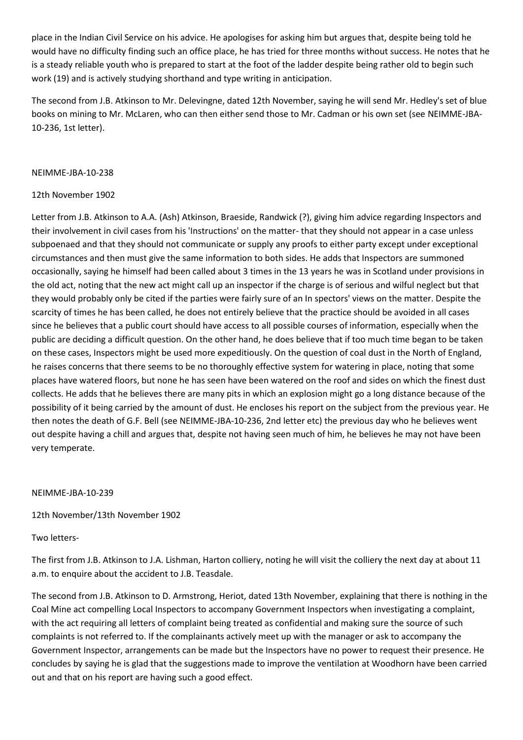place in the Indian Civil Service on his advice. He apologises for asking him but argues that, despite being told he would have no difficulty finding such an office place, he has tried for three months without success. He notes that he is a steady reliable youth who is prepared to start at the foot of the ladder despite being rather old to begin such work (19) and is actively studying shorthand and type writing in anticipation.

The second from J.B. Atkinson to Mr. Delevingne, dated 12th November, saying he will send Mr. Hedley's set of blue books on mining to Mr. McLaren, who can then either send those to Mr. Cadman or his own set (see NEIMME-JBA-10-236, 1st letter).

## NEIMME-JBA-10-238

## 12th November 1902

Letter from J.B. Atkinson to A.A. (Ash) Atkinson, Braeside, Randwick (?), giving him advice regarding Inspectors and their involvement in civil cases from his 'Instructions' on the matter- that they should not appear in a case unless subpoenaed and that they should not communicate or supply any proofs to either party except under exceptional circumstances and then must give the same information to both sides. He adds that Inspectors are summoned occasionally, saying he himself had been called about 3 times in the 13 years he was in Scotland under provisions in the old act, noting that the new act might call up an inspector if the charge is of serious and wilful neglect but that they would probably only be cited if the parties were fairly sure of an In spectors' views on the matter. Despite the scarcity of times he has been called, he does not entirely believe that the practice should be avoided in all cases since he believes that a public court should have access to all possible courses of information, especially when the public are deciding a difficult question. On the other hand, he does believe that if too much time began to be taken on these cases, Inspectors might be used more expeditiously. On the question of coal dust in the North of England, he raises concerns that there seems to be no thoroughly effective system for watering in place, noting that some places have watered floors, but none he has seen have been watered on the roof and sides on which the finest dust collects. He adds that he believes there are many pits in which an explosion might go a long distance because of the possibility of it being carried by the amount of dust. He encloses his report on the subject from the previous year. He then notes the death of G.F. Bell (see NEIMME-JBA-10-236, 2nd letter etc) the previous day who he believes went out despite having a chill and argues that, despite not having seen much of him, he believes he may not have been very temperate.

#### NEIMME-JBA-10-239

12th November/13th November 1902

## Two letters-

The first from J.B. Atkinson to J.A. Lishman, Harton colliery, noting he will visit the colliery the next day at about 11 a.m. to enquire about the accident to J.B. Teasdale.

The second from J.B. Atkinson to D. Armstrong, Heriot, dated 13th November, explaining that there is nothing in the Coal Mine act compelling Local Inspectors to accompany Government Inspectors when investigating a complaint, with the act requiring all letters of complaint being treated as confidential and making sure the source of such complaints is not referred to. If the complainants actively meet up with the manager or ask to accompany the Government Inspector, arrangements can be made but the Inspectors have no power to request their presence. He concludes by saying he is glad that the suggestions made to improve the ventilation at Woodhorn have been carried out and that on his report are having such a good effect.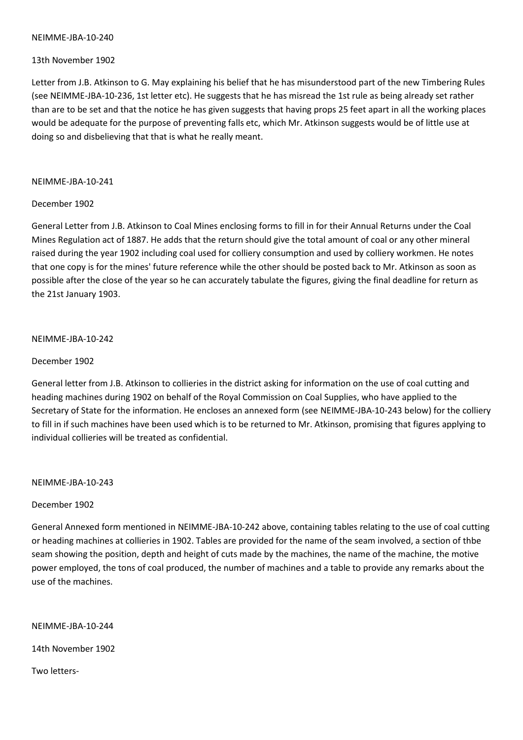#### NEIMME-JBA-10-240

## 13th November 1902

Letter from J.B. Atkinson to G. May explaining his belief that he has misunderstood part of the new Timbering Rules (see NEIMME-JBA-10-236, 1st letter etc). He suggests that he has misread the 1st rule as being already set rather than are to be set and that the notice he has given suggests that having props 25 feet apart in all the working places would be adequate for the purpose of preventing falls etc, which Mr. Atkinson suggests would be of little use at doing so and disbelieving that that is what he really meant.

#### NEIMME-JBA-10-241

## December 1902

General Letter from J.B. Atkinson to Coal Mines enclosing forms to fill in for their Annual Returns under the Coal Mines Regulation act of 1887. He adds that the return should give the total amount of coal or any other mineral raised during the year 1902 including coal used for colliery consumption and used by colliery workmen. He notes that one copy is for the mines' future reference while the other should be posted back to Mr. Atkinson as soon as possible after the close of the year so he can accurately tabulate the figures, giving the final deadline for return as the 21st January 1903.

## NEIMME-JBA-10-242

## December 1902

General letter from J.B. Atkinson to collieries in the district asking for information on the use of coal cutting and heading machines during 1902 on behalf of the Royal Commission on Coal Supplies, who have applied to the Secretary of State for the information. He encloses an annexed form (see NEIMME-JBA-10-243 below) for the colliery to fill in if such machines have been used which is to be returned to Mr. Atkinson, promising that figures applying to individual collieries will be treated as confidential.

NEIMME-JBA-10-243

## December 1902

General Annexed form mentioned in NEIMME-JBA-10-242 above, containing tables relating to the use of coal cutting or heading machines at collieries in 1902. Tables are provided for the name of the seam involved, a section of thbe seam showing the position, depth and height of cuts made by the machines, the name of the machine, the motive power employed, the tons of coal produced, the number of machines and a table to provide any remarks about the use of the machines.

## NEIMME-JBA-10-244

14th November 1902

Two letters-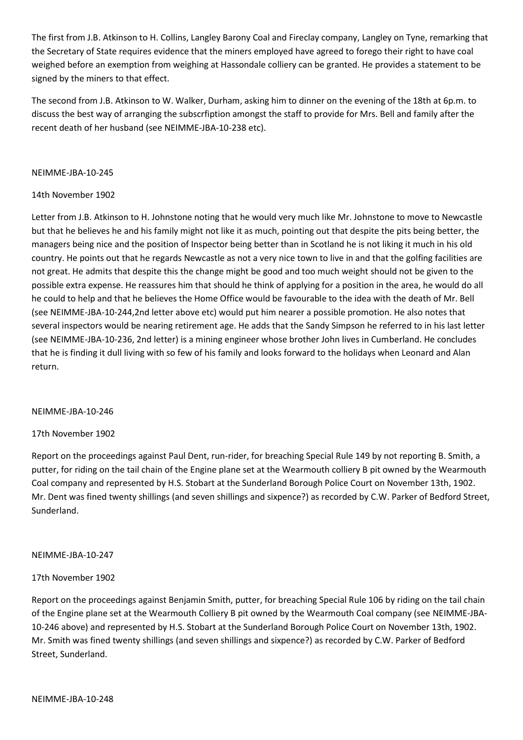The first from J.B. Atkinson to H. Collins, Langley Barony Coal and Fireclay company, Langley on Tyne, remarking that the Secretary of State requires evidence that the miners employed have agreed to forego their right to have coal weighed before an exemption from weighing at Hassondale colliery can be granted. He provides a statement to be signed by the miners to that effect.

The second from J.B. Atkinson to W. Walker, Durham, asking him to dinner on the evening of the 18th at 6p.m. to discuss the best way of arranging the subscrfiption amongst the staff to provide for Mrs. Bell and family after the recent death of her husband (see NEIMME-JBA-10-238 etc).

## NEIMME-JBA-10-245

## 14th November 1902

Letter from J.B. Atkinson to H. Johnstone noting that he would very much like Mr. Johnstone to move to Newcastle but that he believes he and his family might not like it as much, pointing out that despite the pits being better, the managers being nice and the position of Inspector being better than in Scotland he is not liking it much in his old country. He points out that he regards Newcastle as not a very nice town to live in and that the golfing facilities are not great. He admits that despite this the change might be good and too much weight should not be given to the possible extra expense. He reassures him that should he think of applying for a position in the area, he would do all he could to help and that he believes the Home Office would be favourable to the idea with the death of Mr. Bell (see NEIMME-JBA-10-244,2nd letter above etc) would put him nearer a possible promotion. He also notes that several inspectors would be nearing retirement age. He adds that the Sandy Simpson he referred to in his last letter (see NEIMME-JBA-10-236, 2nd letter) is a mining engineer whose brother John lives in Cumberland. He concludes that he is finding it dull living with so few of his family and looks forward to the holidays when Leonard and Alan return.

## NEIMME-JBA-10-246

# 17th November 1902

Report on the proceedings against Paul Dent, run-rider, for breaching Special Rule 149 by not reporting B. Smith, a putter, for riding on the tail chain of the Engine plane set at the Wearmouth colliery B pit owned by the Wearmouth Coal company and represented by H.S. Stobart at the Sunderland Borough Police Court on November 13th, 1902. Mr. Dent was fined twenty shillings (and seven shillings and sixpence?) as recorded by C.W. Parker of Bedford Street, Sunderland.

## NEIMME-JBA-10-247

## 17th November 1902

Report on the proceedings against Benjamin Smith, putter, for breaching Special Rule 106 by riding on the tail chain of the Engine plane set at the Wearmouth Colliery B pit owned by the Wearmouth Coal company (see NEIMME-JBA-10-246 above) and represented by H.S. Stobart at the Sunderland Borough Police Court on November 13th, 1902. Mr. Smith was fined twenty shillings (and seven shillings and sixpence?) as recorded by C.W. Parker of Bedford Street, Sunderland.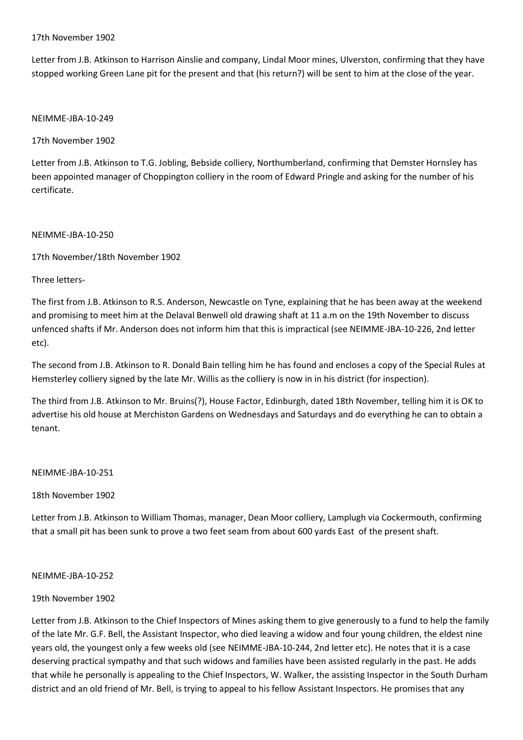## 17th November 1902

Letter from J.B. Atkinson to Harrison Ainslie and company, Lindal Moor mines, Ulverston, confirming that they have stopped working Green Lane pit for the present and that (his return?) will be sent to him at the close of the year.

## NEIMME-JBA-10-249

# 17th November 1902

Letter from J.B. Atkinson to T.G. Jobling, Bebside colliery, Northumberland, confirming that Demster Hornsley has been appointed manager of Choppington colliery in the room of Edward Pringle and asking for the number of his certificate.

## NEIMME-JBA-10-250

17th November/18th November 1902

Three letters-

The first from J.B. Atkinson to R.S. Anderson, Newcastle on Tyne, explaining that he has been away at the weekend and promising to meet him at the Delaval Benwell old drawing shaft at 11 a.m on the 19th November to discuss unfenced shafts if Mr. Anderson does not inform him that this is impractical (see NEIMME-JBA-10-226, 2nd letter etc).

The second from J.B. Atkinson to R. Donald Bain telling him he has found and encloses a copy of the Special Rules at Hemsterley colliery signed by the late Mr. Willis as the colliery is now in in his district (for inspection).

The third from J.B. Atkinson to Mr. Bruins(?), House Factor, Edinburgh, dated 18th November, telling him it is OK to advertise his old house at Merchiston Gardens on Wednesdays and Saturdays and do everything he can to obtain a tenant.

# NEIMME-JBA-10-251

18th November 1902

Letter from J.B. Atkinson to William Thomas, manager, Dean Moor colliery, Lamplugh via Cockermouth, confirming that a small pit has been sunk to prove a two feet seam from about 600 yards East of the present shaft.

## NEIMME-JBA-10-252

# 19th November 1902

Letter from J.B. Atkinson to the Chief Inspectors of Mines asking them to give generously to a fund to help the family of the late Mr. G.F. Bell, the Assistant Inspector, who died leaving a widow and four young children, the eldest nine years old, the youngest only a few weeks old (see NEIMME-JBA-10-244, 2nd letter etc). He notes that it is a case deserving practical sympathy and that such widows and families have been assisted regularly in the past. He adds that while he personally is appealing to the Chief Inspectors, W. Walker, the assisting Inspector in the South Durham district and an old friend of Mr. Bell, is trying to appeal to his fellow Assistant Inspectors. He promises that any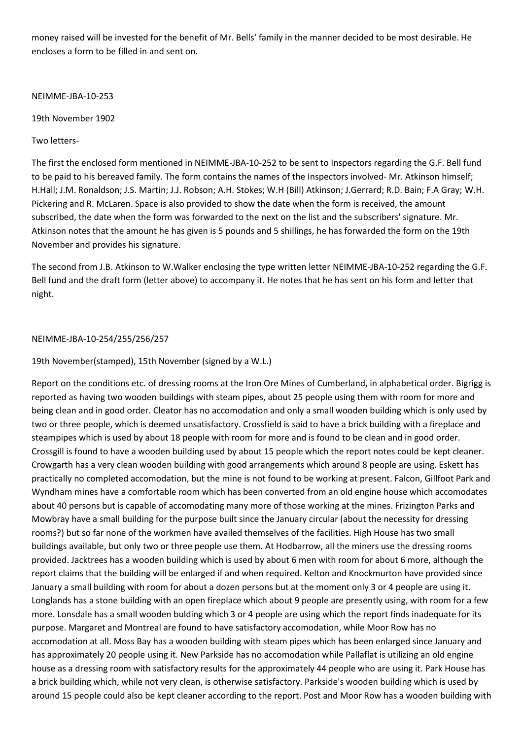money raised will be invested for the benefit of Mr. Bells' family in the manner decided to be most desirable. He encloses a form to be filled in and sent on.

NEIMME-JBA-10-253

19th November 1902

Two letters-

The first the enclosed form mentioned in NEIMME-JBA-10-252 to be sent to Inspectors regarding the G.F. Bell fund to be paid to his bereaved family. The form contains the names of the Inspectors involved- Mr. Atkinson himself; H.Hall; J.M. Ronaldson; J.S. Martin; J.J. Robson; A.H. Stokes; W.H (Bill) Atkinson; J.Gerrard; R.D. Bain; F.A Gray; W.H. Pickering and R. McLaren. Space is also provided to show the date when the form is received, the amount subscribed, the date when the form was forwarded to the next on the list and the subscribers' signature. Mr. Atkinson notes that the amount he has given is 5 pounds and 5 shillings, he has forwarded the form on the 19th November and provides his signature.

The second from J.B. Atkinson to W.Walker enclosing the type written letter NEIMME-JBA-10-252 regarding the G.F. Bell fund and the draft form (letter above) to accompany it. He notes that he has sent on his form and letter that night.

## NEIMME-JBA-10-254/255/256/257

## 19th November(stamped), 15th November (signed by a W.L.)

Report on the conditions etc. of dressing rooms at the Iron Ore Mines of Cumberland, in alphabetical order. Bigrigg is reported as having two wooden buildings with steam pipes, about 25 people using them with room for more and being clean and in good order. Cleator has no accomodation and only a small wooden building which is only used by two or three people, which is deemed unsatisfactory. Crossfield is said to have a brick building with a fireplace and steampipes which is used by about 18 people with room for more and is found to be clean and in good order. Crossgill is found to have a wooden building used by about 15 people which the report notes could be kept cleaner. Crowgarth has a very clean wooden building with good arrangements which around 8 people are using. Eskett has practically no completed accomodation, but the mine is not found to be working at present. Falcon, Gillfoot Park and Wyndham mines have a comfortable room which has been converted from an old engine house which accomodates about 40 persons but is capable of accomodating many more of those working at the mines. Frizington Parks and Mowbray have a small building for the purpose built since the January circular (about the necessity for dressing rooms?) but so far none of the workmen have availed themselves of the facilities. High House has two small buildings available, but only two or three people use them. At Hodbarrow, all the miners use the dressing rooms provided. Jacktrees has a wooden building which is used by about 6 men with room for about 6 more, although the report claims that the building will be enlarged if and when required. Kelton and Knockmurton have provided since January a small building with room for about a dozen persons but at the moment only 3 or 4 people are using it. Longlands has a stone building with an open fireplace which about 9 people are presently using, with room for a few more. Lonsdale has a small wooden bulding which 3 or 4 people are using which the report finds inadequate for its purpose. Margaret and Montreal are found to have satisfactory accomodation, while Moor Row has no accomodation at all. Moss Bay has a wooden building with steam pipes which has been enlarged since January and has approximately 20 people using it. New Parkside has no accomodation while Pallaflat is utilizing an old engine house as a dressing room with satisfactory results for the approximately 44 people who are using it. Park House has a brick building which, while not very clean, is otherwise satisfactory. Parkside's wooden building which is used by around 15 people could also be kept cleaner according to the report. Post and Moor Row has a wooden building with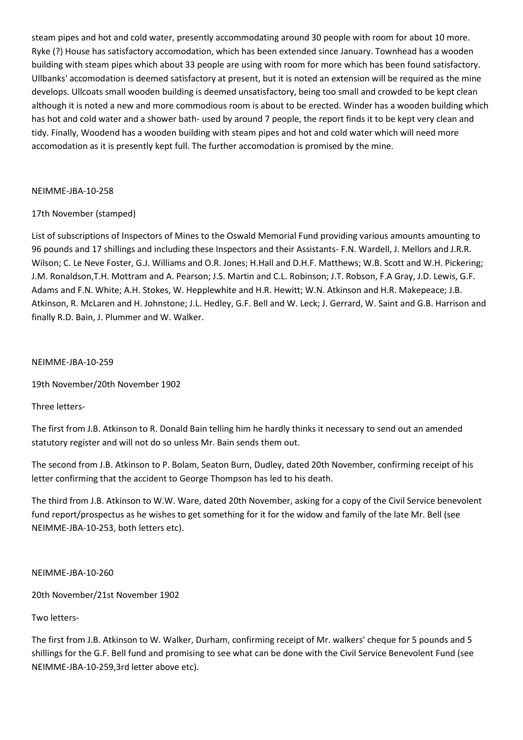steam pipes and hot and cold water, presently accommodating around 30 people with room for about 10 more. Ryke (?) House has satisfactory accomodation, which has been extended since January. Townhead has a wooden building with steam pipes which about 33 people are using with room for more which has been found satisfactory. Ullbanks' accomodation is deemed satisfactory at present, but it is noted an extension will be required as the mine develops. Ullcoats small wooden building is deemed unsatisfactory, being too small and crowded to be kept clean although it is noted a new and more commodious room is about to be erected. Winder has a wooden building which has hot and cold water and a shower bath- used by around 7 people, the report finds it to be kept very clean and tidy. Finally, Woodend has a wooden building with steam pipes and hot and cold water which will need more accomodation as it is presently kept full. The further accomodation is promised by the mine.

## NEIMME-JBA-10-258

## 17th November (stamped)

List of subscriptions of Inspectors of Mines to the Oswald Memorial Fund providing various amounts amounting to 96 pounds and 17 shillings and including these Inspectors and their Assistants- F.N. Wardell, J. Mellors and J.R.R. Wilson; C. Le Neve Foster, G.J. Williams and O.R. Jones; H.Hall and D.H.F. Matthews; W.B. Scott and W.H. Pickering; J.M. Ronaldson,T.H. Mottram and A. Pearson; J.S. Martin and C.L. Robinson; J.T. Robson, F.A Gray, J.D. Lewis, G.F. Adams and F.N. White; A.H. Stokes, W. Hepplewhite and H.R. Hewitt; W.N. Atkinson and H.R. Makepeace; J.B. Atkinson, R. McLaren and H. Johnstone; J.L. Hedley, G.F. Bell and W. Leck; J. Gerrard, W. Saint and G.B. Harrison and finally R.D. Bain, J. Plummer and W. Walker.

## NEIMME-JBA-10-259

19th November/20th November 1902

# Three letters-

The first from J.B. Atkinson to R. Donald Bain telling him he hardly thinks it necessary to send out an amended statutory register and will not do so unless Mr. Bain sends them out.

The second from J.B. Atkinson to P. Bolam, Seaton Burn, Dudley, dated 20th November, confirming receipt of his letter confirming that the accident to George Thompson has led to his death.

The third from J.B. Atkinson to W.W. Ware, dated 20th November, asking for a copy of the Civil Service benevolent fund report/prospectus as he wishes to get something for it for the widow and family of the late Mr. Bell (see NEIMME-JBA-10-253, both letters etc).

## NEIMME-JBA-10-260

20th November/21st November 1902

# Two letters-

The first from J.B. Atkinson to W. Walker, Durham, confirming receipt of Mr. walkers' cheque for 5 pounds and 5 shillings for the G.F. Bell fund and promising to see what can be done with the Civil Service Benevolent Fund (see NEIMME-JBA-10-259,3rd letter above etc).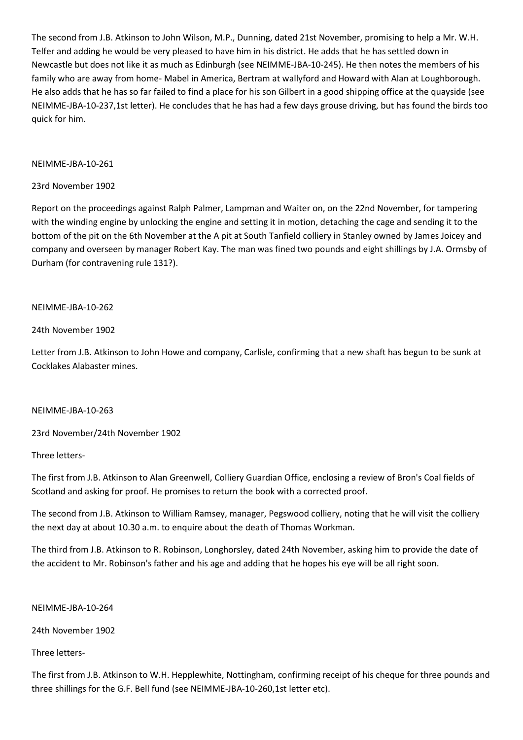The second from J.B. Atkinson to John Wilson, M.P., Dunning, dated 21st November, promising to help a Mr. W.H. Telfer and adding he would be very pleased to have him in his district. He adds that he has settled down in Newcastle but does not like it as much as Edinburgh (see NEIMME-JBA-10-245). He then notes the members of his family who are away from home- Mabel in America, Bertram at wallyford and Howard with Alan at Loughborough. He also adds that he has so far failed to find a place for his son Gilbert in a good shipping office at the quayside (see NEIMME-JBA-10-237,1st letter). He concludes that he has had a few days grouse driving, but has found the birds too quick for him.

## NEIMME-JBA-10-261

### 23rd November 1902

Report on the proceedings against Ralph Palmer, Lampman and Waiter on, on the 22nd November, for tampering with the winding engine by unlocking the engine and setting it in motion, detaching the cage and sending it to the bottom of the pit on the 6th November at the A pit at South Tanfield colliery in Stanley owned by James Joicey and company and overseen by manager Robert Kay. The man was fined two pounds and eight shillings by J.A. Ormsby of Durham (for contravening rule 131?).

#### NEIMME-JBA-10-262

#### 24th November 1902

Letter from J.B. Atkinson to John Howe and company, Carlisle, confirming that a new shaft has begun to be sunk at Cocklakes Alabaster mines.

#### NEIMME-JBA-10-263

23rd November/24th November 1902

Three letters-

The first from J.B. Atkinson to Alan Greenwell, Colliery Guardian Office, enclosing a review of Bron's Coal fields of Scotland and asking for proof. He promises to return the book with a corrected proof.

The second from J.B. Atkinson to William Ramsey, manager, Pegswood colliery, noting that he will visit the colliery the next day at about 10.30 a.m. to enquire about the death of Thomas Workman.

The third from J.B. Atkinson to R. Robinson, Longhorsley, dated 24th November, asking him to provide the date of the accident to Mr. Robinson's father and his age and adding that he hopes his eye will be all right soon.

NEIMME-JBA-10-264

24th November 1902

#### Three letters-

The first from J.B. Atkinson to W.H. Hepplewhite, Nottingham, confirming receipt of his cheque for three pounds and three shillings for the G.F. Bell fund (see NEIMME-JBA-10-260,1st letter etc).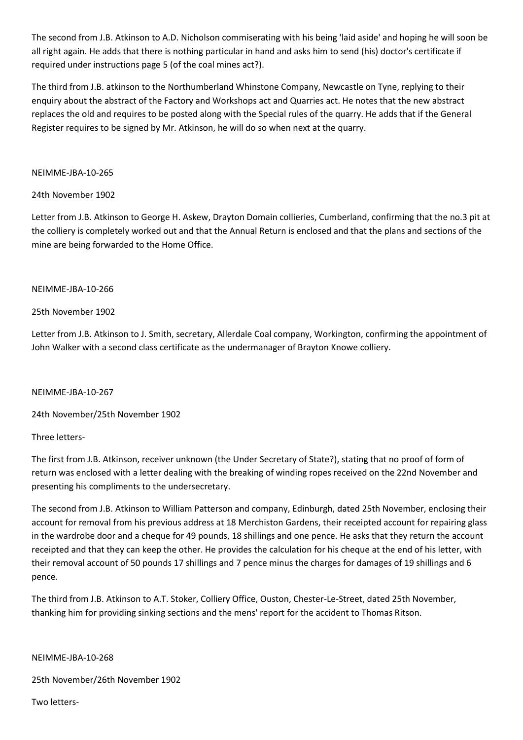The second from J.B. Atkinson to A.D. Nicholson commiserating with his being 'laid aside' and hoping he will soon be all right again. He adds that there is nothing particular in hand and asks him to send (his) doctor's certificate if required under instructions page 5 (of the coal mines act?).

The third from J.B. atkinson to the Northumberland Whinstone Company, Newcastle on Tyne, replying to their enquiry about the abstract of the Factory and Workshops act and Quarries act. He notes that the new abstract replaces the old and requires to be posted along with the Special rules of the quarry. He adds that if the General Register requires to be signed by Mr. Atkinson, he will do so when next at the quarry.

## NEIMME-JBA-10-265

## 24th November 1902

Letter from J.B. Atkinson to George H. Askew, Drayton Domain collieries, Cumberland, confirming that the no.3 pit at the colliery is completely worked out and that the Annual Return is enclosed and that the plans and sections of the mine are being forwarded to the Home Office.

## NEIMME-JBA-10-266

## 25th November 1902

Letter from J.B. Atkinson to J. Smith, secretary, Allerdale Coal company, Workington, confirming the appointment of John Walker with a second class certificate as the undermanager of Brayton Knowe colliery.

## NEIMME-JBA-10-267

24th November/25th November 1902

## Three letters-

The first from J.B. Atkinson, receiver unknown (the Under Secretary of State?), stating that no proof of form of return was enclosed with a letter dealing with the breaking of winding ropes received on the 22nd November and presenting his compliments to the undersecretary.

The second from J.B. Atkinson to William Patterson and company, Edinburgh, dated 25th November, enclosing their account for removal from his previous address at 18 Merchiston Gardens, their receipted account for repairing glass in the wardrobe door and a cheque for 49 pounds, 18 shillings and one pence. He asks that they return the account receipted and that they can keep the other. He provides the calculation for his cheque at the end of his letter, with their removal account of 50 pounds 17 shillings and 7 pence minus the charges for damages of 19 shillings and 6 pence.

The third from J.B. Atkinson to A.T. Stoker, Colliery Office, Ouston, Chester-Le-Street, dated 25th November, thanking him for providing sinking sections and the mens' report for the accident to Thomas Ritson.

## NEIMME-JBA-10-268

25th November/26th November 1902

Two letters-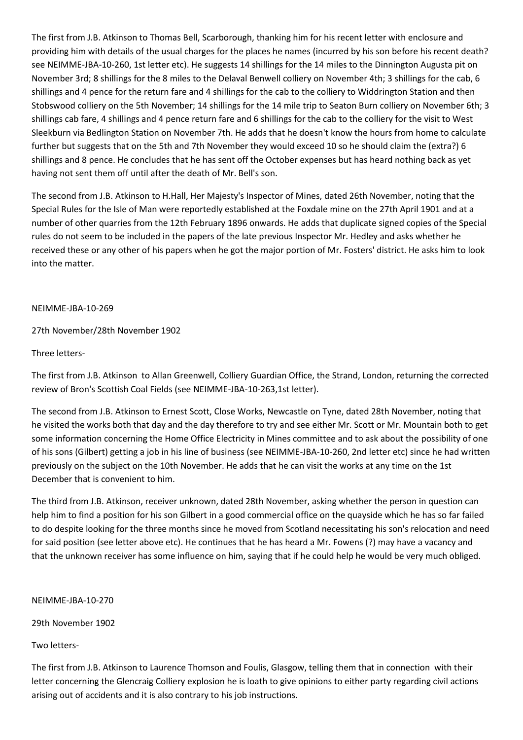The first from J.B. Atkinson to Thomas Bell, Scarborough, thanking him for his recent letter with enclosure and providing him with details of the usual charges for the places he names (incurred by his son before his recent death? see NEIMME-JBA-10-260, 1st letter etc). He suggests 14 shillings for the 14 miles to the Dinnington Augusta pit on November 3rd; 8 shillings for the 8 miles to the Delaval Benwell colliery on November 4th; 3 shillings for the cab, 6 shillings and 4 pence for the return fare and 4 shillings for the cab to the colliery to Widdrington Station and then Stobswood colliery on the 5th November; 14 shillings for the 14 mile trip to Seaton Burn colliery on November 6th; 3 shillings cab fare, 4 shillings and 4 pence return fare and 6 shillings for the cab to the colliery for the visit to West Sleekburn via Bedlington Station on November 7th. He adds that he doesn't know the hours from home to calculate further but suggests that on the 5th and 7th November they would exceed 10 so he should claim the (extra?) 6 shillings and 8 pence. He concludes that he has sent off the October expenses but has heard nothing back as yet having not sent them off until after the death of Mr. Bell's son.

The second from J.B. Atkinson to H.Hall, Her Majesty's Inspector of Mines, dated 26th November, noting that the Special Rules for the Isle of Man were reportedly established at the Foxdale mine on the 27th April 1901 and at a number of other quarries from the 12th February 1896 onwards. He adds that duplicate signed copies of the Special rules do not seem to be included in the papers of the late previous Inspector Mr. Hedley and asks whether he received these or any other of his papers when he got the major portion of Mr. Fosters' district. He asks him to look into the matter.

## NEIMME-JBA-10-269

27th November/28th November 1902

## Three letters-

The first from J.B. Atkinson to Allan Greenwell, Colliery Guardian Office, the Strand, London, returning the corrected review of Bron's Scottish Coal Fields (see NEIMME-JBA-10-263,1st letter).

The second from J.B. Atkinson to Ernest Scott, Close Works, Newcastle on Tyne, dated 28th November, noting that he visited the works both that day and the day therefore to try and see either Mr. Scott or Mr. Mountain both to get some information concerning the Home Office Electricity in Mines committee and to ask about the possibility of one of his sons (Gilbert) getting a job in his line of business (see NEIMME-JBA-10-260, 2nd letter etc) since he had written previously on the subject on the 10th November. He adds that he can visit the works at any time on the 1st December that is convenient to him.

The third from J.B. Atkinson, receiver unknown, dated 28th November, asking whether the person in question can help him to find a position for his son Gilbert in a good commercial office on the quayside which he has so far failed to do despite looking for the three months since he moved from Scotland necessitating his son's relocation and need for said position (see letter above etc). He continues that he has heard a Mr. Fowens (?) may have a vacancy and that the unknown receiver has some influence on him, saying that if he could help he would be very much obliged.

NEIMME-JBA-10-270

29th November 1902

Two letters-

The first from J.B. Atkinson to Laurence Thomson and Foulis, Glasgow, telling them that in connection with their letter concerning the Glencraig Colliery explosion he is loath to give opinions to either party regarding civil actions arising out of accidents and it is also contrary to his job instructions.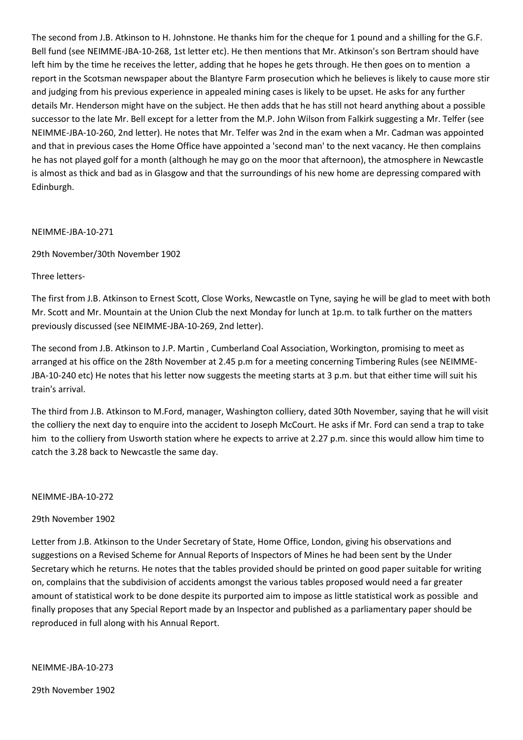The second from J.B. Atkinson to H. Johnstone. He thanks him for the cheque for 1 pound and a shilling for the G.F. Bell fund (see NEIMME-JBA-10-268, 1st letter etc). He then mentions that Mr. Atkinson's son Bertram should have left him by the time he receives the letter, adding that he hopes he gets through. He then goes on to mention a report in the Scotsman newspaper about the Blantyre Farm prosecution which he believes is likely to cause more stir and judging from his previous experience in appealed mining cases is likely to be upset. He asks for any further details Mr. Henderson might have on the subject. He then adds that he has still not heard anything about a possible successor to the late Mr. Bell except for a letter from the M.P. John Wilson from Falkirk suggesting a Mr. Telfer (see NEIMME-JBA-10-260, 2nd letter). He notes that Mr. Telfer was 2nd in the exam when a Mr. Cadman was appointed and that in previous cases the Home Office have appointed a 'second man' to the next vacancy. He then complains he has not played golf for a month (although he may go on the moor that afternoon), the atmosphere in Newcastle is almost as thick and bad as in Glasgow and that the surroundings of his new home are depressing compared with Edinburgh.

## NEIMME-JBA-10-271

29th November/30th November 1902

#### Three letters-

The first from J.B. Atkinson to Ernest Scott, Close Works, Newcastle on Tyne, saying he will be glad to meet with both Mr. Scott and Mr. Mountain at the Union Club the next Monday for lunch at 1p.m. to talk further on the matters previously discussed (see NEIMME-JBA-10-269, 2nd letter).

The second from J.B. Atkinson to J.P. Martin , Cumberland Coal Association, Workington, promising to meet as arranged at his office on the 28th November at 2.45 p.m for a meeting concerning Timbering Rules (see NEIMME-JBA-10-240 etc) He notes that his letter now suggests the meeting starts at 3 p.m. but that either time will suit his train's arrival.

The third from J.B. Atkinson to M.Ford, manager, Washington colliery, dated 30th November, saying that he will visit the colliery the next day to enquire into the accident to Joseph McCourt. He asks if Mr. Ford can send a trap to take him to the colliery from Usworth station where he expects to arrive at 2.27 p.m. since this would allow him time to catch the 3.28 back to Newcastle the same day.

#### NEIMME-JBA-10-272

## 29th November 1902

Letter from J.B. Atkinson to the Under Secretary of State, Home Office, London, giving his observations and suggestions on a Revised Scheme for Annual Reports of Inspectors of Mines he had been sent by the Under Secretary which he returns. He notes that the tables provided should be printed on good paper suitable for writing on, complains that the subdivision of accidents amongst the various tables proposed would need a far greater amount of statistical work to be done despite its purported aim to impose as little statistical work as possible and finally proposes that any Special Report made by an Inspector and published as a parliamentary paper should be reproduced in full along with his Annual Report.

NEIMME-JBA-10-273

29th November 1902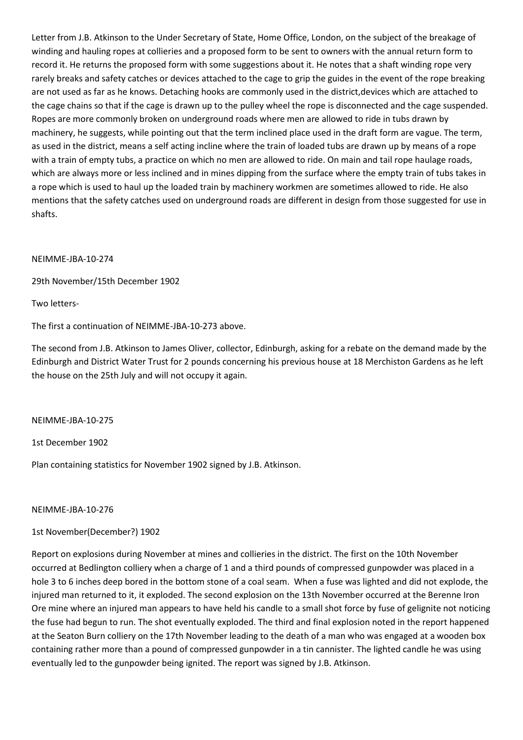Letter from J.B. Atkinson to the Under Secretary of State, Home Office, London, on the subject of the breakage of winding and hauling ropes at collieries and a proposed form to be sent to owners with the annual return form to record it. He returns the proposed form with some suggestions about it. He notes that a shaft winding rope very rarely breaks and safety catches or devices attached to the cage to grip the guides in the event of the rope breaking are not used as far as he knows. Detaching hooks are commonly used in the district,devices which are attached to the cage chains so that if the cage is drawn up to the pulley wheel the rope is disconnected and the cage suspended. Ropes are more commonly broken on underground roads where men are allowed to ride in tubs drawn by machinery, he suggests, while pointing out that the term inclined place used in the draft form are vague. The term, as used in the district, means a self acting incline where the train of loaded tubs are drawn up by means of a rope with a train of empty tubs, a practice on which no men are allowed to ride. On main and tail rope haulage roads, which are always more or less inclined and in mines dipping from the surface where the empty train of tubs takes in a rope which is used to haul up the loaded train by machinery workmen are sometimes allowed to ride. He also mentions that the safety catches used on underground roads are different in design from those suggested for use in shafts.

#### NEIMME-JBA-10-274

29th November/15th December 1902

Two letters-

The first a continuation of NEIMME-JBA-10-273 above.

The second from J.B. Atkinson to James Oliver, collector, Edinburgh, asking for a rebate on the demand made by the Edinburgh and District Water Trust for 2 pounds concerning his previous house at 18 Merchiston Gardens as he left the house on the 25th July and will not occupy it again.

NEIMME-JBA-10-275

1st December 1902

Plan containing statistics for November 1902 signed by J.B. Atkinson.

#### NEIMME-JBA-10-276

## 1st November(December?) 1902

Report on explosions during November at mines and collieries in the district. The first on the 10th November occurred at Bedlington colliery when a charge of 1 and a third pounds of compressed gunpowder was placed in a hole 3 to 6 inches deep bored in the bottom stone of a coal seam. When a fuse was lighted and did not explode, the injured man returned to it, it exploded. The second explosion on the 13th November occurred at the Berenne Iron Ore mine where an injured man appears to have held his candle to a small shot force by fuse of gelignite not noticing the fuse had begun to run. The shot eventually exploded. The third and final explosion noted in the report happened at the Seaton Burn colliery on the 17th November leading to the death of a man who was engaged at a wooden box containing rather more than a pound of compressed gunpowder in a tin cannister. The lighted candle he was using eventually led to the gunpowder being ignited. The report was signed by J.B. Atkinson.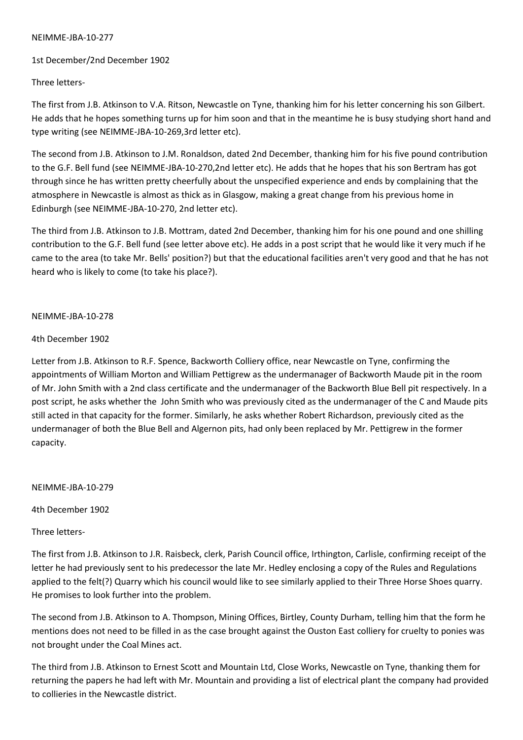### NEIMME-JBA-10-277

### 1st December/2nd December 1902

## Three letters-

The first from J.B. Atkinson to V.A. Ritson, Newcastle on Tyne, thanking him for his letter concerning his son Gilbert. He adds that he hopes something turns up for him soon and that in the meantime he is busy studying short hand and type writing (see NEIMME-JBA-10-269,3rd letter etc).

The second from J.B. Atkinson to J.M. Ronaldson, dated 2nd December, thanking him for his five pound contribution to the G.F. Bell fund (see NEIMME-JBA-10-270,2nd letter etc). He adds that he hopes that his son Bertram has got through since he has written pretty cheerfully about the unspecified experience and ends by complaining that the atmosphere in Newcastle is almost as thick as in Glasgow, making a great change from his previous home in Edinburgh (see NEIMME-JBA-10-270, 2nd letter etc).

The third from J.B. Atkinson to J.B. Mottram, dated 2nd December, thanking him for his one pound and one shilling contribution to the G.F. Bell fund (see letter above etc). He adds in a post script that he would like it very much if he came to the area (to take Mr. Bells' position?) but that the educational facilities aren't very good and that he has not heard who is likely to come (to take his place?).

### NEIMME-JBA-10-278

## 4th December 1902

Letter from J.B. Atkinson to R.F. Spence, Backworth Colliery office, near Newcastle on Tyne, confirming the appointments of William Morton and William Pettigrew as the undermanager of Backworth Maude pit in the room of Mr. John Smith with a 2nd class certificate and the undermanager of the Backworth Blue Bell pit respectively. In a post script, he asks whether the John Smith who was previously cited as the undermanager of the C and Maude pits still acted in that capacity for the former. Similarly, he asks whether Robert Richardson, previously cited as the undermanager of both the Blue Bell and Algernon pits, had only been replaced by Mr. Pettigrew in the former capacity.

NEIMME-JBA-10-279

4th December 1902

Three letters-

The first from J.B. Atkinson to J.R. Raisbeck, clerk, Parish Council office, Irthington, Carlisle, confirming receipt of the letter he had previously sent to his predecessor the late Mr. Hedley enclosing a copy of the Rules and Regulations applied to the felt(?) Quarry which his council would like to see similarly applied to their Three Horse Shoes quarry. He promises to look further into the problem.

The second from J.B. Atkinson to A. Thompson, Mining Offices, Birtley, County Durham, telling him that the form he mentions does not need to be filled in as the case brought against the Ouston East colliery for cruelty to ponies was not brought under the Coal Mines act.

The third from J.B. Atkinson to Ernest Scott and Mountain Ltd, Close Works, Newcastle on Tyne, thanking them for returning the papers he had left with Mr. Mountain and providing a list of electrical plant the company had provided to collieries in the Newcastle district.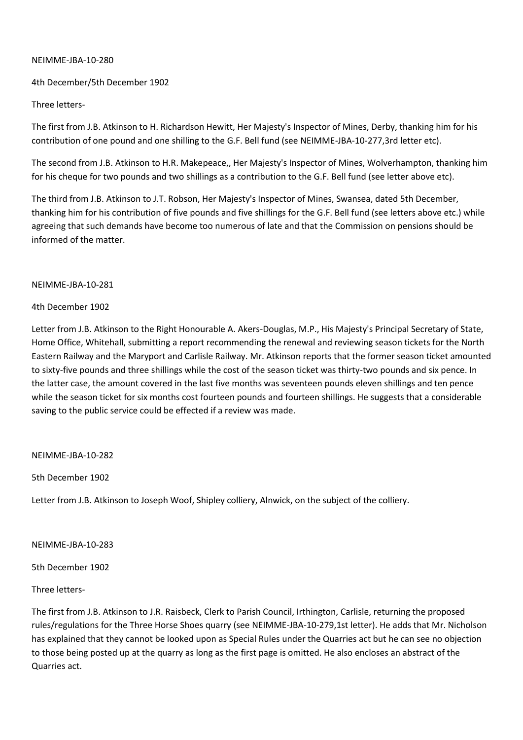### NEIMME-JBA-10-280

## 4th December/5th December 1902

## Three letters-

The first from J.B. Atkinson to H. Richardson Hewitt, Her Majesty's Inspector of Mines, Derby, thanking him for his contribution of one pound and one shilling to the G.F. Bell fund (see NEIMME-JBA-10-277,3rd letter etc).

The second from J.B. Atkinson to H.R. Makepeace,, Her Majesty's Inspector of Mines, Wolverhampton, thanking him for his cheque for two pounds and two shillings as a contribution to the G.F. Bell fund (see letter above etc).

The third from J.B. Atkinson to J.T. Robson, Her Majesty's Inspector of Mines, Swansea, dated 5th December, thanking him for his contribution of five pounds and five shillings for the G.F. Bell fund (see letters above etc.) while agreeing that such demands have become too numerous of late and that the Commission on pensions should be informed of the matter.

### NEIMME-JBA-10-281

### 4th December 1902

Letter from J.B. Atkinson to the Right Honourable A. Akers-Douglas, M.P., His Majesty's Principal Secretary of State, Home Office, Whitehall, submitting a report recommending the renewal and reviewing season tickets for the North Eastern Railway and the Maryport and Carlisle Railway. Mr. Atkinson reports that the former season ticket amounted to sixty-five pounds and three shillings while the cost of the season ticket was thirty-two pounds and six pence. In the latter case, the amount covered in the last five months was seventeen pounds eleven shillings and ten pence while the season ticket for six months cost fourteen pounds and fourteen shillings. He suggests that a considerable saving to the public service could be effected if a review was made.

### NEIMME-JBA-10-282

5th December 1902

Letter from J.B. Atkinson to Joseph Woof, Shipley colliery, Alnwick, on the subject of the colliery.

NEIMME-JBA-10-283

5th December 1902

Three letters-

The first from J.B. Atkinson to J.R. Raisbeck, Clerk to Parish Council, Irthington, Carlisle, returning the proposed rules/regulations for the Three Horse Shoes quarry (see NEIMME-JBA-10-279,1st letter). He adds that Mr. Nicholson has explained that they cannot be looked upon as Special Rules under the Quarries act but he can see no objection to those being posted up at the quarry as long as the first page is omitted. He also encloses an abstract of the Quarries act.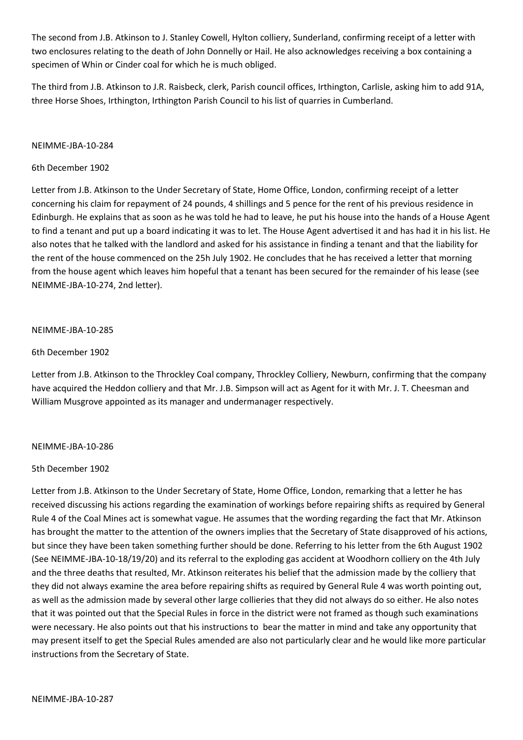The second from J.B. Atkinson to J. Stanley Cowell, Hylton colliery, Sunderland, confirming receipt of a letter with two enclosures relating to the death of John Donnelly or Hail. He also acknowledges receiving a box containing a specimen of Whin or Cinder coal for which he is much obliged.

The third from J.B. Atkinson to J.R. Raisbeck, clerk, Parish council offices, Irthington, Carlisle, asking him to add 91A, three Horse Shoes, Irthington, Irthington Parish Council to his list of quarries in Cumberland.

### NEIMME-JBA-10-284

### 6th December 1902

Letter from J.B. Atkinson to the Under Secretary of State, Home Office, London, confirming receipt of a letter concerning his claim for repayment of 24 pounds, 4 shillings and 5 pence for the rent of his previous residence in Edinburgh. He explains that as soon as he was told he had to leave, he put his house into the hands of a House Agent to find a tenant and put up a board indicating it was to let. The House Agent advertised it and has had it in his list. He also notes that he talked with the landlord and asked for his assistance in finding a tenant and that the liability for the rent of the house commenced on the 25h July 1902. He concludes that he has received a letter that morning from the house agent which leaves him hopeful that a tenant has been secured for the remainder of his lease (see NEIMME-JBA-10-274, 2nd letter).

## NEIMME-JBA-10-285

## 6th December 1902

Letter from J.B. Atkinson to the Throckley Coal company, Throckley Colliery, Newburn, confirming that the company have acquired the Heddon colliery and that Mr. J.B. Simpson will act as Agent for it with Mr. J. T. Cheesman and William Musgrove appointed as its manager and undermanager respectively.

### NEIMME-JBA-10-286

### 5th December 1902

Letter from J.B. Atkinson to the Under Secretary of State, Home Office, London, remarking that a letter he has received discussing his actions regarding the examination of workings before repairing shifts as required by General Rule 4 of the Coal Mines act is somewhat vague. He assumes that the wording regarding the fact that Mr. Atkinson has brought the matter to the attention of the owners implies that the Secretary of State disapproved of his actions, but since they have been taken something further should be done. Referring to his letter from the 6th August 1902 (See NEIMME-JBA-10-18/19/20) and its referral to the exploding gas accident at Woodhorn colliery on the 4th July and the three deaths that resulted, Mr. Atkinson reiterates his belief that the admission made by the colliery that they did not always examine the area before repairing shifts as required by General Rule 4 was worth pointing out, as well as the admission made by several other large collieries that they did not always do so either. He also notes that it was pointed out that the Special Rules in force in the district were not framed as though such examinations were necessary. He also points out that his instructions to bear the matter in mind and take any opportunity that may present itself to get the Special Rules amended are also not particularly clear and he would like more particular instructions from the Secretary of State.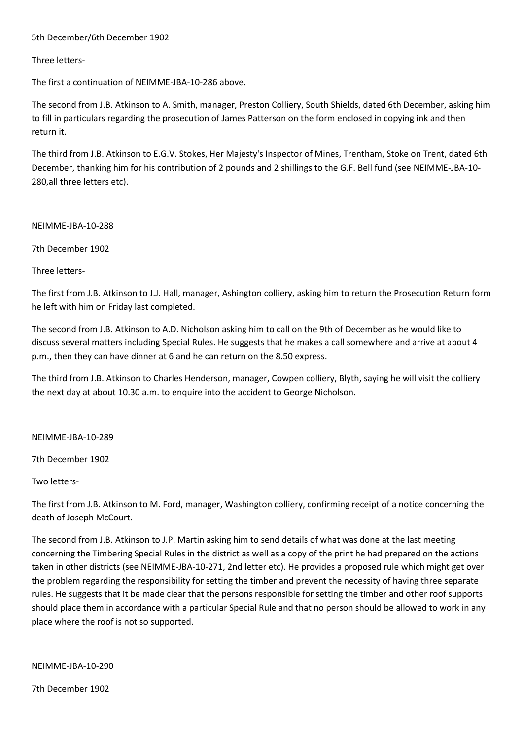## 5th December/6th December 1902

### Three letters-

The first a continuation of NEIMME-JBA-10-286 above.

The second from J.B. Atkinson to A. Smith, manager, Preston Colliery, South Shields, dated 6th December, asking him to fill in particulars regarding the prosecution of James Patterson on the form enclosed in copying ink and then return it.

The third from J.B. Atkinson to E.G.V. Stokes, Her Majesty's Inspector of Mines, Trentham, Stoke on Trent, dated 6th December, thanking him for his contribution of 2 pounds and 2 shillings to the G.F. Bell fund (see NEIMME-JBA-10- 280,all three letters etc).

NEIMME-JBA-10-288

7th December 1902

Three letters-

The first from J.B. Atkinson to J.J. Hall, manager, Ashington colliery, asking him to return the Prosecution Return form he left with him on Friday last completed.

The second from J.B. Atkinson to A.D. Nicholson asking him to call on the 9th of December as he would like to discuss several matters including Special Rules. He suggests that he makes a call somewhere and arrive at about 4 p.m., then they can have dinner at 6 and he can return on the 8.50 express.

The third from J.B. Atkinson to Charles Henderson, manager, Cowpen colliery, Blyth, saying he will visit the colliery the next day at about 10.30 a.m. to enquire into the accident to George Nicholson.

NEIMME-JBA-10-289

7th December 1902

Two letters-

The first from J.B. Atkinson to M. Ford, manager, Washington colliery, confirming receipt of a notice concerning the death of Joseph McCourt.

The second from J.B. Atkinson to J.P. Martin asking him to send details of what was done at the last meeting concerning the Timbering Special Rules in the district as well as a copy of the print he had prepared on the actions taken in other districts (see NEIMME-JBA-10-271, 2nd letter etc). He provides a proposed rule which might get over the problem regarding the responsibility for setting the timber and prevent the necessity of having three separate rules. He suggests that it be made clear that the persons responsible for setting the timber and other roof supports should place them in accordance with a particular Special Rule and that no person should be allowed to work in any place where the roof is not so supported.

NEIMME-JBA-10-290

7th December 1902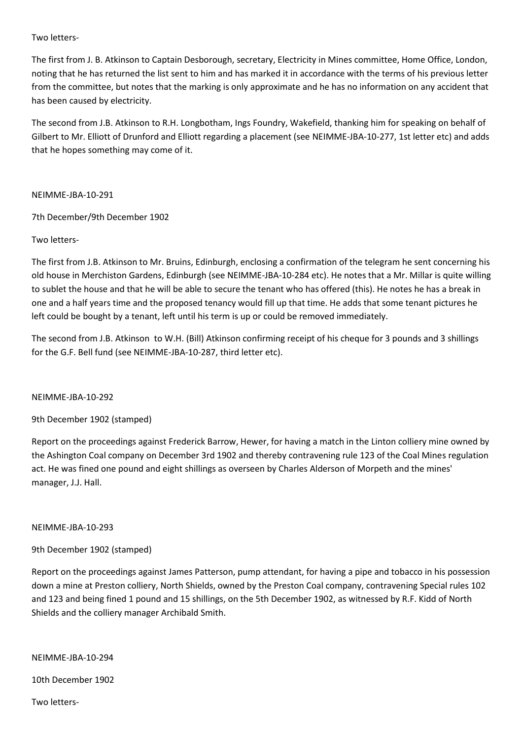## Two letters-

The first from J. B. Atkinson to Captain Desborough, secretary, Electricity in Mines committee, Home Office, London, noting that he has returned the list sent to him and has marked it in accordance with the terms of his previous letter from the committee, but notes that the marking is only approximate and he has no information on any accident that has been caused by electricity.

The second from J.B. Atkinson to R.H. Longbotham, Ings Foundry, Wakefield, thanking him for speaking on behalf of Gilbert to Mr. Elliott of Drunford and Elliott regarding a placement (see NEIMME-JBA-10-277, 1st letter etc) and adds that he hopes something may come of it.

NEIMME-JBA-10-291

7th December/9th December 1902

## Two letters-

The first from J.B. Atkinson to Mr. Bruins, Edinburgh, enclosing a confirmation of the telegram he sent concerning his old house in Merchiston Gardens, Edinburgh (see NEIMME-JBA-10-284 etc). He notes that a Mr. Millar is quite willing to sublet the house and that he will be able to secure the tenant who has offered (this). He notes he has a break in one and a half years time and the proposed tenancy would fill up that time. He adds that some tenant pictures he left could be bought by a tenant, left until his term is up or could be removed immediately.

The second from J.B. Atkinson to W.H. (Bill) Atkinson confirming receipt of his cheque for 3 pounds and 3 shillings for the G.F. Bell fund (see NEIMME-JBA-10-287, third letter etc).

### NEIMME-JBA-10-292

9th December 1902 (stamped)

Report on the proceedings against Frederick Barrow, Hewer, for having a match in the Linton colliery mine owned by the Ashington Coal company on December 3rd 1902 and thereby contravening rule 123 of the Coal Mines regulation act. He was fined one pound and eight shillings as overseen by Charles Alderson of Morpeth and the mines' manager, J.J. Hall.

### NEIMME-JBA-10-293

### 9th December 1902 (stamped)

Report on the proceedings against James Patterson, pump attendant, for having a pipe and tobacco in his possession down a mine at Preston colliery, North Shields, owned by the Preston Coal company, contravening Special rules 102 and 123 and being fined 1 pound and 15 shillings, on the 5th December 1902, as witnessed by R.F. Kidd of North Shields and the colliery manager Archibald Smith.

NEIMME-JBA-10-294

10th December 1902

Two letters-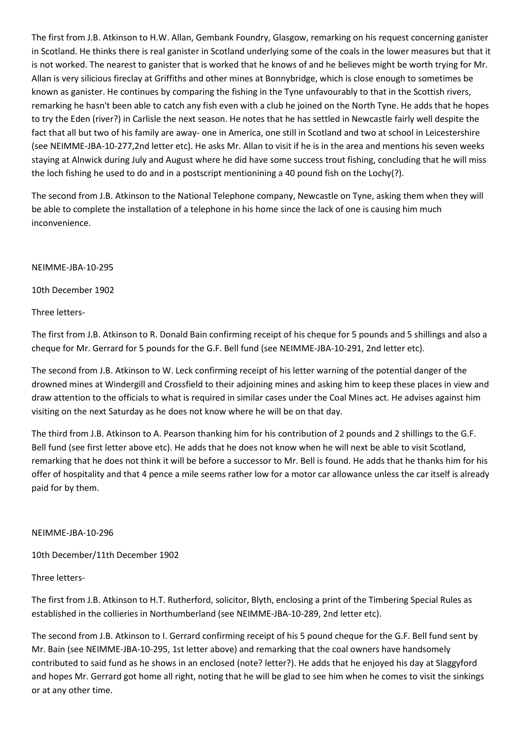The first from J.B. Atkinson to H.W. Allan, Gembank Foundry, Glasgow, remarking on his request concerning ganister in Scotland. He thinks there is real ganister in Scotland underlying some of the coals in the lower measures but that it is not worked. The nearest to ganister that is worked that he knows of and he believes might be worth trying for Mr. Allan is very silicious fireclay at Griffiths and other mines at Bonnybridge, which is close enough to sometimes be known as ganister. He continues by comparing the fishing in the Tyne unfavourably to that in the Scottish rivers, remarking he hasn't been able to catch any fish even with a club he joined on the North Tyne. He adds that he hopes to try the Eden (river?) in Carlisle the next season. He notes that he has settled in Newcastle fairly well despite the fact that all but two of his family are away- one in America, one still in Scotland and two at school in Leicestershire (see NEIMME-JBA-10-277,2nd letter etc). He asks Mr. Allan to visit if he is in the area and mentions his seven weeks staying at Alnwick during July and August where he did have some success trout fishing, concluding that he will miss the loch fishing he used to do and in a postscript mentionining a 40 pound fish on the Lochy(?).

The second from J.B. Atkinson to the National Telephone company, Newcastle on Tyne, asking them when they will be able to complete the installation of a telephone in his home since the lack of one is causing him much inconvenience.

NEIMME-JBA-10-295

10th December 1902

Three letters-

The first from J.B. Atkinson to R. Donald Bain confirming receipt of his cheque for 5 pounds and 5 shillings and also a cheque for Mr. Gerrard for 5 pounds for the G.F. Bell fund (see NEIMME-JBA-10-291, 2nd letter etc).

The second from J.B. Atkinson to W. Leck confirming receipt of his letter warning of the potential danger of the drowned mines at Windergill and Crossfield to their adjoining mines and asking him to keep these places in view and draw attention to the officials to what is required in similar cases under the Coal Mines act. He advises against him visiting on the next Saturday as he does not know where he will be on that day.

The third from J.B. Atkinson to A. Pearson thanking him for his contribution of 2 pounds and 2 shillings to the G.F. Bell fund (see first letter above etc). He adds that he does not know when he will next be able to visit Scotland, remarking that he does not think it will be before a successor to Mr. Bell is found. He adds that he thanks him for his offer of hospitality and that 4 pence a mile seems rather low for a motor car allowance unless the car itself is already paid for by them.

NEIMME-JBA-10-296

10th December/11th December 1902

Three letters-

The first from J.B. Atkinson to H.T. Rutherford, solicitor, Blyth, enclosing a print of the Timbering Special Rules as established in the collieries in Northumberland (see NEIMME-JBA-10-289, 2nd letter etc).

The second from J.B. Atkinson to I. Gerrard confirming receipt of his 5 pound cheque for the G.F. Bell fund sent by Mr. Bain (see NEIMME-JBA-10-295, 1st letter above) and remarking that the coal owners have handsomely contributed to said fund as he shows in an enclosed (note? letter?). He adds that he enjoyed his day at Slaggyford and hopes Mr. Gerrard got home all right, noting that he will be glad to see him when he comes to visit the sinkings or at any other time.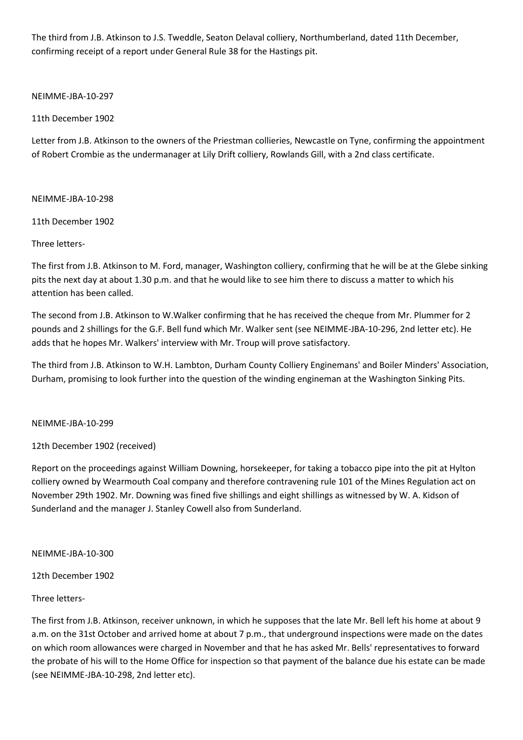The third from J.B. Atkinson to J.S. Tweddle, Seaton Delaval colliery, Northumberland, dated 11th December, confirming receipt of a report under General Rule 38 for the Hastings pit.

NEIMME-JBA-10-297

11th December 1902

Letter from J.B. Atkinson to the owners of the Priestman collieries, Newcastle on Tyne, confirming the appointment of Robert Crombie as the undermanager at Lily Drift colliery, Rowlands Gill, with a 2nd class certificate.

NEIMME-JBA-10-298

11th December 1902

Three letters-

The first from J.B. Atkinson to M. Ford, manager, Washington colliery, confirming that he will be at the Glebe sinking pits the next day at about 1.30 p.m. and that he would like to see him there to discuss a matter to which his attention has been called.

The second from J.B. Atkinson to W.Walker confirming that he has received the cheque from Mr. Plummer for 2 pounds and 2 shillings for the G.F. Bell fund which Mr. Walker sent (see NEIMME-JBA-10-296, 2nd letter etc). He adds that he hopes Mr. Walkers' interview with Mr. Troup will prove satisfactory.

The third from J.B. Atkinson to W.H. Lambton, Durham County Colliery Enginemans' and Boiler Minders' Association, Durham, promising to look further into the question of the winding engineman at the Washington Sinking Pits.

### NEIMME-JBA-10-299

12th December 1902 (received)

Report on the proceedings against William Downing, horsekeeper, for taking a tobacco pipe into the pit at Hylton colliery owned by Wearmouth Coal company and therefore contravening rule 101 of the Mines Regulation act on November 29th 1902. Mr. Downing was fined five shillings and eight shillings as witnessed by W. A. Kidson of Sunderland and the manager J. Stanley Cowell also from Sunderland.

NEIMME-JBA-10-300

12th December 1902

### Three letters-

The first from J.B. Atkinson, receiver unknown, in which he supposes that the late Mr. Bell left his home at about 9 a.m. on the 31st October and arrived home at about 7 p.m., that underground inspections were made on the dates on which room allowances were charged in November and that he has asked Mr. Bells' representatives to forward the probate of his will to the Home Office for inspection so that payment of the balance due his estate can be made (see NEIMME-JBA-10-298, 2nd letter etc).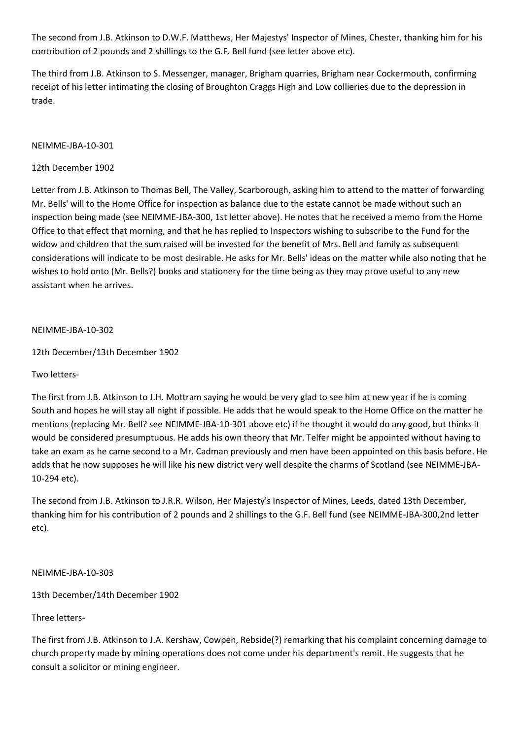The second from J.B. Atkinson to D.W.F. Matthews, Her Majestys' Inspector of Mines, Chester, thanking him for his contribution of 2 pounds and 2 shillings to the G.F. Bell fund (see letter above etc).

The third from J.B. Atkinson to S. Messenger, manager, Brigham quarries, Brigham near Cockermouth, confirming receipt of his letter intimating the closing of Broughton Craggs High and Low collieries due to the depression in trade.

## NEIMME-JBA-10-301

## 12th December 1902

Letter from J.B. Atkinson to Thomas Bell, The Valley, Scarborough, asking him to attend to the matter of forwarding Mr. Bells' will to the Home Office for inspection as balance due to the estate cannot be made without such an inspection being made (see NEIMME-JBA-300, 1st letter above). He notes that he received a memo from the Home Office to that effect that morning, and that he has replied to Inspectors wishing to subscribe to the Fund for the widow and children that the sum raised will be invested for the benefit of Mrs. Bell and family as subsequent considerations will indicate to be most desirable. He asks for Mr. Bells' ideas on the matter while also noting that he wishes to hold onto (Mr. Bells?) books and stationery for the time being as they may prove useful to any new assistant when he arrives.

## NEIMME-JBA-10-302

12th December/13th December 1902

### Two letters-

The first from J.B. Atkinson to J.H. Mottram saying he would be very glad to see him at new year if he is coming South and hopes he will stay all night if possible. He adds that he would speak to the Home Office on the matter he mentions (replacing Mr. Bell? see NEIMME-JBA-10-301 above etc) if he thought it would do any good, but thinks it would be considered presumptuous. He adds his own theory that Mr. Telfer might be appointed without having to take an exam as he came second to a Mr. Cadman previously and men have been appointed on this basis before. He adds that he now supposes he will like his new district very well despite the charms of Scotland (see NEIMME-JBA-10-294 etc).

The second from J.B. Atkinson to J.R.R. Wilson, Her Majesty's Inspector of Mines, Leeds, dated 13th December, thanking him for his contribution of 2 pounds and 2 shillings to the G.F. Bell fund (see NEIMME-JBA-300,2nd letter etc).

### NEIMME-JBA-10-303

13th December/14th December 1902

Three letters-

The first from J.B. Atkinson to J.A. Kershaw, Cowpen, Rebside(?) remarking that his complaint concerning damage to church property made by mining operations does not come under his department's remit. He suggests that he consult a solicitor or mining engineer.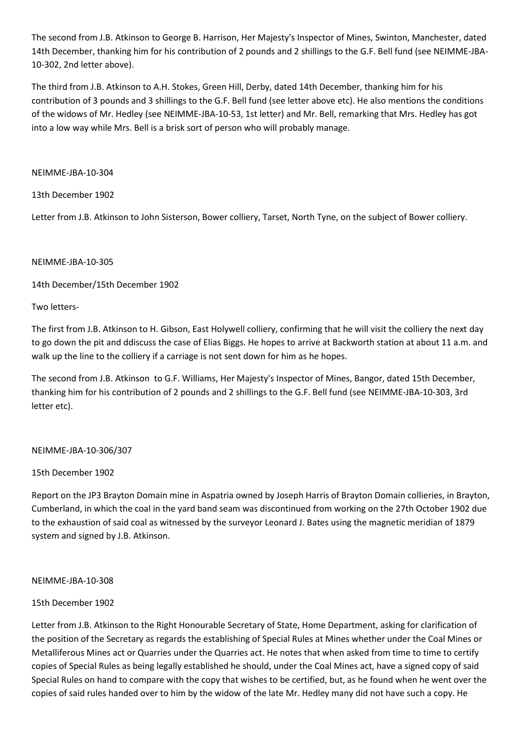The second from J.B. Atkinson to George B. Harrison, Her Majesty's Inspector of Mines, Swinton, Manchester, dated 14th December, thanking him for his contribution of 2 pounds and 2 shillings to the G.F. Bell fund (see NEIMME-JBA-10-302, 2nd letter above).

The third from J.B. Atkinson to A.H. Stokes, Green Hill, Derby, dated 14th December, thanking him for his contribution of 3 pounds and 3 shillings to the G.F. Bell fund (see letter above etc). He also mentions the conditions of the widows of Mr. Hedley (see NEIMME-JBA-10-53, 1st letter) and Mr. Bell, remarking that Mrs. Hedley has got into a low way while Mrs. Bell is a brisk sort of person who will probably manage.

NEIMME-JBA-10-304

13th December 1902

Letter from J.B. Atkinson to John Sisterson, Bower colliery, Tarset, North Tyne, on the subject of Bower colliery.

## NEIMME-JBA-10-305

14th December/15th December 1902

Two letters-

The first from J.B. Atkinson to H. Gibson, East Holywell colliery, confirming that he will visit the colliery the next day to go down the pit and ddiscuss the case of Elias Biggs. He hopes to arrive at Backworth station at about 11 a.m. and walk up the line to the colliery if a carriage is not sent down for him as he hopes.

The second from J.B. Atkinson to G.F. Williams, Her Majesty's Inspector of Mines, Bangor, dated 15th December, thanking him for his contribution of 2 pounds and 2 shillings to the G.F. Bell fund (see NEIMME-JBA-10-303, 3rd letter etc).

### NEIMME-JBA-10-306/307

### 15th December 1902

Report on the JP3 Brayton Domain mine in Aspatria owned by Joseph Harris of Brayton Domain collieries, in Brayton, Cumberland, in which the coal in the yard band seam was discontinued from working on the 27th October 1902 due to the exhaustion of said coal as witnessed by the surveyor Leonard J. Bates using the magnetic meridian of 1879 system and signed by J.B. Atkinson.

### NEIMME-JBA-10-308

# 15th December 1902

Letter from J.B. Atkinson to the Right Honourable Secretary of State, Home Department, asking for clarification of the position of the Secretary as regards the establishing of Special Rules at Mines whether under the Coal Mines or Metalliferous Mines act or Quarries under the Quarries act. He notes that when asked from time to time to certify copies of Special Rules as being legally established he should, under the Coal Mines act, have a signed copy of said Special Rules on hand to compare with the copy that wishes to be certified, but, as he found when he went over the copies of said rules handed over to him by the widow of the late Mr. Hedley many did not have such a copy. He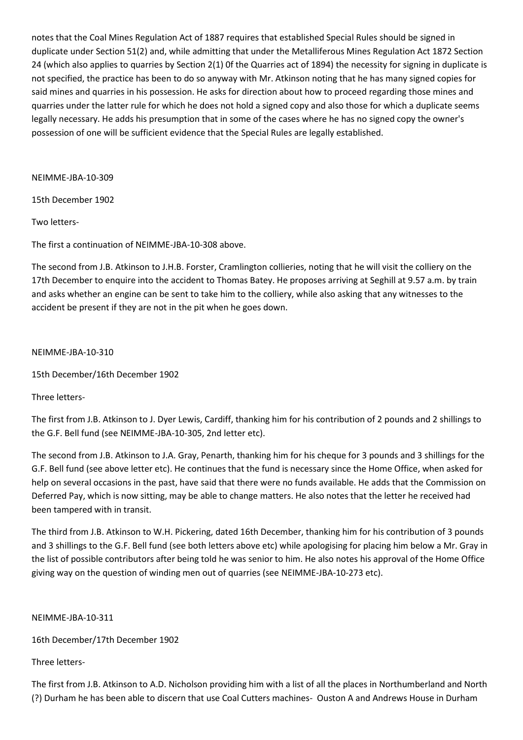notes that the Coal Mines Regulation Act of 1887 requires that established Special Rules should be signed in duplicate under Section 51(2) and, while admitting that under the Metalliferous Mines Regulation Act 1872 Section 24 (which also applies to quarries by Section 2(1) 0f the Quarries act of 1894) the necessity for signing in duplicate is not specified, the practice has been to do so anyway with Mr. Atkinson noting that he has many signed copies for said mines and quarries in his possession. He asks for direction about how to proceed regarding those mines and quarries under the latter rule for which he does not hold a signed copy and also those for which a duplicate seems legally necessary. He adds his presumption that in some of the cases where he has no signed copy the owner's possession of one will be sufficient evidence that the Special Rules are legally established.

NEIMME-JBA-10-309

15th December 1902

Two letters-

The first a continuation of NEIMME-JBA-10-308 above.

The second from J.B. Atkinson to J.H.B. Forster, Cramlington collieries, noting that he will visit the colliery on the 17th December to enquire into the accident to Thomas Batey. He proposes arriving at Seghill at 9.57 a.m. by train and asks whether an engine can be sent to take him to the colliery, while also asking that any witnesses to the accident be present if they are not in the pit when he goes down.

NEIMME-JBA-10-310

15th December/16th December 1902

Three letters-

The first from J.B. Atkinson to J. Dyer Lewis, Cardiff, thanking him for his contribution of 2 pounds and 2 shillings to the G.F. Bell fund (see NEIMME-JBA-10-305, 2nd letter etc).

The second from J.B. Atkinson to J.A. Gray, Penarth, thanking him for his cheque for 3 pounds and 3 shillings for the G.F. Bell fund (see above letter etc). He continues that the fund is necessary since the Home Office, when asked for help on several occasions in the past, have said that there were no funds available. He adds that the Commission on Deferred Pay, which is now sitting, may be able to change matters. He also notes that the letter he received had been tampered with in transit.

The third from J.B. Atkinson to W.H. Pickering, dated 16th December, thanking him for his contribution of 3 pounds and 3 shillings to the G.F. Bell fund (see both letters above etc) while apologising for placing him below a Mr. Gray in the list of possible contributors after being told he was senior to him. He also notes his approval of the Home Office giving way on the question of winding men out of quarries (see NEIMME-JBA-10-273 etc).

NEIMME-JBA-10-311

16th December/17th December 1902

Three letters-

The first from J.B. Atkinson to A.D. Nicholson providing him with a list of all the places in Northumberland and North (?) Durham he has been able to discern that use Coal Cutters machines- Ouston A and Andrews House in Durham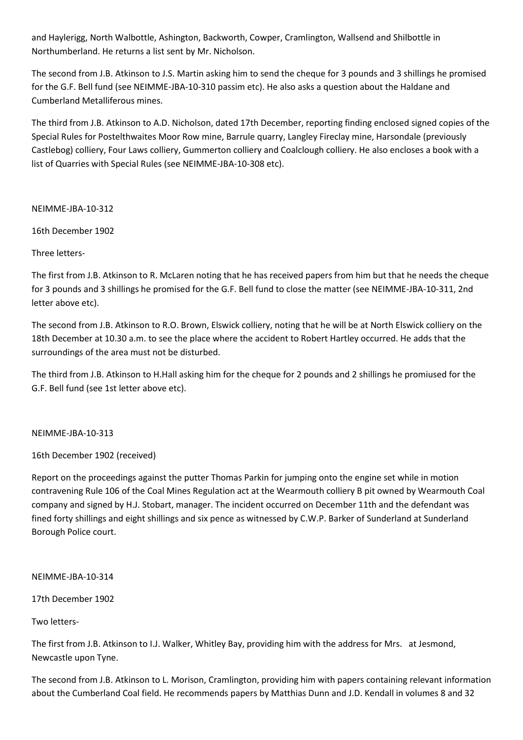and Haylerigg, North Walbottle, Ashington, Backworth, Cowper, Cramlington, Wallsend and Shilbottle in Northumberland. He returns a list sent by Mr. Nicholson.

The second from J.B. Atkinson to J.S. Martin asking him to send the cheque for 3 pounds and 3 shillings he promised for the G.F. Bell fund (see NEIMME-JBA-10-310 passim etc). He also asks a question about the Haldane and Cumberland Metalliferous mines.

The third from J.B. Atkinson to A.D. Nicholson, dated 17th December, reporting finding enclosed signed copies of the Special Rules for Postelthwaites Moor Row mine, Barrule quarry, Langley Fireclay mine, Harsondale (previously Castlebog) colliery, Four Laws colliery, Gummerton colliery and Coalclough colliery. He also encloses a book with a list of Quarries with Special Rules (see NEIMME-JBA-10-308 etc).

NEIMME-JBA-10-312

16th December 1902

Three letters-

The first from J.B. Atkinson to R. McLaren noting that he has received papers from him but that he needs the cheque for 3 pounds and 3 shillings he promised for the G.F. Bell fund to close the matter (see NEIMME-JBA-10-311, 2nd letter above etc).

The second from J.B. Atkinson to R.O. Brown, Elswick colliery, noting that he will be at North Elswick colliery on the 18th December at 10.30 a.m. to see the place where the accident to Robert Hartley occurred. He adds that the surroundings of the area must not be disturbed.

The third from J.B. Atkinson to H.Hall asking him for the cheque for 2 pounds and 2 shillings he promiused for the G.F. Bell fund (see 1st letter above etc).

NEIMME-JBA-10-313

16th December 1902 (received)

Report on the proceedings against the putter Thomas Parkin for jumping onto the engine set while in motion contravening Rule 106 of the Coal Mines Regulation act at the Wearmouth colliery B pit owned by Wearmouth Coal company and signed by H.J. Stobart, manager. The incident occurred on December 11th and the defendant was fined forty shillings and eight shillings and six pence as witnessed by C.W.P. Barker of Sunderland at Sunderland Borough Police court.

NEIMME-JBA-10-314

17th December 1902

Two letters-

The first from J.B. Atkinson to I.J. Walker, Whitley Bay, providing him with the address for Mrs. at Jesmond, Newcastle upon Tyne.

The second from J.B. Atkinson to L. Morison, Cramlington, providing him with papers containing relevant information about the Cumberland Coal field. He recommends papers by Matthias Dunn and J.D. Kendall in volumes 8 and 32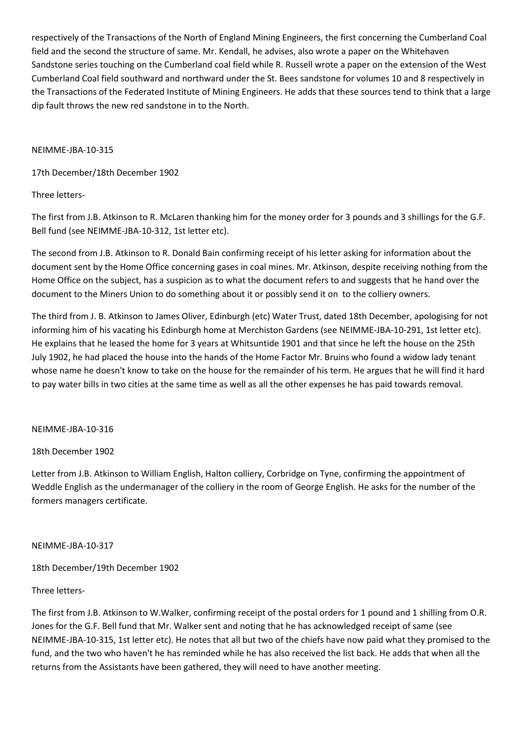respectively of the Transactions of the North of England Mining Engineers, the first concerning the Cumberland Coal field and the second the structure of same. Mr. Kendall, he advises, also wrote a paper on the Whitehaven Sandstone series touching on the Cumberland coal field while R. Russell wrote a paper on the extension of the West Cumberland Coal field southward and northward under the St. Bees sandstone for volumes 10 and 8 respectively in the Transactions of the Federated Institute of Mining Engineers. He adds that these sources tend to think that a large dip fault throws the new red sandstone in to the North.

## NEIMME-JBA-10-315

17th December/18th December 1902

# Three letters-

The first from J.B. Atkinson to R. McLaren thanking him for the money order for 3 pounds and 3 shillings for the G.F. Bell fund (see NEIMME-JBA-10-312, 1st letter etc).

The second from J.B. Atkinson to R. Donald Bain confirming receipt of his letter asking for information about the document sent by the Home Office concerning gases in coal mines. Mr. Atkinson, despite receiving nothing from the Home Office on the subject, has a suspicion as to what the document refers to and suggests that he hand over the document to the Miners Union to do something about it or possibly send it on to the colliery owners.

The third from J. B. Atkinson to James Oliver, Edinburgh (etc) Water Trust, dated 18th December, apologising for not informing him of his vacating his Edinburgh home at Merchiston Gardens (see NEIMME-JBA-10-291, 1st letter etc). He explains that he leased the home for 3 years at Whitsuntide 1901 and that since he left the house on the 25th July 1902, he had placed the house into the hands of the Home Factor Mr. Bruins who found a widow lady tenant whose name he doesn't know to take on the house for the remainder of his term. He argues that he will find it hard to pay water bills in two cities at the same time as well as all the other expenses he has paid towards removal.

### NEIMME-JBA-10-316

18th December 1902

Letter from J.B. Atkinson to William English, Halton colliery, Corbridge on Tyne, confirming the appointment of Weddle English as the undermanager of the colliery in the room of George English. He asks for the number of the formers managers certificate.

# NEIMME-JBA-10-317

18th December/19th December 1902

# Three letters-

The first from J.B. Atkinson to W.Walker, confirming receipt of the postal orders for 1 pound and 1 shilling from O.R. Jones for the G.F. Bell fund that Mr. Walker sent and noting that he has acknowledged receipt of same (see NEIMME-JBA-10-315, 1st letter etc). He notes that all but two of the chiefs have now paid what they promised to the fund, and the two who haven't he has reminded while he has also received the list back. He adds that when all the returns from the Assistants have been gathered, they will need to have another meeting.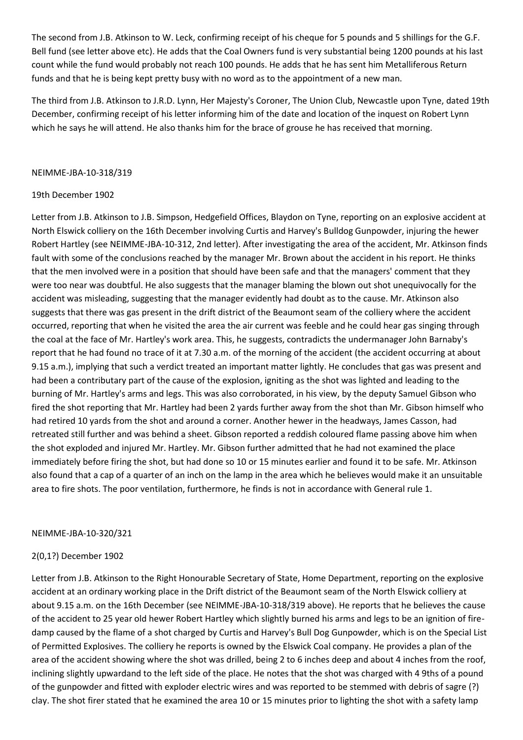The second from J.B. Atkinson to W. Leck, confirming receipt of his cheque for 5 pounds and 5 shillings for the G.F. Bell fund (see letter above etc). He adds that the Coal Owners fund is very substantial being 1200 pounds at his last count while the fund would probably not reach 100 pounds. He adds that he has sent him Metalliferous Return funds and that he is being kept pretty busy with no word as to the appointment of a new man.

The third from J.B. Atkinson to J.R.D. Lynn, Her Majesty's Coroner, The Union Club, Newcastle upon Tyne, dated 19th December, confirming receipt of his letter informing him of the date and location of the inquest on Robert Lynn which he says he will attend. He also thanks him for the brace of grouse he has received that morning.

#### NEIMME-JBA-10-318/319

### 19th December 1902

Letter from J.B. Atkinson to J.B. Simpson, Hedgefield Offices, Blaydon on Tyne, reporting on an explosive accident at North Elswick colliery on the 16th December involving Curtis and Harvey's Bulldog Gunpowder, injuring the hewer Robert Hartley (see NEIMME-JBA-10-312, 2nd letter). After investigating the area of the accident, Mr. Atkinson finds fault with some of the conclusions reached by the manager Mr. Brown about the accident in his report. He thinks that the men involved were in a position that should have been safe and that the managers' comment that they were too near was doubtful. He also suggests that the manager blaming the blown out shot unequivocally for the accident was misleading, suggesting that the manager evidently had doubt as to the cause. Mr. Atkinson also suggests that there was gas present in the drift district of the Beaumont seam of the colliery where the accident occurred, reporting that when he visited the area the air current was feeble and he could hear gas singing through the coal at the face of Mr. Hartley's work area. This, he suggests, contradicts the undermanager John Barnaby's report that he had found no trace of it at 7.30 a.m. of the morning of the accident (the accident occurring at about 9.15 a.m.), implying that such a verdict treated an important matter lightly. He concludes that gas was present and had been a contributary part of the cause of the explosion, igniting as the shot was lighted and leading to the burning of Mr. Hartley's arms and legs. This was also corroborated, in his view, by the deputy Samuel Gibson who fired the shot reporting that Mr. Hartley had been 2 yards further away from the shot than Mr. Gibson himself who had retired 10 yards from the shot and around a corner. Another hewer in the headways, James Casson, had retreated still further and was behind a sheet. Gibson reported a reddish coloured flame passing above him when the shot exploded and injured Mr. Hartley. Mr. Gibson further admitted that he had not examined the place immediately before firing the shot, but had done so 10 or 15 minutes earlier and found it to be safe. Mr. Atkinson also found that a cap of a quarter of an inch on the lamp in the area which he believes would make it an unsuitable area to fire shots. The poor ventilation, furthermore, he finds is not in accordance with General rule 1.

#### NEIMME-JBA-10-320/321

### 2(0,1?) December 1902

Letter from J.B. Atkinson to the Right Honourable Secretary of State, Home Department, reporting on the explosive accident at an ordinary working place in the Drift district of the Beaumont seam of the North Elswick colliery at about 9.15 a.m. on the 16th December (see NEIMME-JBA-10-318/319 above). He reports that he believes the cause of the accident to 25 year old hewer Robert Hartley which slightly burned his arms and legs to be an ignition of firedamp caused by the flame of a shot charged by Curtis and Harvey's Bull Dog Gunpowder, which is on the Special List of Permitted Explosives. The colliery he reports is owned by the Elswick Coal company. He provides a plan of the area of the accident showing where the shot was drilled, being 2 to 6 inches deep and about 4 inches from the roof, inclining slightly upwardand to the left side of the place. He notes that the shot was charged with 4 9ths of a pound of the gunpowder and fitted with exploder electric wires and was reported to be stemmed with debris of sagre (?) clay. The shot firer stated that he examined the area 10 or 15 minutes prior to lighting the shot with a safety lamp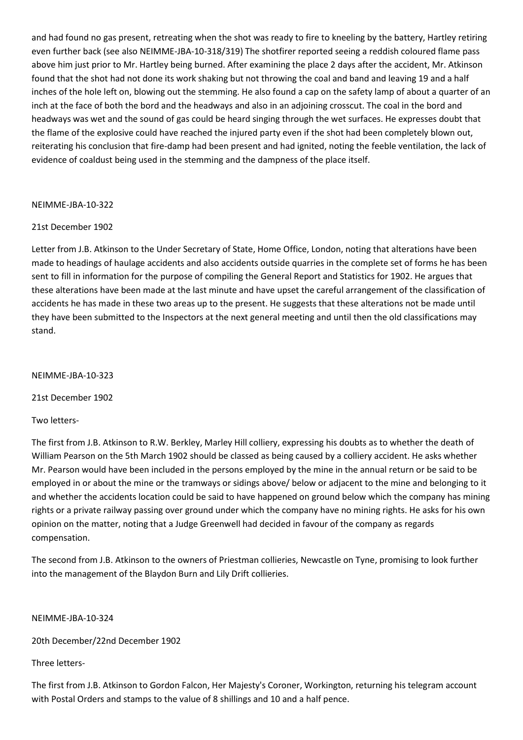and had found no gas present, retreating when the shot was ready to fire to kneeling by the battery, Hartley retiring even further back (see also NEIMME-JBA-10-318/319) The shotfirer reported seeing a reddish coloured flame pass above him just prior to Mr. Hartley being burned. After examining the place 2 days after the accident, Mr. Atkinson found that the shot had not done its work shaking but not throwing the coal and band and leaving 19 and a half inches of the hole left on, blowing out the stemming. He also found a cap on the safety lamp of about a quarter of an inch at the face of both the bord and the headways and also in an adjoining crosscut. The coal in the bord and headways was wet and the sound of gas could be heard singing through the wet surfaces. He expresses doubt that the flame of the explosive could have reached the injured party even if the shot had been completely blown out, reiterating his conclusion that fire-damp had been present and had ignited, noting the feeble ventilation, the lack of evidence of coaldust being used in the stemming and the dampness of the place itself.

### NEIMME-JBA-10-322

## 21st December 1902

Letter from J.B. Atkinson to the Under Secretary of State, Home Office, London, noting that alterations have been made to headings of haulage accidents and also accidents outside quarries in the complete set of forms he has been sent to fill in information for the purpose of compiling the General Report and Statistics for 1902. He argues that these alterations have been made at the last minute and have upset the careful arrangement of the classification of accidents he has made in these two areas up to the present. He suggests that these alterations not be made until they have been submitted to the Inspectors at the next general meeting and until then the old classifications may stand.

NEIMME-JBA-10-323

21st December 1902

Two letters-

The first from J.B. Atkinson to R.W. Berkley, Marley Hill colliery, expressing his doubts as to whether the death of William Pearson on the 5th March 1902 should be classed as being caused by a colliery accident. He asks whether Mr. Pearson would have been included in the persons employed by the mine in the annual return or be said to be employed in or about the mine or the tramways or sidings above/ below or adjacent to the mine and belonging to it and whether the accidents location could be said to have happened on ground below which the company has mining rights or a private railway passing over ground under which the company have no mining rights. He asks for his own opinion on the matter, noting that a Judge Greenwell had decided in favour of the company as regards compensation.

The second from J.B. Atkinson to the owners of Priestman collieries, Newcastle on Tyne, promising to look further into the management of the Blaydon Burn and Lily Drift collieries.

NEIMME-JBA-10-324

20th December/22nd December 1902

Three letters-

The first from J.B. Atkinson to Gordon Falcon, Her Majesty's Coroner, Workington, returning his telegram account with Postal Orders and stamps to the value of 8 shillings and 10 and a half pence.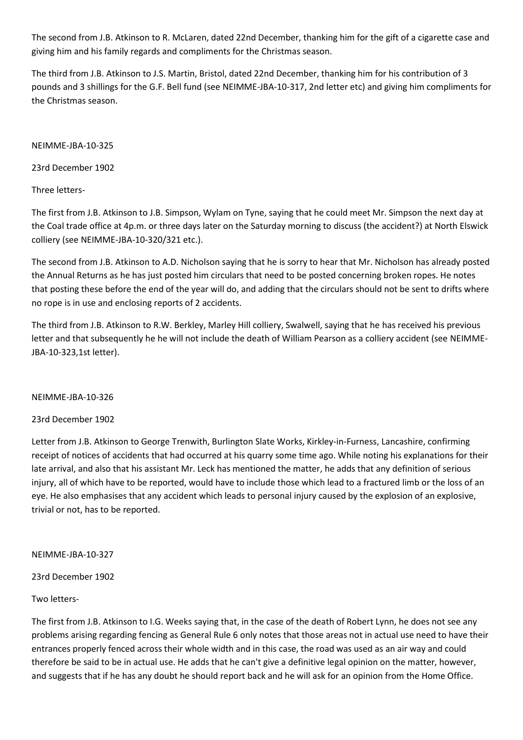The second from J.B. Atkinson to R. McLaren, dated 22nd December, thanking him for the gift of a cigarette case and giving him and his family regards and compliments for the Christmas season.

The third from J.B. Atkinson to J.S. Martin, Bristol, dated 22nd December, thanking him for his contribution of 3 pounds and 3 shillings for the G.F. Bell fund (see NEIMME-JBA-10-317, 2nd letter etc) and giving him compliments for the Christmas season.

NEIMME-JBA-10-325

23rd December 1902

Three letters-

The first from J.B. Atkinson to J.B. Simpson, Wylam on Tyne, saying that he could meet Mr. Simpson the next day at the Coal trade office at 4p.m. or three days later on the Saturday morning to discuss (the accident?) at North Elswick colliery (see NEIMME-JBA-10-320/321 etc.).

The second from J.B. Atkinson to A.D. Nicholson saying that he is sorry to hear that Mr. Nicholson has already posted the Annual Returns as he has just posted him circulars that need to be posted concerning broken ropes. He notes that posting these before the end of the year will do, and adding that the circulars should not be sent to drifts where no rope is in use and enclosing reports of 2 accidents.

The third from J.B. Atkinson to R.W. Berkley, Marley Hill colliery, Swalwell, saying that he has received his previous letter and that subsequently he he will not include the death of William Pearson as a colliery accident (see NEIMME-JBA-10-323,1st letter).

### NEIMME-JBA-10-326

23rd December 1902

Letter from J.B. Atkinson to George Trenwith, Burlington Slate Works, Kirkley-in-Furness, Lancashire, confirming receipt of notices of accidents that had occurred at his quarry some time ago. While noting his explanations for their late arrival, and also that his assistant Mr. Leck has mentioned the matter, he adds that any definition of serious injury, all of which have to be reported, would have to include those which lead to a fractured limb or the loss of an eye. He also emphasises that any accident which leads to personal injury caused by the explosion of an explosive, trivial or not, has to be reported.

### NEIMME-JBA-10-327

23rd December 1902

# Two letters-

The first from J.B. Atkinson to I.G. Weeks saying that, in the case of the death of Robert Lynn, he does not see any problems arising regarding fencing as General Rule 6 only notes that those areas not in actual use need to have their entrances properly fenced across their whole width and in this case, the road was used as an air way and could therefore be said to be in actual use. He adds that he can't give a definitive legal opinion on the matter, however, and suggests that if he has any doubt he should report back and he will ask for an opinion from the Home Office.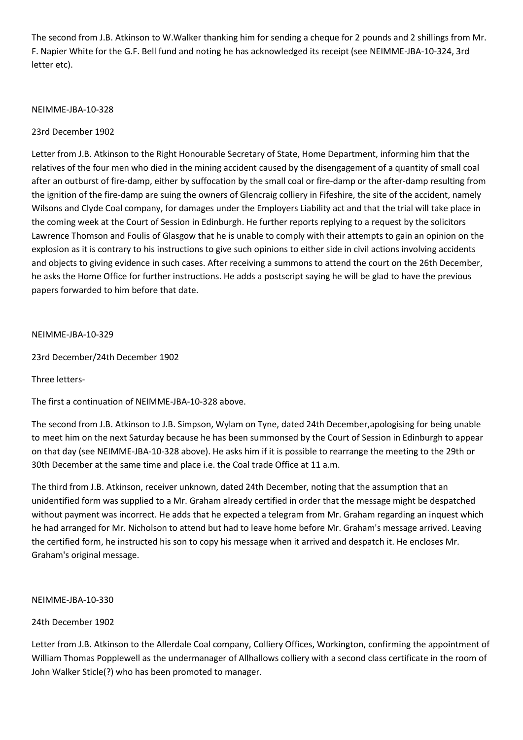The second from J.B. Atkinson to W.Walker thanking him for sending a cheque for 2 pounds and 2 shillings from Mr. F. Napier White for the G.F. Bell fund and noting he has acknowledged its receipt (see NEIMME-JBA-10-324, 3rd letter etc).

## NEIMME-JBA-10-328

# 23rd December 1902

Letter from J.B. Atkinson to the Right Honourable Secretary of State, Home Department, informing him that the relatives of the four men who died in the mining accident caused by the disengagement of a quantity of small coal after an outburst of fire-damp, either by suffocation by the small coal or fire-damp or the after-damp resulting from the ignition of the fire-damp are suing the owners of Glencraig colliery in Fifeshire, the site of the accident, namely Wilsons and Clyde Coal company, for damages under the Employers Liability act and that the trial will take place in the coming week at the Court of Session in Edinburgh. He further reports replying to a request by the solicitors Lawrence Thomson and Foulis of Glasgow that he is unable to comply with their attempts to gain an opinion on the explosion as it is contrary to his instructions to give such opinions to either side in civil actions involving accidents and objects to giving evidence in such cases. After receiving a summons to attend the court on the 26th December, he asks the Home Office for further instructions. He adds a postscript saying he will be glad to have the previous papers forwarded to him before that date.

## NEIMME-JBA-10-329

23rd December/24th December 1902

Three letters-

The first a continuation of NEIMME-JBA-10-328 above.

The second from J.B. Atkinson to J.B. Simpson, Wylam on Tyne, dated 24th December,apologising for being unable to meet him on the next Saturday because he has been summonsed by the Court of Session in Edinburgh to appear on that day (see NEIMME-JBA-10-328 above). He asks him if it is possible to rearrange the meeting to the 29th or 30th December at the same time and place i.e. the Coal trade Office at 11 a.m.

The third from J.B. Atkinson, receiver unknown, dated 24th December, noting that the assumption that an unidentified form was supplied to a Mr. Graham already certified in order that the message might be despatched without payment was incorrect. He adds that he expected a telegram from Mr. Graham regarding an inquest which he had arranged for Mr. Nicholson to attend but had to leave home before Mr. Graham's message arrived. Leaving the certified form, he instructed his son to copy his message when it arrived and despatch it. He encloses Mr. Graham's original message.

NEIMME-JBA-10-330

24th December 1902

Letter from J.B. Atkinson to the Allerdale Coal company, Colliery Offices, Workington, confirming the appointment of William Thomas Popplewell as the undermanager of Allhallows colliery with a second class certificate in the room of John Walker Sticle(?) who has been promoted to manager.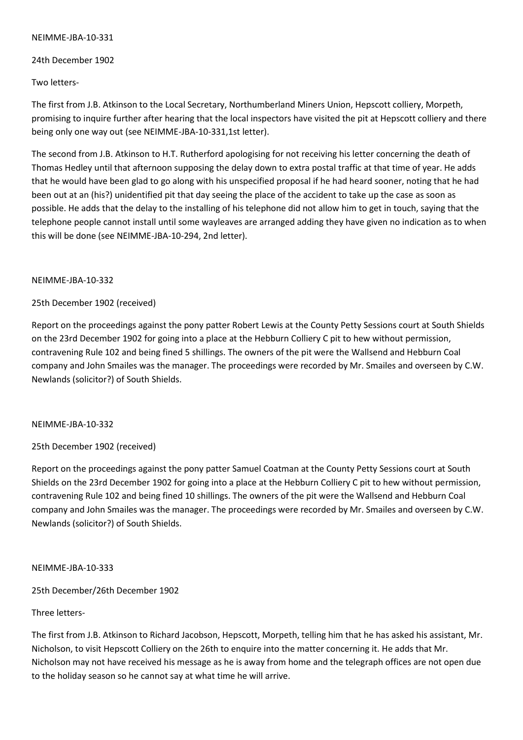### NEIMME-JBA-10-331

24th December 1902

Two letters-

The first from J.B. Atkinson to the Local Secretary, Northumberland Miners Union, Hepscott colliery, Morpeth, promising to inquire further after hearing that the local inspectors have visited the pit at Hepscott colliery and there being only one way out (see NEIMME-JBA-10-331,1st letter).

The second from J.B. Atkinson to H.T. Rutherford apologising for not receiving his letter concerning the death of Thomas Hedley until that afternoon supposing the delay down to extra postal traffic at that time of year. He adds that he would have been glad to go along with his unspecified proposal if he had heard sooner, noting that he had been out at an (his?) unidentified pit that day seeing the place of the accident to take up the case as soon as possible. He adds that the delay to the installing of his telephone did not allow him to get in touch, saying that the telephone people cannot install until some wayleaves are arranged adding they have given no indication as to when this will be done (see NEIMME-JBA-10-294, 2nd letter).

## NEIMME-JBA-10-332

# 25th December 1902 (received)

Report on the proceedings against the pony patter Robert Lewis at the County Petty Sessions court at South Shields on the 23rd December 1902 for going into a place at the Hebburn Colliery C pit to hew without permission, contravening Rule 102 and being fined 5 shillings. The owners of the pit were the Wallsend and Hebburn Coal company and John Smailes was the manager. The proceedings were recorded by Mr. Smailes and overseen by C.W. Newlands (solicitor?) of South Shields.

### NEIMME-JBA-10-332

# 25th December 1902 (received)

Report on the proceedings against the pony patter Samuel Coatman at the County Petty Sessions court at South Shields on the 23rd December 1902 for going into a place at the Hebburn Colliery C pit to hew without permission, contravening Rule 102 and being fined 10 shillings. The owners of the pit were the Wallsend and Hebburn Coal company and John Smailes was the manager. The proceedings were recorded by Mr. Smailes and overseen by C.W. Newlands (solicitor?) of South Shields.

### NEIMME-JBA-10-333

25th December/26th December 1902

# Three letters-

The first from J.B. Atkinson to Richard Jacobson, Hepscott, Morpeth, telling him that he has asked his assistant, Mr. Nicholson, to visit Hepscott Colliery on the 26th to enquire into the matter concerning it. He adds that Mr. Nicholson may not have received his message as he is away from home and the telegraph offices are not open due to the holiday season so he cannot say at what time he will arrive.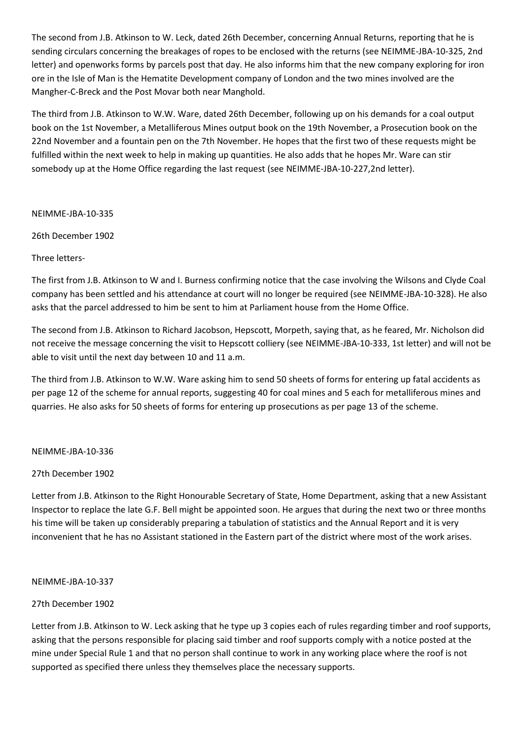The second from J.B. Atkinson to W. Leck, dated 26th December, concerning Annual Returns, reporting that he is sending circulars concerning the breakages of ropes to be enclosed with the returns (see NEIMME-JBA-10-325, 2nd letter) and openworks forms by parcels post that day. He also informs him that the new company exploring for iron ore in the Isle of Man is the Hematite Development company of London and the two mines involved are the Mangher-C-Breck and the Post Movar both near Manghold.

The third from J.B. Atkinson to W.W. Ware, dated 26th December, following up on his demands for a coal output book on the 1st November, a Metalliferous Mines output book on the 19th November, a Prosecution book on the 22nd November and a fountain pen on the 7th November. He hopes that the first two of these requests might be fulfilled within the next week to help in making up quantities. He also adds that he hopes Mr. Ware can stir somebody up at the Home Office regarding the last request (see NEIMME-JBA-10-227,2nd letter).

### NEIMME-JBA-10-335

26th December 1902

# Three letters-

The first from J.B. Atkinson to W and I. Burness confirming notice that the case involving the Wilsons and Clyde Coal company has been settled and his attendance at court will no longer be required (see NEIMME-JBA-10-328). He also asks that the parcel addressed to him be sent to him at Parliament house from the Home Office.

The second from J.B. Atkinson to Richard Jacobson, Hepscott, Morpeth, saying that, as he feared, Mr. Nicholson did not receive the message concerning the visit to Hepscott colliery (see NEIMME-JBA-10-333, 1st letter) and will not be able to visit until the next day between 10 and 11 a.m.

The third from J.B. Atkinson to W.W. Ware asking him to send 50 sheets of forms for entering up fatal accidents as per page 12 of the scheme for annual reports, suggesting 40 for coal mines and 5 each for metalliferous mines and quarries. He also asks for 50 sheets of forms for entering up prosecutions as per page 13 of the scheme.

### NEIMME-JBA-10-336

# 27th December 1902

Letter from J.B. Atkinson to the Right Honourable Secretary of State, Home Department, asking that a new Assistant Inspector to replace the late G.F. Bell might be appointed soon. He argues that during the next two or three months his time will be taken up considerably preparing a tabulation of statistics and the Annual Report and it is very inconvenient that he has no Assistant stationed in the Eastern part of the district where most of the work arises.

# NEIMME-JBA-10-337

# 27th December 1902

Letter from J.B. Atkinson to W. Leck asking that he type up 3 copies each of rules regarding timber and roof supports, asking that the persons responsible for placing said timber and roof supports comply with a notice posted at the mine under Special Rule 1 and that no person shall continue to work in any working place where the roof is not supported as specified there unless they themselves place the necessary supports.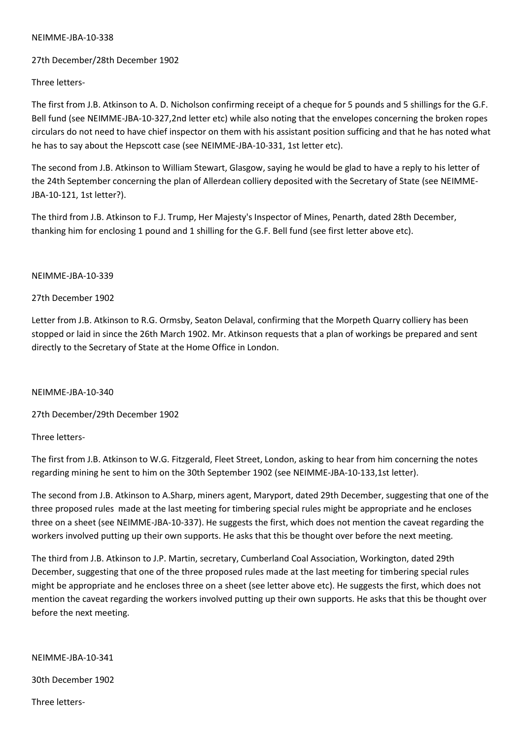#### NEIMME-JBA-10-338

## 27th December/28th December 1902

Three letters-

The first from J.B. Atkinson to A. D. Nicholson confirming receipt of a cheque for 5 pounds and 5 shillings for the G.F. Bell fund (see NEIMME-JBA-10-327,2nd letter etc) while also noting that the envelopes concerning the broken ropes circulars do not need to have chief inspector on them with his assistant position sufficing and that he has noted what he has to say about the Hepscott case (see NEIMME-JBA-10-331, 1st letter etc).

The second from J.B. Atkinson to William Stewart, Glasgow, saying he would be glad to have a reply to his letter of the 24th September concerning the plan of Allerdean colliery deposited with the Secretary of State (see NEIMME-JBA-10-121, 1st letter?).

The third from J.B. Atkinson to F.J. Trump, Her Majesty's Inspector of Mines, Penarth, dated 28th December, thanking him for enclosing 1 pound and 1 shilling for the G.F. Bell fund (see first letter above etc).

#### NEIMME-JBA-10-339

## 27th December 1902

Letter from J.B. Atkinson to R.G. Ormsby, Seaton Delaval, confirming that the Morpeth Quarry colliery has been stopped or laid in since the 26th March 1902. Mr. Atkinson requests that a plan of workings be prepared and sent directly to the Secretary of State at the Home Office in London.

### NEIMME-JBA-10-340

27th December/29th December 1902

### Three letters-

The first from J.B. Atkinson to W.G. Fitzgerald, Fleet Street, London, asking to hear from him concerning the notes regarding mining he sent to him on the 30th September 1902 (see NEIMME-JBA-10-133,1st letter).

The second from J.B. Atkinson to A.Sharp, miners agent, Maryport, dated 29th December, suggesting that one of the three proposed rules made at the last meeting for timbering special rules might be appropriate and he encloses three on a sheet (see NEIMME-JBA-10-337). He suggests the first, which does not mention the caveat regarding the workers involved putting up their own supports. He asks that this be thought over before the next meeting.

The third from J.B. Atkinson to J.P. Martin, secretary, Cumberland Coal Association, Workington, dated 29th December, suggesting that one of the three proposed rules made at the last meeting for timbering special rules might be appropriate and he encloses three on a sheet (see letter above etc). He suggests the first, which does not mention the caveat regarding the workers involved putting up their own supports. He asks that this be thought over before the next meeting.

### NEIMME-JBA-10-341

30th December 1902

Three letters-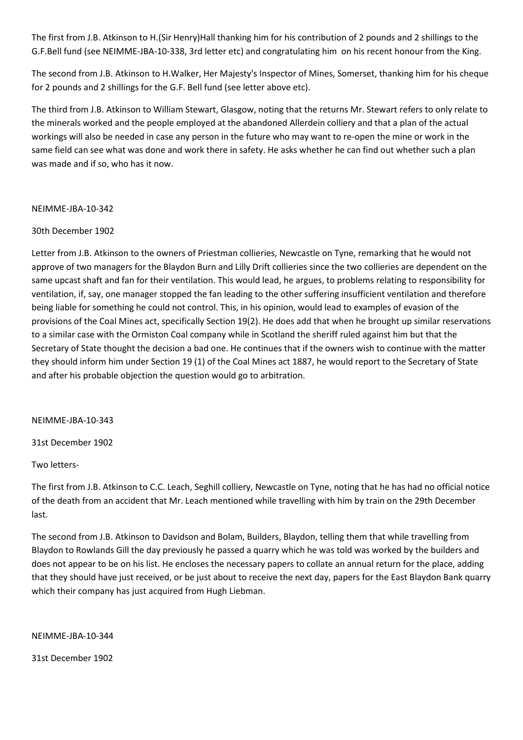The first from J.B. Atkinson to H.(Sir Henry)Hall thanking him for his contribution of 2 pounds and 2 shillings to the G.F.Bell fund (see NEIMME-JBA-10-338, 3rd letter etc) and congratulating him on his recent honour from the King.

The second from J.B. Atkinson to H.Walker, Her Majesty's Inspector of Mines, Somerset, thanking him for his cheque for 2 pounds and 2 shillings for the G.F. Bell fund (see letter above etc).

The third from J.B. Atkinson to William Stewart, Glasgow, noting that the returns Mr. Stewart refers to only relate to the minerals worked and the people employed at the abandoned Allerdein colliery and that a plan of the actual workings will also be needed in case any person in the future who may want to re-open the mine or work in the same field can see what was done and work there in safety. He asks whether he can find out whether such a plan was made and if so, who has it now.

## NEIMME-JBA-10-342

## 30th December 1902

Letter from J.B. Atkinson to the owners of Priestman collieries, Newcastle on Tyne, remarking that he would not approve of two managers for the Blaydon Burn and Lilly Drift collieries since the two collieries are dependent on the same upcast shaft and fan for their ventilation. This would lead, he argues, to problems relating to responsibility for ventilation, if, say, one manager stopped the fan leading to the other suffering insufficient ventilation and therefore being liable for something he could not control. This, in his opinion, would lead to examples of evasion of the provisions of the Coal Mines act, specifically Section 19(2). He does add that when he brought up similar reservations to a similar case with the Ormiston Coal company while in Scotland the sheriff ruled against him but that the Secretary of State thought the decision a bad one. He continues that if the owners wish to continue with the matter they should inform him under Section 19 (1) of the Coal Mines act 1887, he would report to the Secretary of State and after his probable objection the question would go to arbitration.

### NEIMME-JBA-10-343

31st December 1902

Two letters-

The first from J.B. Atkinson to C.C. Leach, Seghill colliery, Newcastle on Tyne, noting that he has had no official notice of the death from an accident that Mr. Leach mentioned while travelling with him by train on the 29th December last.

The second from J.B. Atkinson to Davidson and Bolam, Builders, Blaydon, telling them that while travelling from Blaydon to Rowlands Gill the day previously he passed a quarry which he was told was worked by the builders and does not appear to be on his list. He encloses the necessary papers to collate an annual return for the place, adding that they should have just received, or be just about to receive the next day, papers for the East Blaydon Bank quarry which their company has just acquired from Hugh Liebman.

NEIMME-JBA-10-344

31st December 1902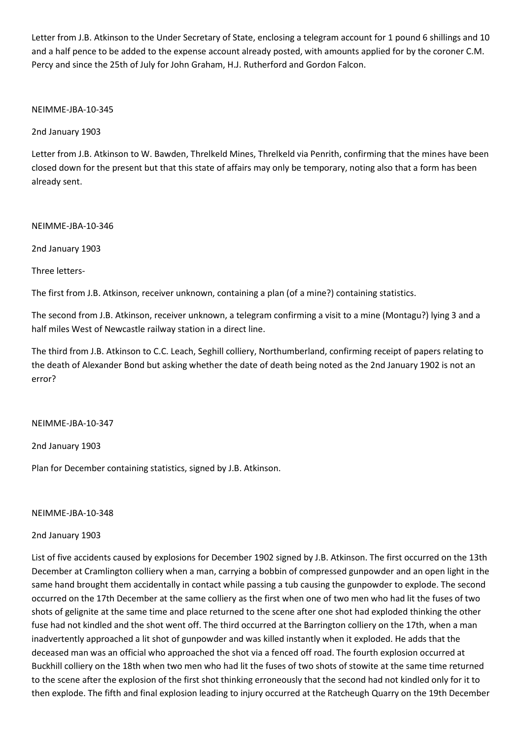Letter from J.B. Atkinson to the Under Secretary of State, enclosing a telegram account for 1 pound 6 shillings and 10 and a half pence to be added to the expense account already posted, with amounts applied for by the coroner C.M. Percy and since the 25th of July for John Graham, H.J. Rutherford and Gordon Falcon.

## NEIMME-JBA-10-345

2nd January 1903

Letter from J.B. Atkinson to W. Bawden, Threlkeld Mines, Threlkeld via Penrith, confirming that the mines have been closed down for the present but that this state of affairs may only be temporary, noting also that a form has been already sent.

NEIMME-JBA-10-346

2nd January 1903

Three letters-

The first from J.B. Atkinson, receiver unknown, containing a plan (of a mine?) containing statistics.

The second from J.B. Atkinson, receiver unknown, a telegram confirming a visit to a mine (Montagu?) lying 3 and a half miles West of Newcastle railway station in a direct line.

The third from J.B. Atkinson to C.C. Leach, Seghill colliery, Northumberland, confirming receipt of papers relating to the death of Alexander Bond but asking whether the date of death being noted as the 2nd January 1902 is not an error?

NEIMME-JBA-10-347

2nd January 1903

Plan for December containing statistics, signed by J.B. Atkinson.

### NEIMME-JBA-10-348

### 2nd January 1903

List of five accidents caused by explosions for December 1902 signed by J.B. Atkinson. The first occurred on the 13th December at Cramlington colliery when a man, carrying a bobbin of compressed gunpowder and an open light in the same hand brought them accidentally in contact while passing a tub causing the gunpowder to explode. The second occurred on the 17th December at the same colliery as the first when one of two men who had lit the fuses of two shots of gelignite at the same time and place returned to the scene after one shot had exploded thinking the other fuse had not kindled and the shot went off. The third occurred at the Barrington colliery on the 17th, when a man inadvertently approached a lit shot of gunpowder and was killed instantly when it exploded. He adds that the deceased man was an official who approached the shot via a fenced off road. The fourth explosion occurred at Buckhill colliery on the 18th when two men who had lit the fuses of two shots of stowite at the same time returned to the scene after the explosion of the first shot thinking erroneously that the second had not kindled only for it to then explode. The fifth and final explosion leading to injury occurred at the Ratcheugh Quarry on the 19th December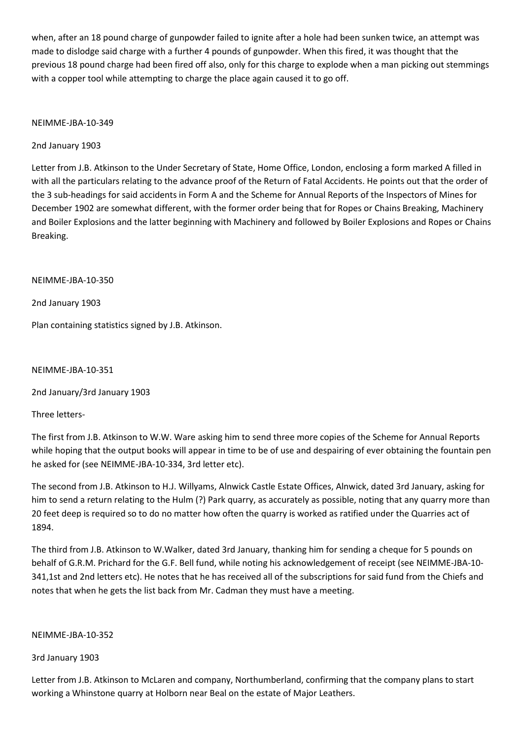when, after an 18 pound charge of gunpowder failed to ignite after a hole had been sunken twice, an attempt was made to dislodge said charge with a further 4 pounds of gunpowder. When this fired, it was thought that the previous 18 pound charge had been fired off also, only for this charge to explode when a man picking out stemmings with a copper tool while attempting to charge the place again caused it to go off.

## NEIMME-JBA-10-349

# 2nd January 1903

Letter from J.B. Atkinson to the Under Secretary of State, Home Office, London, enclosing a form marked A filled in with all the particulars relating to the advance proof of the Return of Fatal Accidents. He points out that the order of the 3 sub-headings for said accidents in Form A and the Scheme for Annual Reports of the Inspectors of Mines for December 1902 are somewhat different, with the former order being that for Ropes or Chains Breaking, Machinery and Boiler Explosions and the latter beginning with Machinery and followed by Boiler Explosions and Ropes or Chains Breaking.

NEIMME-JBA-10-350

2nd January 1903

Plan containing statistics signed by J.B. Atkinson.

NEIMME-JBA-10-351

2nd January/3rd January 1903

Three letters-

The first from J.B. Atkinson to W.W. Ware asking him to send three more copies of the Scheme for Annual Reports while hoping that the output books will appear in time to be of use and despairing of ever obtaining the fountain pen he asked for (see NEIMME-JBA-10-334, 3rd letter etc).

The second from J.B. Atkinson to H.J. Willyams, Alnwick Castle Estate Offices, Alnwick, dated 3rd January, asking for him to send a return relating to the Hulm (?) Park quarry, as accurately as possible, noting that any quarry more than 20 feet deep is required so to do no matter how often the quarry is worked as ratified under the Quarries act of 1894.

The third from J.B. Atkinson to W.Walker, dated 3rd January, thanking him for sending a cheque for 5 pounds on behalf of G.R.M. Prichard for the G.F. Bell fund, while noting his acknowledgement of receipt (see NEIMME-JBA-10- 341,1st and 2nd letters etc). He notes that he has received all of the subscriptions for said fund from the Chiefs and notes that when he gets the list back from Mr. Cadman they must have a meeting.

### NEIMME-JBA-10-352

### 3rd January 1903

Letter from J.B. Atkinson to McLaren and company, Northumberland, confirming that the company plans to start working a Whinstone quarry at Holborn near Beal on the estate of Major Leathers.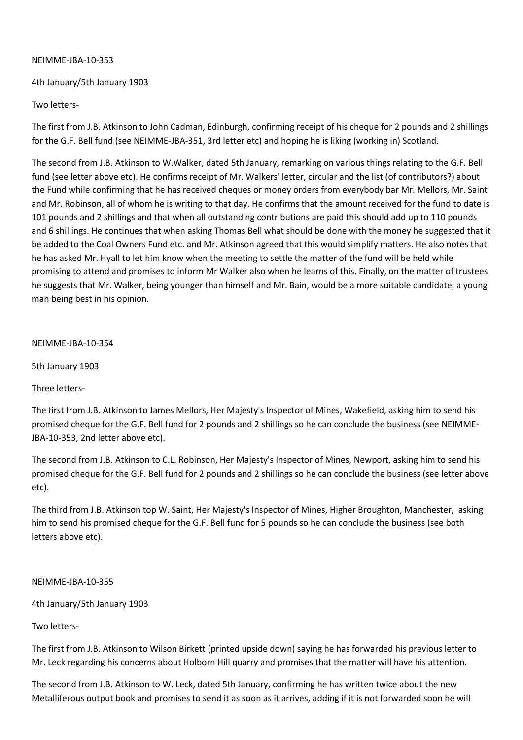## NEIMME-JBA-10-353

## 4th January/5th January 1903

## Two letters-

The first from J.B. Atkinson to John Cadman, Edinburgh, confirming receipt of his cheque for 2 pounds and 2 shillings for the G.F. Bell fund (see NEIMME-JBA-351, 3rd letter etc) and hoping he is liking (working in) Scotland.

The second from J.B. Atkinson to W.Walker, dated 5th January, remarking on various things relating to the G.F. Bell fund (see letter above etc). He confirms receipt of Mr. Walkers' letter, circular and the list (of contributors?) about the Fund while confirming that he has received cheques or money orders from everybody bar Mr. Mellors, Mr. Saint and Mr. Robinson, all of whom he is writing to that day. He confirms that the amount received for the fund to date is 101 pounds and 2 shillings and that when all outstanding contributions are paid this should add up to 110 pounds and 6 shillings. He continues that when asking Thomas Bell what should be done with the money he suggested that it be added to the Coal Owners Fund etc. and Mr. Atkinson agreed that this would simplify matters. He also notes that he has asked Mr. Hyall to let him know when the meeting to settle the matter of the fund will be held while promising to attend and promises to inform Mr Walker also when he learns of this. Finally, on the matter of trustees he suggests that Mr. Walker, being younger than himself and Mr. Bain, would be a more suitable candidate, a young man being best in his opinion.

### NEIMME-JBA-10-354

5th January 1903

Three letters-

The first from J.B. Atkinson to James Mellors, Her Majesty's Inspector of Mines, Wakefield, asking him to send his promised cheque for the G.F. Bell fund for 2 pounds and 2 shillings so he can conclude the business (see NEIMME-JBA-10-353, 2nd letter above etc).

The second from J.B. Atkinson to C.L. Robinson, Her Majesty's Inspector of Mines, Newport, asking him to send his promised cheque for the G.F. Bell fund for 2 pounds and 2 shillings so he can conclude the business (see letter above etc).

The third from J.B. Atkinson top W. Saint, Her Majesty's Inspector of Mines, Higher Broughton, Manchester, asking him to send his promised cheque for the G.F. Bell fund for 5 pounds so he can conclude the business (see both letters above etc).

### NEIMME-JBA-10-355

4th January/5th January 1903

# Two letters-

The first from J.B. Atkinson to Wilson Birkett (printed upside down) saying he has forwarded his previous letter to Mr. Leck regarding his concerns about Holborn Hill quarry and promises that the matter will have his attention.

The second from J.B. Atkinson to W. Leck, dated 5th January, confirming he has written twice about the new Metalliferous output book and promises to send it as soon as it arrives, adding if it is not forwarded soon he will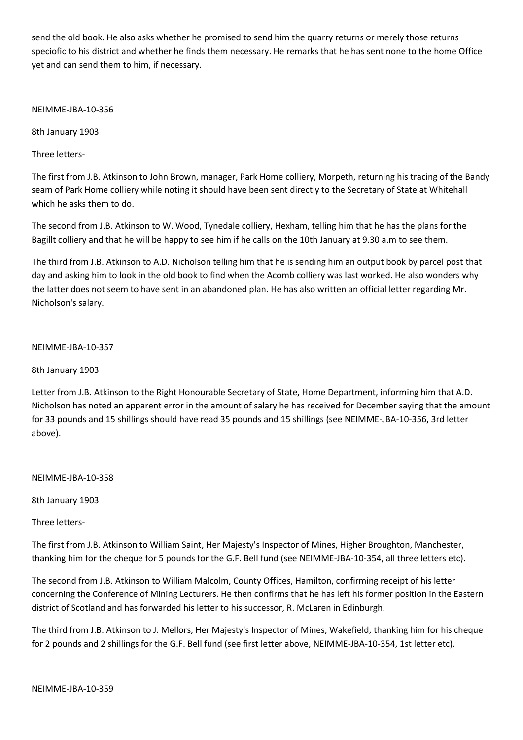send the old book. He also asks whether he promised to send him the quarry returns or merely those returns speciofic to his district and whether he finds them necessary. He remarks that he has sent none to the home Office yet and can send them to him, if necessary.

NEIMME-JBA-10-356

8th January 1903

Three letters-

The first from J.B. Atkinson to John Brown, manager, Park Home colliery, Morpeth, returning his tracing of the Bandy seam of Park Home colliery while noting it should have been sent directly to the Secretary of State at Whitehall which he asks them to do.

The second from J.B. Atkinson to W. Wood, Tynedale colliery, Hexham, telling him that he has the plans for the Bagillt colliery and that he will be happy to see him if he calls on the 10th January at 9.30 a.m to see them.

The third from J.B. Atkinson to A.D. Nicholson telling him that he is sending him an output book by parcel post that day and asking him to look in the old book to find when the Acomb colliery was last worked. He also wonders why the latter does not seem to have sent in an abandoned plan. He has also written an official letter regarding Mr. Nicholson's salary.

## NEIMME-JBA-10-357

8th January 1903

Letter from J.B. Atkinson to the Right Honourable Secretary of State, Home Department, informing him that A.D. Nicholson has noted an apparent error in the amount of salary he has received for December saying that the amount for 33 pounds and 15 shillings should have read 35 pounds and 15 shillings (see NEIMME-JBA-10-356, 3rd letter above).

NEIMME-JBA-10-358

8th January 1903

Three letters-

The first from J.B. Atkinson to William Saint, Her Majesty's Inspector of Mines, Higher Broughton, Manchester, thanking him for the cheque for 5 pounds for the G.F. Bell fund (see NEIMME-JBA-10-354, all three letters etc).

The second from J.B. Atkinson to William Malcolm, County Offices, Hamilton, confirming receipt of his letter concerning the Conference of Mining Lecturers. He then confirms that he has left his former position in the Eastern district of Scotland and has forwarded his letter to his successor, R. McLaren in Edinburgh.

The third from J.B. Atkinson to J. Mellors, Her Majesty's Inspector of Mines, Wakefield, thanking him for his cheque for 2 pounds and 2 shillings for the G.F. Bell fund (see first letter above, NEIMME-JBA-10-354, 1st letter etc).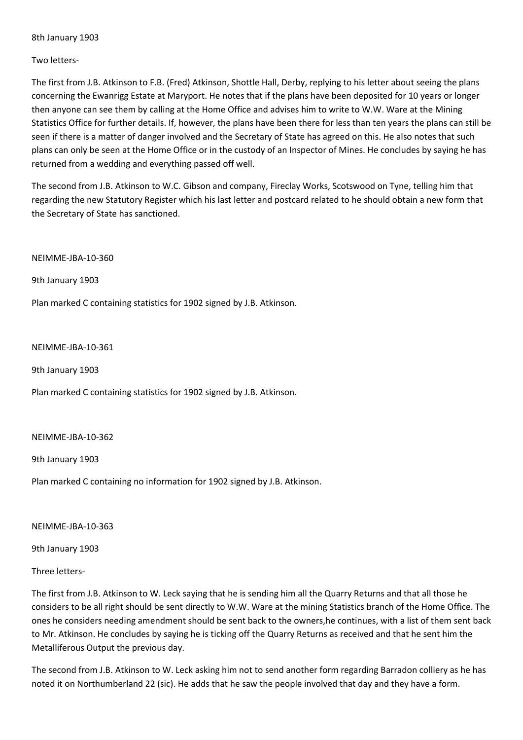8th January 1903

## Two letters-

The first from J.B. Atkinson to F.B. (Fred) Atkinson, Shottle Hall, Derby, replying to his letter about seeing the plans concerning the Ewanrigg Estate at Maryport. He notes that if the plans have been deposited for 10 years or longer then anyone can see them by calling at the Home Office and advises him to write to W.W. Ware at the Mining Statistics Office for further details. If, however, the plans have been there for less than ten years the plans can still be seen if there is a matter of danger involved and the Secretary of State has agreed on this. He also notes that such plans can only be seen at the Home Office or in the custody of an Inspector of Mines. He concludes by saying he has returned from a wedding and everything passed off well.

The second from J.B. Atkinson to W.C. Gibson and company, Fireclay Works, Scotswood on Tyne, telling him that regarding the new Statutory Register which his last letter and postcard related to he should obtain a new form that the Secretary of State has sanctioned.

NEIMME-JBA-10-360

9th January 1903

Plan marked C containing statistics for 1902 signed by J.B. Atkinson.

#### NEIMME-JBA-10-361

9th January 1903

Plan marked C containing statistics for 1902 signed by J.B. Atkinson.

#### NEIMME-JBA-10-362

9th January 1903

Plan marked C containing no information for 1902 signed by J.B. Atkinson.

NEIMME-JBA-10-363

9th January 1903

### Three letters-

The first from J.B. Atkinson to W. Leck saying that he is sending him all the Quarry Returns and that all those he considers to be all right should be sent directly to W.W. Ware at the mining Statistics branch of the Home Office. The ones he considers needing amendment should be sent back to the owners,he continues, with a list of them sent back to Mr. Atkinson. He concludes by saying he is ticking off the Quarry Returns as received and that he sent him the Metalliferous Output the previous day.

The second from J.B. Atkinson to W. Leck asking him not to send another form regarding Barradon colliery as he has noted it on Northumberland 22 (sic). He adds that he saw the people involved that day and they have a form.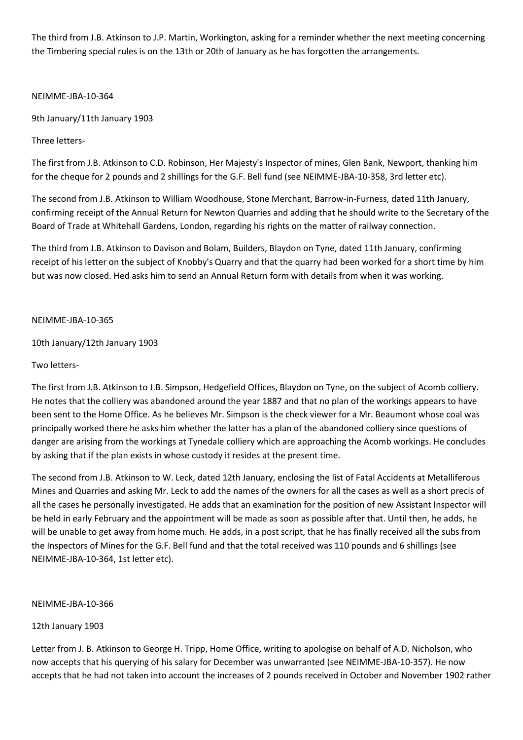The third from J.B. Atkinson to J.P. Martin, Workington, asking for a reminder whether the next meeting concerning the Timbering special rules is on the 13th or 20th of January as he has forgotten the arrangements.

NEIMME-JBA-10-364

9th January/11th January 1903

Three letters-

The first from J.B. Atkinson to C.D. Robinson, Her Majesty's Inspector of mines, Glen Bank, Newport, thanking him for the cheque for 2 pounds and 2 shillings for the G.F. Bell fund (see NEIMME-JBA-10-358, 3rd letter etc).

The second from J.B. Atkinson to William Woodhouse, Stone Merchant, Barrow-in-Furness, dated 11th January, confirming receipt of the Annual Return for Newton Quarries and adding that he should write to the Secretary of the Board of Trade at Whitehall Gardens, London, regarding his rights on the matter of railway connection.

The third from J.B. Atkinson to Davison and Bolam, Builders, Blaydon on Tyne, dated 11th January, confirming receipt of his letter on the subject of Knobby's Quarry and that the quarry had been worked for a short time by him but was now closed. Hed asks him to send an Annual Return form with details from when it was working.

NEIMME-JBA-10-365

10th January/12th January 1903

Two letters-

The first from J.B. Atkinson to J.B. Simpson, Hedgefield Offices, Blaydon on Tyne, on the subject of Acomb colliery. He notes that the colliery was abandoned around the year 1887 and that no plan of the workings appears to have been sent to the Home Office. As he believes Mr. Simpson is the check viewer for a Mr. Beaumont whose coal was principally worked there he asks him whether the latter has a plan of the abandoned colliery since questions of danger are arising from the workings at Tynedale colliery which are approaching the Acomb workings. He concludes by asking that if the plan exists in whose custody it resides at the present time.

The second from J.B. Atkinson to W. Leck, dated 12th January, enclosing the list of Fatal Accidents at Metalliferous Mines and Quarries and asking Mr. Leck to add the names of the owners for all the cases as well as a short precis of all the cases he personally investigated. He adds that an examination for the position of new Assistant Inspector will be held in early February and the appointment will be made as soon as possible after that. Until then, he adds, he will be unable to get away from home much. He adds, in a post script, that he has finally received all the subs from the Inspectors of Mines for the G.F. Bell fund and that the total received was 110 pounds and 6 shillings (see NEIMME-JBA-10-364, 1st letter etc).

### NEIMME-JBA-10-366

12th January 1903

Letter from J. B. Atkinson to George H. Tripp, Home Office, writing to apologise on behalf of A.D. Nicholson, who now accepts that his querying of his salary for December was unwarranted (see NEIMME-JBA-10-357). He now accepts that he had not taken into account the increases of 2 pounds received in October and November 1902 rather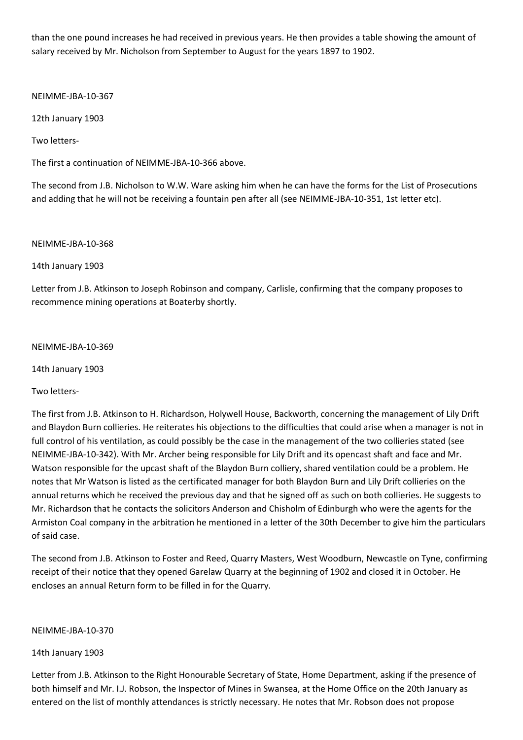than the one pound increases he had received in previous years. He then provides a table showing the amount of salary received by Mr. Nicholson from September to August for the years 1897 to 1902.

NEIMME-JBA-10-367

12th January 1903

Two letters-

The first a continuation of NEIMME-JBA-10-366 above.

The second from J.B. Nicholson to W.W. Ware asking him when he can have the forms for the List of Prosecutions and adding that he will not be receiving a fountain pen after all (see NEIMME-JBA-10-351, 1st letter etc).

NEIMME-JBA-10-368

14th January 1903

Letter from J.B. Atkinson to Joseph Robinson and company, Carlisle, confirming that the company proposes to recommence mining operations at Boaterby shortly.

NEIMME-JBA-10-369

14th January 1903

Two letters-

The first from J.B. Atkinson to H. Richardson, Holywell House, Backworth, concerning the management of Lily Drift and Blaydon Burn collieries. He reiterates his objections to the difficulties that could arise when a manager is not in full control of his ventilation, as could possibly be the case in the management of the two collieries stated (see NEIMME-JBA-10-342). With Mr. Archer being responsible for Lily Drift and its opencast shaft and face and Mr. Watson responsible for the upcast shaft of the Blaydon Burn colliery, shared ventilation could be a problem. He notes that Mr Watson is listed as the certificated manager for both Blaydon Burn and Lily Drift collieries on the annual returns which he received the previous day and that he signed off as such on both collieries. He suggests to Mr. Richardson that he contacts the solicitors Anderson and Chisholm of Edinburgh who were the agents for the Armiston Coal company in the arbitration he mentioned in a letter of the 30th December to give him the particulars of said case.

The second from J.B. Atkinson to Foster and Reed, Quarry Masters, West Woodburn, Newcastle on Tyne, confirming receipt of their notice that they opened Garelaw Quarry at the beginning of 1902 and closed it in October. He encloses an annual Return form to be filled in for the Quarry.

NEIMME-JBA-10-370

14th January 1903

Letter from J.B. Atkinson to the Right Honourable Secretary of State, Home Department, asking if the presence of both himself and Mr. I.J. Robson, the Inspector of Mines in Swansea, at the Home Office on the 20th January as entered on the list of monthly attendances is strictly necessary. He notes that Mr. Robson does not propose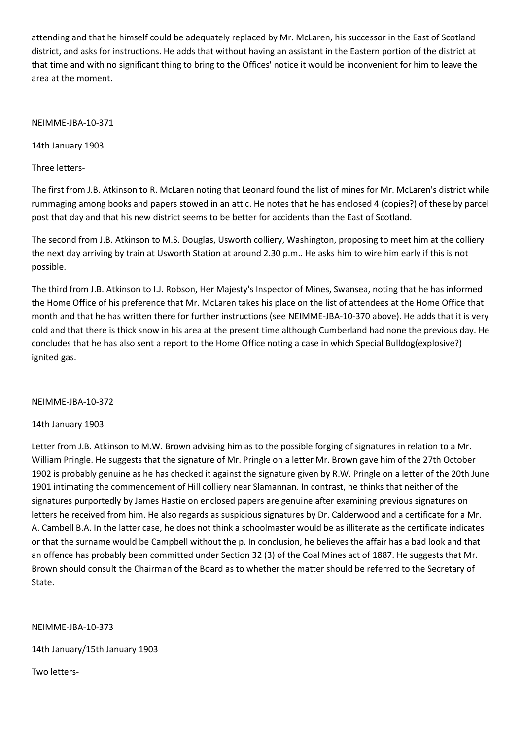attending and that he himself could be adequately replaced by Mr. McLaren, his successor in the East of Scotland district, and asks for instructions. He adds that without having an assistant in the Eastern portion of the district at that time and with no significant thing to bring to the Offices' notice it would be inconvenient for him to leave the area at the moment.

NEIMME-JBA-10-371

14th January 1903

Three letters-

The first from J.B. Atkinson to R. McLaren noting that Leonard found the list of mines for Mr. McLaren's district while rummaging among books and papers stowed in an attic. He notes that he has enclosed 4 (copies?) of these by parcel post that day and that his new district seems to be better for accidents than the East of Scotland.

The second from J.B. Atkinson to M.S. Douglas, Usworth colliery, Washington, proposing to meet him at the colliery the next day arriving by train at Usworth Station at around 2.30 p.m.. He asks him to wire him early if this is not possible.

The third from J.B. Atkinson to I.J. Robson, Her Majesty's Inspector of Mines, Swansea, noting that he has informed the Home Office of his preference that Mr. McLaren takes his place on the list of attendees at the Home Office that month and that he has written there for further instructions (see NEIMME-JBA-10-370 above). He adds that it is very cold and that there is thick snow in his area at the present time although Cumberland had none the previous day. He concludes that he has also sent a report to the Home Office noting a case in which Special Bulldog(explosive?) ignited gas.

NEIMME-JBA-10-372

# 14th January 1903

Letter from J.B. Atkinson to M.W. Brown advising him as to the possible forging of signatures in relation to a Mr. William Pringle. He suggests that the signature of Mr. Pringle on a letter Mr. Brown gave him of the 27th October 1902 is probably genuine as he has checked it against the signature given by R.W. Pringle on a letter of the 20th June 1901 intimating the commencement of Hill colliery near Slamannan. In contrast, he thinks that neither of the signatures purportedly by James Hastie on enclosed papers are genuine after examining previous signatures on letters he received from him. He also regards as suspicious signatures by Dr. Calderwood and a certificate for a Mr. A. Cambell B.A. In the latter case, he does not think a schoolmaster would be as illiterate as the certificate indicates or that the surname would be Campbell without the p. In conclusion, he believes the affair has a bad look and that an offence has probably been committed under Section 32 (3) of the Coal Mines act of 1887. He suggests that Mr. Brown should consult the Chairman of the Board as to whether the matter should be referred to the Secretary of State.

NEIMME-JBA-10-373

14th January/15th January 1903

Two letters-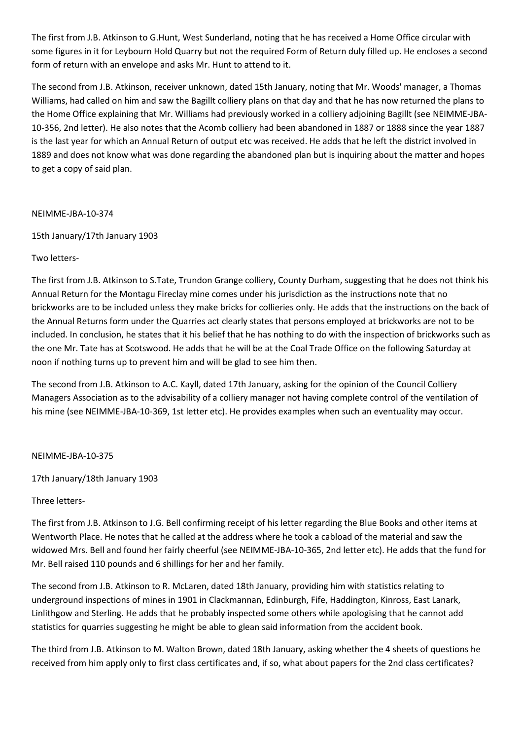The first from J.B. Atkinson to G.Hunt, West Sunderland, noting that he has received a Home Office circular with some figures in it for Leybourn Hold Quarry but not the required Form of Return duly filled up. He encloses a second form of return with an envelope and asks Mr. Hunt to attend to it.

The second from J.B. Atkinson, receiver unknown, dated 15th January, noting that Mr. Woods' manager, a Thomas Williams, had called on him and saw the Bagillt colliery plans on that day and that he has now returned the plans to the Home Office explaining that Mr. Williams had previously worked in a colliery adjoining Bagillt (see NEIMME-JBA-10-356, 2nd letter). He also notes that the Acomb colliery had been abandoned in 1887 or 1888 since the year 1887 is the last year for which an Annual Return of output etc was received. He adds that he left the district involved in 1889 and does not know what was done regarding the abandoned plan but is inquiring about the matter and hopes to get a copy of said plan.

## NEIMME-JBA-10-374

15th January/17th January 1903

# Two letters-

The first from J.B. Atkinson to S.Tate, Trundon Grange colliery, County Durham, suggesting that he does not think his Annual Return for the Montagu Fireclay mine comes under his jurisdiction as the instructions note that no brickworks are to be included unless they make bricks for collieries only. He adds that the instructions on the back of the Annual Returns form under the Quarries act clearly states that persons employed at brickworks are not to be included. In conclusion, he states that it his belief that he has nothing to do with the inspection of brickworks such as the one Mr. Tate has at Scotswood. He adds that he will be at the Coal Trade Office on the following Saturday at noon if nothing turns up to prevent him and will be glad to see him then.

The second from J.B. Atkinson to A.C. Kayll, dated 17th January, asking for the opinion of the Council Colliery Managers Association as to the advisability of a colliery manager not having complete control of the ventilation of his mine (see NEIMME-JBA-10-369, 1st letter etc). He provides examples when such an eventuality may occur.

# NEIMME-JBA-10-375

17th January/18th January 1903

# Three letters-

The first from J.B. Atkinson to J.G. Bell confirming receipt of his letter regarding the Blue Books and other items at Wentworth Place. He notes that he called at the address where he took a cabload of the material and saw the widowed Mrs. Bell and found her fairly cheerful (see NEIMME-JBA-10-365, 2nd letter etc). He adds that the fund for Mr. Bell raised 110 pounds and 6 shillings for her and her family.

The second from J.B. Atkinson to R. McLaren, dated 18th January, providing him with statistics relating to underground inspections of mines in 1901 in Clackmannan, Edinburgh, Fife, Haddington, Kinross, East Lanark, Linlithgow and Sterling. He adds that he probably inspected some others while apologising that he cannot add statistics for quarries suggesting he might be able to glean said information from the accident book.

The third from J.B. Atkinson to M. Walton Brown, dated 18th January, asking whether the 4 sheets of questions he received from him apply only to first class certificates and, if so, what about papers for the 2nd class certificates?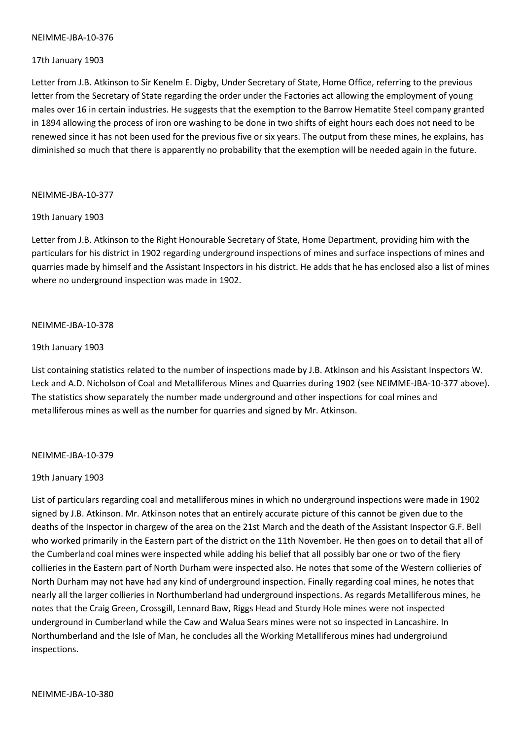#### NEIMME-JBA-10-376

#### 17th January 1903

Letter from J.B. Atkinson to Sir Kenelm E. Digby, Under Secretary of State, Home Office, referring to the previous letter from the Secretary of State regarding the order under the Factories act allowing the employment of young males over 16 in certain industries. He suggests that the exemption to the Barrow Hematite Steel company granted in 1894 allowing the process of iron ore washing to be done in two shifts of eight hours each does not need to be renewed since it has not been used for the previous five or six years. The output from these mines, he explains, has diminished so much that there is apparently no probability that the exemption will be needed again in the future.

#### NEIMME-JBA-10-377

#### 19th January 1903

Letter from J.B. Atkinson to the Right Honourable Secretary of State, Home Department, providing him with the particulars for his district in 1902 regarding underground inspections of mines and surface inspections of mines and quarries made by himself and the Assistant Inspectors in his district. He adds that he has enclosed also a list of mines where no underground inspection was made in 1902.

#### NEIMME-JBA-10-378

#### 19th January 1903

List containing statistics related to the number of inspections made by J.B. Atkinson and his Assistant Inspectors W. Leck and A.D. Nicholson of Coal and Metalliferous Mines and Quarries during 1902 (see NEIMME-JBA-10-377 above). The statistics show separately the number made underground and other inspections for coal mines and metalliferous mines as well as the number for quarries and signed by Mr. Atkinson.

#### NEIMME-JBA-10-379

#### 19th January 1903

List of particulars regarding coal and metalliferous mines in which no underground inspections were made in 1902 signed by J.B. Atkinson. Mr. Atkinson notes that an entirely accurate picture of this cannot be given due to the deaths of the Inspector in chargew of the area on the 21st March and the death of the Assistant Inspector G.F. Bell who worked primarily in the Eastern part of the district on the 11th November. He then goes on to detail that all of the Cumberland coal mines were inspected while adding his belief that all possibly bar one or two of the fiery collieries in the Eastern part of North Durham were inspected also. He notes that some of the Western collieries of North Durham may not have had any kind of underground inspection. Finally regarding coal mines, he notes that nearly all the larger collieries in Northumberland had underground inspections. As regards Metalliferous mines, he notes that the Craig Green, Crossgill, Lennard Baw, Riggs Head and Sturdy Hole mines were not inspected underground in Cumberland while the Caw and Walua Sears mines were not so inspected in Lancashire. In Northumberland and the Isle of Man, he concludes all the Working Metalliferous mines had undergroiund inspections.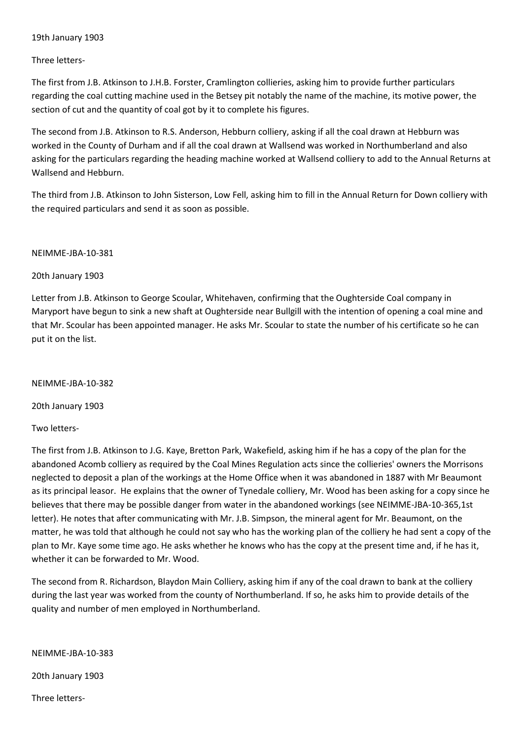## 19th January 1903

## Three letters-

The first from J.B. Atkinson to J.H.B. Forster, Cramlington collieries, asking him to provide further particulars regarding the coal cutting machine used in the Betsey pit notably the name of the machine, its motive power, the section of cut and the quantity of coal got by it to complete his figures.

The second from J.B. Atkinson to R.S. Anderson, Hebburn colliery, asking if all the coal drawn at Hebburn was worked in the County of Durham and if all the coal drawn at Wallsend was worked in Northumberland and also asking for the particulars regarding the heading machine worked at Wallsend colliery to add to the Annual Returns at Wallsend and Hebburn.

The third from J.B. Atkinson to John Sisterson, Low Fell, asking him to fill in the Annual Return for Down colliery with the required particulars and send it as soon as possible.

### NEIMME-JBA-10-381

## 20th January 1903

Letter from J.B. Atkinson to George Scoular, Whitehaven, confirming that the Oughterside Coal company in Maryport have begun to sink a new shaft at Oughterside near Bullgill with the intention of opening a coal mine and that Mr. Scoular has been appointed manager. He asks Mr. Scoular to state the number of his certificate so he can put it on the list.

NEIMME-JBA-10-382

20th January 1903

Two letters-

The first from J.B. Atkinson to J.G. Kaye, Bretton Park, Wakefield, asking him if he has a copy of the plan for the abandoned Acomb colliery as required by the Coal Mines Regulation acts since the collieries' owners the Morrisons neglected to deposit a plan of the workings at the Home Office when it was abandoned in 1887 with Mr Beaumont as its principal leasor. He explains that the owner of Tynedale colliery, Mr. Wood has been asking for a copy since he believes that there may be possible danger from water in the abandoned workings (see NEIMME-JBA-10-365,1st letter). He notes that after communicating with Mr. J.B. Simpson, the mineral agent for Mr. Beaumont, on the matter, he was told that although he could not say who has the working plan of the colliery he had sent a copy of the plan to Mr. Kaye some time ago. He asks whether he knows who has the copy at the present time and, if he has it, whether it can be forwarded to Mr. Wood.

The second from R. Richardson, Blaydon Main Colliery, asking him if any of the coal drawn to bank at the colliery during the last year was worked from the county of Northumberland. If so, he asks him to provide details of the quality and number of men employed in Northumberland.

### NEIMME-JBA-10-383

20th January 1903

Three letters-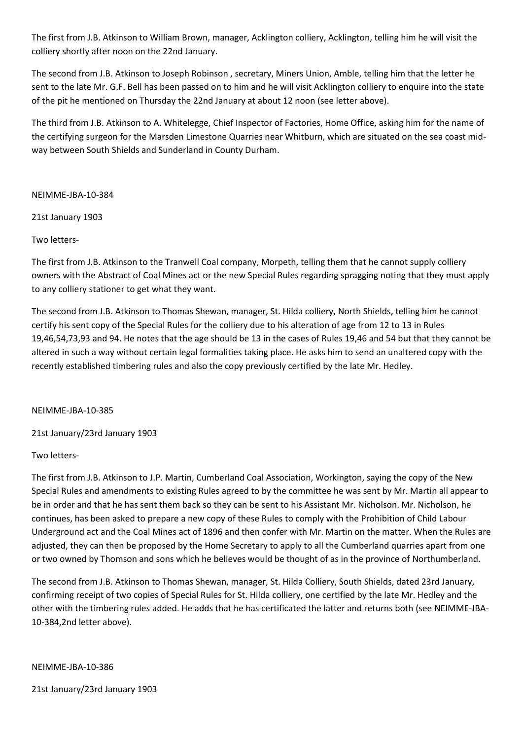The first from J.B. Atkinson to William Brown, manager, Acklington colliery, Acklington, telling him he will visit the colliery shortly after noon on the 22nd January.

The second from J.B. Atkinson to Joseph Robinson , secretary, Miners Union, Amble, telling him that the letter he sent to the late Mr. G.F. Bell has been passed on to him and he will visit Acklington colliery to enquire into the state of the pit he mentioned on Thursday the 22nd January at about 12 noon (see letter above).

The third from J.B. Atkinson to A. Whitelegge, Chief Inspector of Factories, Home Office, asking him for the name of the certifying surgeon for the Marsden Limestone Quarries near Whitburn, which are situated on the sea coast midway between South Shields and Sunderland in County Durham.

NEIMME-JBA-10-384

21st January 1903

Two letters-

The first from J.B. Atkinson to the Tranwell Coal company, Morpeth, telling them that he cannot supply colliery owners with the Abstract of Coal Mines act or the new Special Rules regarding spragging noting that they must apply to any colliery stationer to get what they want.

The second from J.B. Atkinson to Thomas Shewan, manager, St. Hilda colliery, North Shields, telling him he cannot certify his sent copy of the Special Rules for the colliery due to his alteration of age from 12 to 13 in Rules 19,46,54,73,93 and 94. He notes that the age should be 13 in the cases of Rules 19,46 and 54 but that they cannot be altered in such a way without certain legal formalities taking place. He asks him to send an unaltered copy with the recently established timbering rules and also the copy previously certified by the late Mr. Hedley.

NEIMME-JBA-10-385

21st January/23rd January 1903

Two letters-

The first from J.B. Atkinson to J.P. Martin, Cumberland Coal Association, Workington, saying the copy of the New Special Rules and amendments to existing Rules agreed to by the committee he was sent by Mr. Martin all appear to be in order and that he has sent them back so they can be sent to his Assistant Mr. Nicholson. Mr. Nicholson, he continues, has been asked to prepare a new copy of these Rules to comply with the Prohibition of Child Labour Underground act and the Coal Mines act of 1896 and then confer with Mr. Martin on the matter. When the Rules are adjusted, they can then be proposed by the Home Secretary to apply to all the Cumberland quarries apart from one or two owned by Thomson and sons which he believes would be thought of as in the province of Northumberland.

The second from J.B. Atkinson to Thomas Shewan, manager, St. Hilda Colliery, South Shields, dated 23rd January, confirming receipt of two copies of Special Rules for St. Hilda colliery, one certified by the late Mr. Hedley and the other with the timbering rules added. He adds that he has certificated the latter and returns both (see NEIMME-JBA-10-384,2nd letter above).

NEIMME-JBA-10-386

21st January/23rd January 1903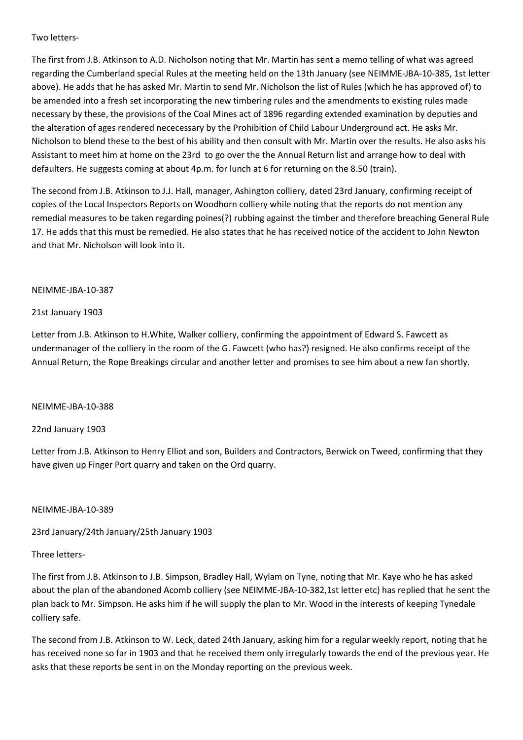## Two letters-

The first from J.B. Atkinson to A.D. Nicholson noting that Mr. Martin has sent a memo telling of what was agreed regarding the Cumberland special Rules at the meeting held on the 13th January (see NEIMME-JBA-10-385, 1st letter above). He adds that he has asked Mr. Martin to send Mr. Nicholson the list of Rules (which he has approved of) to be amended into a fresh set incorporating the new timbering rules and the amendments to existing rules made necessary by these, the provisions of the Coal Mines act of 1896 regarding extended examination by deputies and the alteration of ages rendered nececessary by the Prohibition of Child Labour Underground act. He asks Mr. Nicholson to blend these to the best of his ability and then consult with Mr. Martin over the results. He also asks his Assistant to meet him at home on the 23rd to go over the the Annual Return list and arrange how to deal with defaulters. He suggests coming at about 4p.m. for lunch at 6 for returning on the 8.50 (train).

The second from J.B. Atkinson to J.J. Hall, manager, Ashington colliery, dated 23rd January, confirming receipt of copies of the Local Inspectors Reports on Woodhorn colliery while noting that the reports do not mention any remedial measures to be taken regarding poines(?) rubbing against the timber and therefore breaching General Rule 17. He adds that this must be remedied. He also states that he has received notice of the accident to John Newton and that Mr. Nicholson will look into it.

## NEIMME-JBA-10-387

## 21st January 1903

Letter from J.B. Atkinson to H.White, Walker colliery, confirming the appointment of Edward S. Fawcett as undermanager of the colliery in the room of the G. Fawcett (who has?) resigned. He also confirms receipt of the Annual Return, the Rope Breakings circular and another letter and promises to see him about a new fan shortly.

# NEIMME-JBA-10-388

# 22nd January 1903

Letter from J.B. Atkinson to Henry Elliot and son, Builders and Contractors, Berwick on Tweed, confirming that they have given up Finger Port quarry and taken on the Ord quarry.

### NEIMME-JBA-10-389

# 23rd January/24th January/25th January 1903

# Three letters-

The first from J.B. Atkinson to J.B. Simpson, Bradley Hall, Wylam on Tyne, noting that Mr. Kaye who he has asked about the plan of the abandoned Acomb colliery (see NEIMME-JBA-10-382,1st letter etc) has replied that he sent the plan back to Mr. Simpson. He asks him if he will supply the plan to Mr. Wood in the interests of keeping Tynedale colliery safe.

The second from J.B. Atkinson to W. Leck, dated 24th January, asking him for a regular weekly report, noting that he has received none so far in 1903 and that he received them only irregularly towards the end of the previous year. He asks that these reports be sent in on the Monday reporting on the previous week.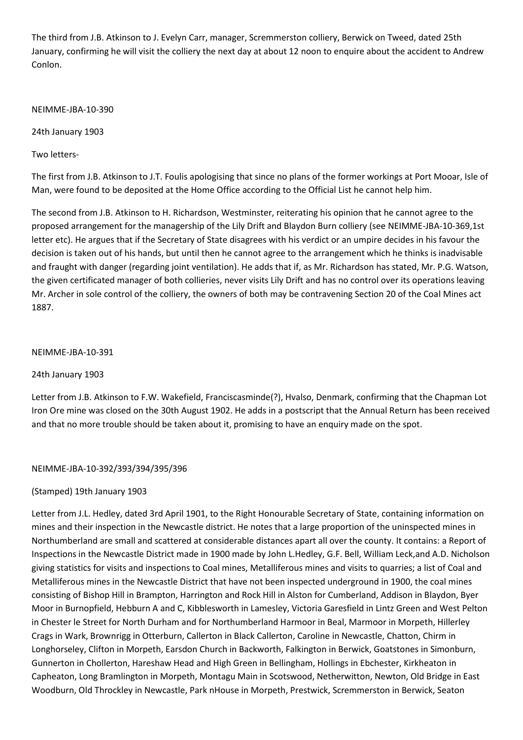The third from J.B. Atkinson to J. Evelyn Carr, manager, Scremmerston colliery, Berwick on Tweed, dated 25th January, confirming he will visit the colliery the next day at about 12 noon to enquire about the accident to Andrew Conlon.

NEIMME-JBA-10-390

24th January 1903

Two letters-

The first from J.B. Atkinson to J.T. Foulis apologising that since no plans of the former workings at Port Mooar, Isle of Man, were found to be deposited at the Home Office according to the Official List he cannot help him.

The second from J.B. Atkinson to H. Richardson, Westminster, reiterating his opinion that he cannot agree to the proposed arrangement for the managership of the Lily Drift and Blaydon Burn colliery (see NEIMME-JBA-10-369,1st letter etc). He argues that if the Secretary of State disagrees with his verdict or an umpire decides in his favour the decision is taken out of his hands, but until then he cannot agree to the arrangement which he thinks is inadvisable and fraught with danger (regarding joint ventilation). He adds that if, as Mr. Richardson has stated, Mr. P.G. Watson, the given certificated manager of both collieries, never visits Lily Drift and has no control over its operations leaving Mr. Archer in sole control of the colliery, the owners of both may be contravening Section 20 of the Coal Mines act 1887.

### NEIMME-JBA-10-391

24th January 1903

Letter from J.B. Atkinson to F.W. Wakefield, Franciscasminde(?), Hvalso, Denmark, confirming that the Chapman Lot Iron Ore mine was closed on the 30th August 1902. He adds in a postscript that the Annual Return has been received and that no more trouble should be taken about it, promising to have an enquiry made on the spot.

NEIMME-JBA-10-392/393/394/395/396

# (Stamped) 19th January 1903

Letter from J.L. Hedley, dated 3rd April 1901, to the Right Honourable Secretary of State, containing information on mines and their inspection in the Newcastle district. He notes that a large proportion of the uninspected mines in Northumberland are small and scattered at considerable distances apart all over the county. It contains: a Report of Inspections in the Newcastle District made in 1900 made by John L.Hedley, G.F. Bell, William Leck,and A.D. Nicholson giving statistics for visits and inspections to Coal mines, Metalliferous mines and visits to quarries; a list of Coal and Metalliferous mines in the Newcastle District that have not been inspected underground in 1900, the coal mines consisting of Bishop Hill in Brampton, Harrington and Rock Hill in Alston for Cumberland, Addison in Blaydon, Byer Moor in Burnopfield, Hebburn A and C, Kibblesworth in Lamesley, Victoria Garesfield in Lintz Green and West Pelton in Chester le Street for North Durham and for Northumberland Harmoor in Beal, Marmoor in Morpeth, Hillerley Crags in Wark, Brownrigg in Otterburn, Callerton in Black Callerton, Caroline in Newcastle, Chatton, Chirm in Longhorseley, Clifton in Morpeth, Earsdon Church in Backworth, Falkington in Berwick, Goatstones in Simonburn, Gunnerton in Chollerton, Hareshaw Head and High Green in Bellingham, Hollings in Ebchester, Kirkheaton in Capheaton, Long Bramlington in Morpeth, Montagu Main in Scotswood, Netherwitton, Newton, Old Bridge in East Woodburn, Old Throckley in Newcastle, Park nHouse in Morpeth, Prestwick, Scremmerston in Berwick, Seaton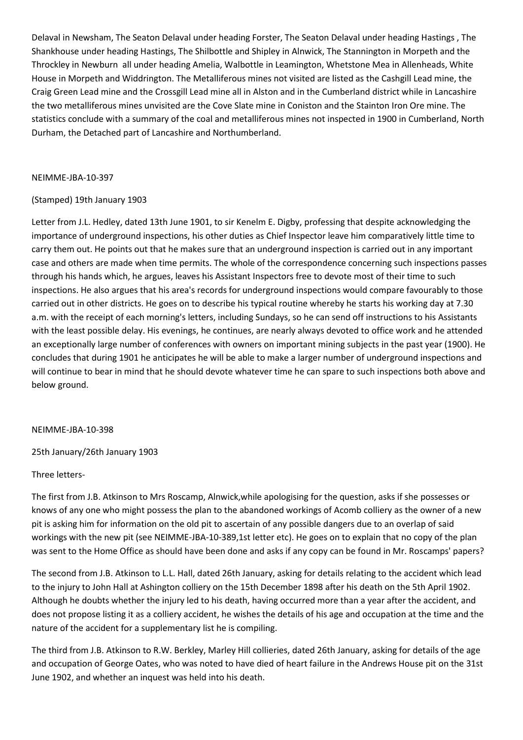Delaval in Newsham, The Seaton Delaval under heading Forster, The Seaton Delaval under heading Hastings , The Shankhouse under heading Hastings, The Shilbottle and Shipley in Alnwick, The Stannington in Morpeth and the Throckley in Newburn all under heading Amelia, Walbottle in Leamington, Whetstone Mea in Allenheads, White House in Morpeth and Widdrington. The Metalliferous mines not visited are listed as the Cashgill Lead mine, the Craig Green Lead mine and the Crossgill Lead mine all in Alston and in the Cumberland district while in Lancashire the two metalliferous mines unvisited are the Cove Slate mine in Coniston and the Stainton Iron Ore mine. The statistics conclude with a summary of the coal and metalliferous mines not inspected in 1900 in Cumberland, North Durham, the Detached part of Lancashire and Northumberland.

### NEIMME-JBA-10-397

## (Stamped) 19th January 1903

Letter from J.L. Hedley, dated 13th June 1901, to sir Kenelm E. Digby, professing that despite acknowledging the importance of underground inspections, his other duties as Chief Inspector leave him comparatively little time to carry them out. He points out that he makes sure that an underground inspection is carried out in any important case and others are made when time permits. The whole of the correspondence concerning such inspections passes through his hands which, he argues, leaves his Assistant Inspectors free to devote most of their time to such inspections. He also argues that his area's records for underground inspections would compare favourably to those carried out in other districts. He goes on to describe his typical routine whereby he starts his working day at 7.30 a.m. with the receipt of each morning's letters, including Sundays, so he can send off instructions to his Assistants with the least possible delay. His evenings, he continues, are nearly always devoted to office work and he attended an exceptionally large number of conferences with owners on important mining subjects in the past year (1900). He concludes that during 1901 he anticipates he will be able to make a larger number of underground inspections and will continue to bear in mind that he should devote whatever time he can spare to such inspections both above and below ground.

### NEIMME-JBA-10-398

25th January/26th January 1903

### Three letters-

The first from J.B. Atkinson to Mrs Roscamp, Alnwick,while apologising for the question, asks if she possesses or knows of any one who might possess the plan to the abandoned workings of Acomb colliery as the owner of a new pit is asking him for information on the old pit to ascertain of any possible dangers due to an overlap of said workings with the new pit (see NEIMME-JBA-10-389,1st letter etc). He goes on to explain that no copy of the plan was sent to the Home Office as should have been done and asks if any copy can be found in Mr. Roscamps' papers?

The second from J.B. Atkinson to L.L. Hall, dated 26th January, asking for details relating to the accident which lead to the injury to John Hall at Ashington colliery on the 15th December 1898 after his death on the 5th April 1902. Although he doubts whether the injury led to his death, having occurred more than a year after the accident, and does not propose listing it as a colliery accident, he wishes the details of his age and occupation at the time and the nature of the accident for a supplementary list he is compiling.

The third from J.B. Atkinson to R.W. Berkley, Marley Hill collieries, dated 26th January, asking for details of the age and occupation of George Oates, who was noted to have died of heart failure in the Andrews House pit on the 31st June 1902, and whether an inquest was held into his death.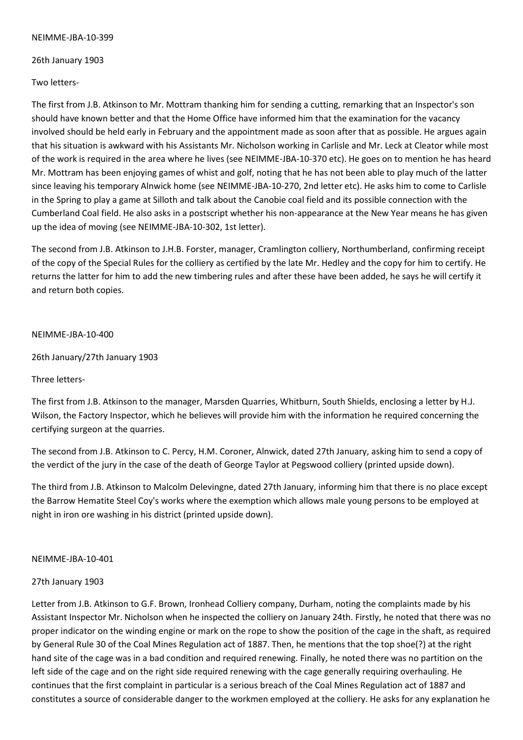#### NEIMME-JBA-10-399

26th January 1903

Two letters-

The first from J.B. Atkinson to Mr. Mottram thanking him for sending a cutting, remarking that an Inspector's son should have known better and that the Home Office have informed him that the examination for the vacancy involved should be held early in February and the appointment made as soon after that as possible. He argues again that his situation is awkward with his Assistants Mr. Nicholson working in Carlisle and Mr. Leck at Cleator while most of the work is required in the area where he lives (see NEIMME-JBA-10-370 etc). He goes on to mention he has heard Mr. Mottram has been enjoying games of whist and golf, noting that he has not been able to play much of the latter since leaving his temporary Alnwick home (see NEIMME-JBA-10-270, 2nd letter etc). He asks him to come to Carlisle in the Spring to play a game at Silloth and talk about the Canobie coal field and its possible connection with the Cumberland Coal field. He also asks in a postscript whether his non-appearance at the New Year means he has given up the idea of moving (see NEIMME-JBA-10-302, 1st letter).

The second from J.B. Atkinson to J.H.B. Forster, manager, Cramlington colliery, Northumberland, confirming receipt of the copy of the Special Rules for the colliery as certified by the late Mr. Hedley and the copy for him to certify. He returns the latter for him to add the new timbering rules and after these have been added, he says he will certify it and return both copies.

### NEIMME-JBA-10-400

26th January/27th January 1903

Three letters-

The first from J.B. Atkinson to the manager, Marsden Quarries, Whitburn, South Shields, enclosing a letter by H.J. Wilson, the Factory Inspector, which he believes will provide him with the information he required concerning the certifying surgeon at the quarries.

The second from J.B. Atkinson to C. Percy, H.M. Coroner, Alnwick, dated 27th January, asking him to send a copy of the verdict of the jury in the case of the death of George Taylor at Pegswood colliery (printed upside down).

The third from J.B. Atkinson to Malcolm Delevingne, dated 27th January, informing him that there is no place except the Barrow Hematite Steel Coy's works where the exemption which allows male young persons to be employed at night in iron ore washing in his district (printed upside down).

### NEIMME-JBA-10-401

### 27th January 1903

Letter from J.B. Atkinson to G.F. Brown, Ironhead Colliery company, Durham, noting the complaints made by his Assistant Inspector Mr. Nicholson when he inspected the colliery on January 24th. Firstly, he noted that there was no proper indicator on the winding engine or mark on the rope to show the position of the cage in the shaft, as required by General Rule 30 of the Coal Mines Regulation act of 1887. Then, he mentions that the top shoe(?) at the right hand site of the cage was in a bad condition and required renewing. Finally, he noted there was no partition on the left side of the cage and on the right side required renewing with the cage generally requiring overhauling. He continues that the first complaint in particular is a serious breach of the Coal Mines Regulation act of 1887 and constitutes a source of considerable danger to the workmen employed at the colliery. He asks for any explanation he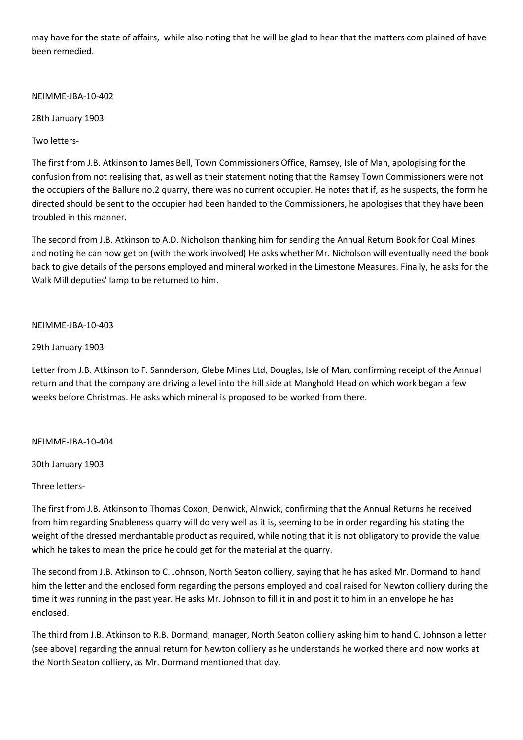may have for the state of affairs, while also noting that he will be glad to hear that the matters com plained of have been remedied.

# NEIMME-JBA-10-402

28th January 1903

Two letters-

The first from J.B. Atkinson to James Bell, Town Commissioners Office, Ramsey, Isle of Man, apologising for the confusion from not realising that, as well as their statement noting that the Ramsey Town Commissioners were not the occupiers of the Ballure no.2 quarry, there was no current occupier. He notes that if, as he suspects, the form he directed should be sent to the occupier had been handed to the Commissioners, he apologises that they have been troubled in this manner.

The second from J.B. Atkinson to A.D. Nicholson thanking him for sending the Annual Return Book for Coal Mines and noting he can now get on (with the work involved) He asks whether Mr. Nicholson will eventually need the book back to give details of the persons employed and mineral worked in the Limestone Measures. Finally, he asks for the Walk Mill deputies' lamp to be returned to him.

# NEIMME-JBA-10-403

# 29th January 1903

Letter from J.B. Atkinson to F. Sannderson, Glebe Mines Ltd, Douglas, Isle of Man, confirming receipt of the Annual return and that the company are driving a level into the hill side at Manghold Head on which work began a few weeks before Christmas. He asks which mineral is proposed to be worked from there.

### NEIMME-JBA-10-404

30th January 1903

Three letters-

The first from J.B. Atkinson to Thomas Coxon, Denwick, Alnwick, confirming that the Annual Returns he received from him regarding Snableness quarry will do very well as it is, seeming to be in order regarding his stating the weight of the dressed merchantable product as required, while noting that it is not obligatory to provide the value which he takes to mean the price he could get for the material at the quarry.

The second from J.B. Atkinson to C. Johnson, North Seaton colliery, saying that he has asked Mr. Dormand to hand him the letter and the enclosed form regarding the persons employed and coal raised for Newton colliery during the time it was running in the past year. He asks Mr. Johnson to fill it in and post it to him in an envelope he has enclosed.

The third from J.B. Atkinson to R.B. Dormand, manager, North Seaton colliery asking him to hand C. Johnson a letter (see above) regarding the annual return for Newton colliery as he understands he worked there and now works at the North Seaton colliery, as Mr. Dormand mentioned that day.